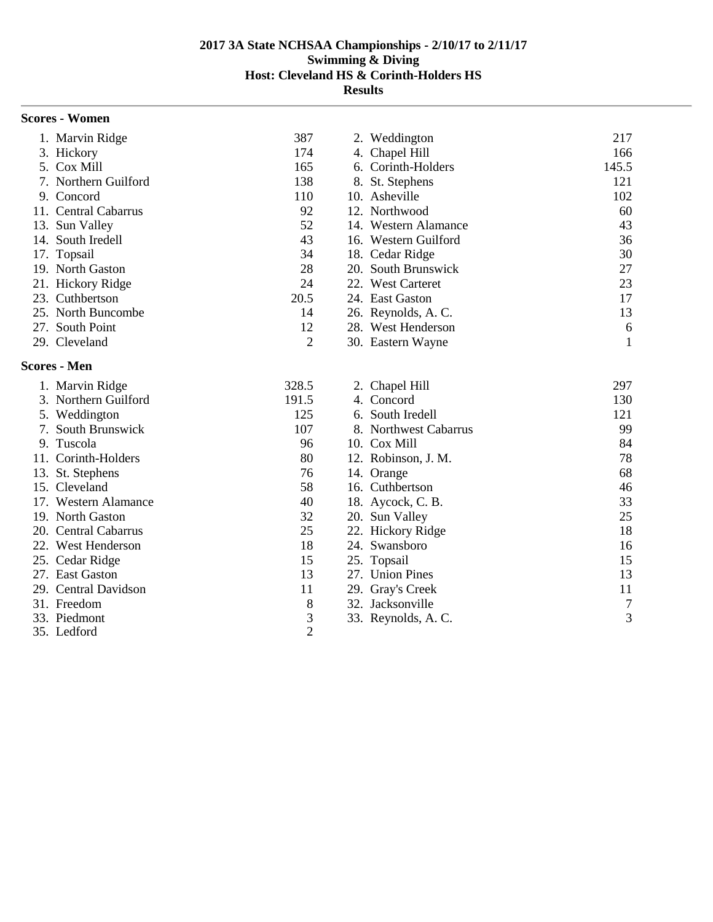# **Scores - Women**

| 1. Marvin Ridge      | 387  | 2. Weddington        | 217   |
|----------------------|------|----------------------|-------|
| 3. Hickory           | 174  | 4. Chapel Hill       | 166   |
| 5. Cox Mill          | 165  | 6. Corinth-Holders   | 145.5 |
| 7. Northern Guilford | 138  | 8. St. Stephens      | 121   |
| 9. Concord           | 110  | 10. Asheville        | 102   |
| 11. Central Cabarrus | 92   | 12. Northwood        | 60    |
| 13. Sun Valley       | 52   | 14. Western Alamance | 43    |
| 14. South Iredell    | 43   | 16. Western Guilford | 36    |
| 17. Topsail          | 34   | 18. Cedar Ridge      | 30    |
| 19. North Gaston     | 28   | 20. South Brunswick  | 27    |
| 21. Hickory Ridge    | 24   | 22. West Carteret    | 23    |
| 23. Cuthbertson      | 20.5 | 24. East Gaston      | 17    |
| 25. North Buncombe   | 14   | 26. Reynolds, A.C.   | 13    |
| 27. South Point      | 12   | 28. West Henderson   | 6     |
| 29. Cleveland        | 2    | 30. Eastern Wayne    |       |

# **Scores - Men**

| 1. Marvin Ridge      | 328.5          | 2. Chapel Hill        | 297 |
|----------------------|----------------|-----------------------|-----|
| 3. Northern Guilford | 191.5          | 4. Concord            | 130 |
| 5. Weddington        | 125            | 6. South Iredell      | 121 |
| 7. South Brunswick   | 107            | 8. Northwest Cabarrus | 99  |
| 9. Tuscola           | 96             | 10. Cox Mill          | 84  |
| 11. Corinth-Holders  | 80             | 12. Robinson, J. M.   | 78  |
| 13. St. Stephens     | 76             | 14. Orange            | 68  |
| 15. Cleveland        | 58             | 16. Cuthbertson       | 46  |
| 17. Western Alamance | 40             | 18. Aycock, C. B.     | 33  |
| 19. North Gaston     | 32             | 20. Sun Valley        | 25  |
| 20. Central Cabarrus | 25             | 22. Hickory Ridge     | 18  |
| 22. West Henderson   | 18             | 24. Swansboro         | 16  |
| 25. Cedar Ridge      | 15             | 25. Topsail           | 15  |
| 27. East Gaston      | 13             | 27. Union Pines       | 13  |
| 29. Central Davidson | 11             | 29. Gray's Creek      | 11  |
| 31. Freedom          | 8              | 32. Jacksonville      | 7   |
| 33. Piedmont         | 3              | 33. Reynolds, A.C.    | 3   |
| 35. Ledford          | $\overline{2}$ |                       |     |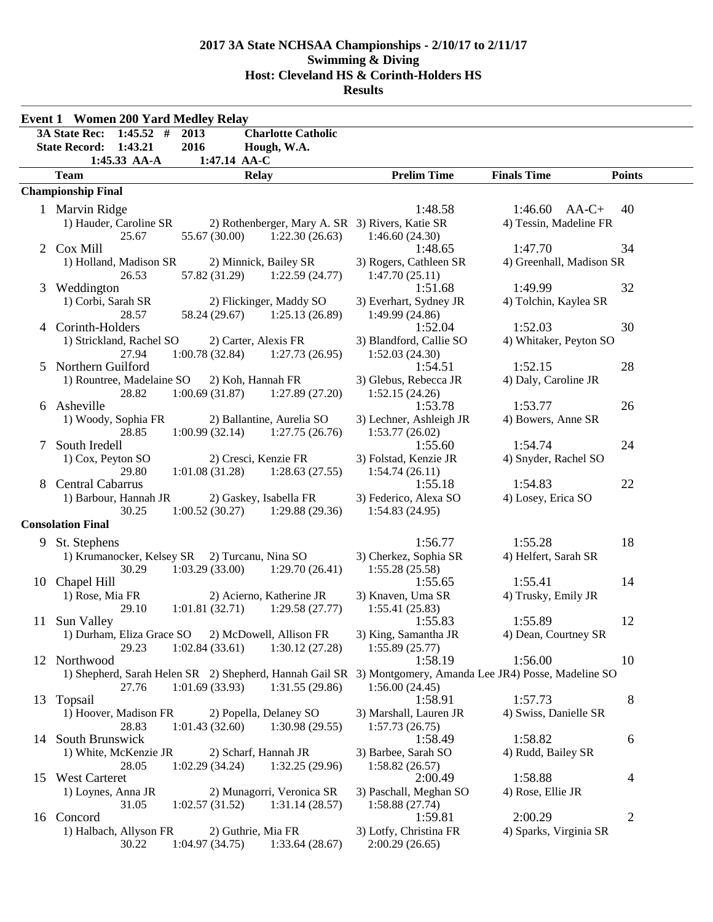|    | <b>Event 1 Women 200 Yard Medley Relay</b>                                                                |                                          |                                |                |
|----|-----------------------------------------------------------------------------------------------------------|------------------------------------------|--------------------------------|----------------|
|    | $1:45.52$ #<br><b>3A State Rec:</b><br>2013<br><b>Charlotte Catholic</b>                                  |                                          |                                |                |
|    | 1:43.21<br>2016<br><b>State Record:</b><br>Hough, W.A.                                                    |                                          |                                |                |
|    | 1:45.33 AA-A<br>1:47.14 AA-C                                                                              |                                          |                                |                |
|    | <b>Team</b><br><b>Relay</b>                                                                               | <b>Prelim Time</b>                       | <b>Finals Time</b>             | <b>Points</b>  |
|    | <b>Championship Final</b>                                                                                 |                                          |                                |                |
|    | 1 Marvin Ridge                                                                                            | 1:48.58                                  | 1:46.60<br>$AA-C+$             | 40             |
|    | 1) Hauder, Caroline SR<br>2) Rothenberger, Mary A. SR 3) Rivers, Katie SR                                 |                                          | 4) Tessin, Madeline FR         |                |
|    | 25.67<br>55.67 (30.00)<br>1:22.30(26.63)                                                                  | 1:46.60(24.30)                           |                                |                |
|    | 2 Cox Mill                                                                                                | 1:48.65                                  | 1:47.70                        | 34             |
|    | 1) Holland, Madison SR<br>2) Minnick, Bailey SR<br>26.53<br>57.82 (31.29)<br>1:22.59(24.77)               | 3) Rogers, Cathleen SR<br>1:47.70(25.11) | 4) Greenhall, Madison SR       |                |
| 3  | Weddington                                                                                                | 1:51.68                                  | 1:49.99                        | 32             |
|    | 1) Corbi, Sarah SR<br>2) Flickinger, Maddy SO                                                             | 3) Everhart, Sydney JR                   | 4) Tolchin, Kaylea SR          |                |
|    | 28.57<br>58.24 (29.67)<br>1:25.13(26.89)                                                                  | 1:49.99 (24.86)                          |                                |                |
|    | 4 Corinth-Holders                                                                                         | 1:52.04                                  | 1:52.03                        | 30             |
|    | 1) Strickland, Rachel SO<br>2) Carter, Alexis FR                                                          | 3) Blandford, Callie SO                  | 4) Whitaker, Peyton SO         |                |
|    | 27.94<br>1:00.78(32.84)<br>1:27.73(26.95)                                                                 | 1:52.03(24.30)                           |                                |                |
| 5  | Northern Guilford                                                                                         | 1:54.51                                  | 1:52.15                        | 28             |
|    | 1) Rountree, Madelaine SO<br>2) Koh, Hannah FR                                                            | 3) Glebus, Rebecca JR                    | 4) Daly, Caroline JR           |                |
|    | 28.82<br>1:00.69(31.87)<br>1:27.89(27.20)<br>Asheville                                                    | 1:52.15(24.26)<br>1:53.78                | 1:53.77                        | 26             |
| 6  | 1) Woody, Sophia FR<br>2) Ballantine, Aurelia SO                                                          | 3) Lechner, Ashleigh JR                  | 4) Bowers, Anne SR             |                |
|    | 1:00.99(32.14)<br>1:27.75(26.76)<br>28.85                                                                 | 1:53.77(26.02)                           |                                |                |
| 7  | South Iredell                                                                                             | 1:55.60                                  | 1:54.74                        | 24             |
|    | 1) Cox, Peyton SO<br>2) Cresci, Kenzie FR                                                                 | 3) Folstad, Kenzie JR                    | 4) Snyder, Rachel SO           |                |
|    | 29.80<br>1:01.08(31.28)<br>1:28.63(27.55)                                                                 | 1:54.74(26.11)                           |                                |                |
| 8. | Central Cabarrus                                                                                          | 1:55.18                                  | 1:54.83                        | 22             |
|    | 1) Barbour, Hannah JR<br>2) Gaskey, Isabella FR                                                           | 3) Federico, Alexa SO                    | 4) Losey, Erica SO             |                |
|    | 1:00.52(30.27)<br>1:29.88(29.36)<br>30.25                                                                 | 1:54.83(24.95)                           |                                |                |
|    | <b>Consolation Final</b>                                                                                  |                                          |                                |                |
| 9  | St. Stephens                                                                                              | 1:56.77                                  | 1:55.28                        | 18             |
|    | 1) Krumanocker, Kelsey SR 2) Turcanu, Nina SO                                                             | 3) Cherkez, Sophia SR                    | 4) Helfert, Sarah SR           |                |
|    | 1:03.29(33.00)<br>1:29.70(26.41)<br>30.29                                                                 | 1:55.28(25.58)                           |                                |                |
| 10 | Chapel Hill<br>2) Acierno, Katherine JR<br>1) Rose, Mia FR                                                | 1:55.65<br>3) Knaven, Uma SR             | 1:55.41<br>4) Trusky, Emily JR | 14             |
|    | 1:01.81(32.71)<br>1:29.58(27.77)<br>29.10                                                                 | 1:55.41(25.83)                           |                                |                |
|    | 11 Sun Valley                                                                                             | 1:55.83                                  | 1:55.89                        | 12             |
|    | 1) Durham, Eliza Grace SO 2) McDowell, Allison FR                                                         | 3) King, Samantha JR                     | 4) Dean, Courtney SR           |                |
|    | 1:02.84(33.61)<br>1:30.12(27.28)<br>29.23                                                                 | 1:55.89(25.77)                           |                                |                |
|    | 12 Northwood                                                                                              | 1:58.19                                  | 1:56.00                        | 10             |
|    | 1) Shepherd, Sarah Helen SR 2) Shepherd, Hannah Gail SR 3) Montgomery, Amanda Lee JR4) Posse, Madeline SO |                                          |                                |                |
|    | 1:01.69(33.93)<br>1:31.55(29.86)<br>27.76                                                                 | 1:56.00(24.45)                           |                                |                |
|    | 13 Topsail                                                                                                | 1:58.91                                  | 1:57.73                        | 8              |
|    | 1) Hoover, Madison FR<br>2) Popella, Delaney SO                                                           | 3) Marshall, Lauren JR                   | 4) Swiss, Danielle SR          |                |
|    | 28.83<br>1:01.43(32.60)<br>1:30.98(29.55)<br>14 South Brunswick                                           | 1:57.73(26.75)<br>1:58.49                | 1:58.82                        | 6              |
|    | 1) White, McKenzie JR<br>2) Scharf, Hannah JR                                                             | 3) Barbee, Sarah SO                      | 4) Rudd, Bailey SR             |                |
|    | 1:02.29(34.24)<br>1:32.25(29.96)<br>28.05                                                                 | 1:58.82(26.57)                           |                                |                |
|    | 15 West Carteret                                                                                          | 2:00.49                                  | 1:58.88                        | $\overline{4}$ |
|    | 2) Munagorri, Veronica SR<br>1) Loynes, Anna JR                                                           | 3) Paschall, Meghan SO                   | 4) Rose, Ellie JR              |                |
|    | 1:02.57(31.52)<br>1:31.14(28.57)<br>31.05                                                                 | 1:58.88(27.74)                           |                                |                |
|    | 16 Concord                                                                                                | 1:59.81                                  | 2:00.29                        | $\overline{c}$ |
|    | 1) Halbach, Allyson FR<br>2) Guthrie, Mia FR                                                              | 3) Lotfy, Christina FR                   | 4) Sparks, Virginia SR         |                |
|    | 1:04.97(34.75)<br>1:33.64(28.67)<br>30.22                                                                 | 2:00.29(26.65)                           |                                |                |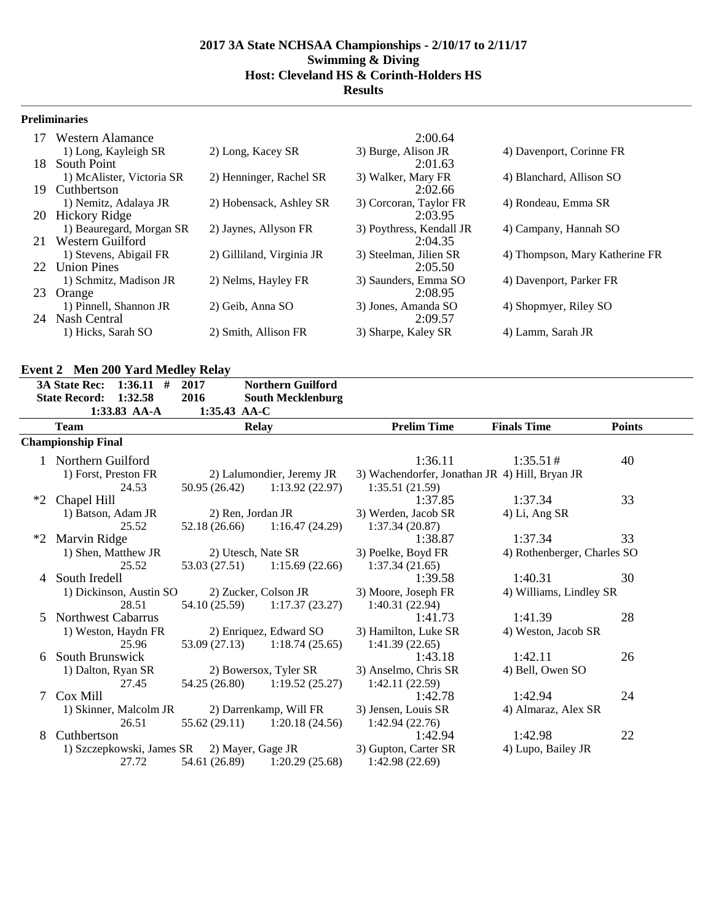### **Preliminaries**

| 17  | Western Alamance          |                           | 2:00.64                  |                                |
|-----|---------------------------|---------------------------|--------------------------|--------------------------------|
|     | 1) Long, Kayleigh SR      | 2) Long, Kacey SR         | 3) Burge, Alison JR      | 4) Davenport, Corinne FR       |
| 18. | South Point               |                           | 2:01.63                  |                                |
|     | 1) McAlister, Victoria SR | 2) Henninger, Rachel SR   | 3) Walker, Mary FR       | 4) Blanchard, Allison SO       |
| 19  | Cuthbertson               |                           | 2:02.66                  |                                |
|     | 1) Nemitz, Adalaya JR     | 2) Hobensack, Ashley SR   | 3) Corcoran, Taylor FR   | 4) Rondeau, Emma SR            |
|     | 20 Hickory Ridge          |                           | 2:03.95                  |                                |
|     | 1) Beauregard, Morgan SR  | 2) Jaynes, Allyson FR     | 3) Poythress, Kendall JR | 4) Campany, Hannah SO          |
| 21  | Western Guilford          |                           | 2:04.35                  |                                |
|     | 1) Stevens, Abigail FR    | 2) Gilliland, Virginia JR | 3) Steelman, Jilien SR   | 4) Thompson, Mary Katherine FR |
|     | 22 Union Pines            |                           | 2:05.50                  |                                |
|     | 1) Schmitz, Madison JR    | 2) Nelms, Hayley FR       | 3) Saunders, Emma SO     | 4) Davenport, Parker FR        |
| 23  | Orange                    |                           | 2:08.95                  |                                |
|     | 1) Pinnell, Shannon JR    | 2) Geib, Anna SO          | 3) Jones, Amanda SO      | 4) Shopmyer, Riley SO          |
| 24  | Nash Central              |                           | 2:09.57                  |                                |
|     | 1) Hicks, Sarah SO        | 2) Smith, Allison FR      | 3) Sharpe, Kaley SR      | 4) Lamm, Sarah JR              |

# **Event 2 Men 200 Yard Medley Relay**

|      | $1:36.11$ #<br><b>3A State Rec:</b><br>1:32.58<br><b>State Record:</b> | $- - - - -$<br>2017<br>2016 | <b>Northern Guilford</b><br><b>South Mecklenburg</b> |                                                |                             |               |  |
|------|------------------------------------------------------------------------|-----------------------------|------------------------------------------------------|------------------------------------------------|-----------------------------|---------------|--|
|      | $1:33.83$ AA-A                                                         | $1:35.43$ AA-C              |                                                      |                                                |                             |               |  |
|      | <b>Team</b>                                                            |                             | <b>Relay</b>                                         | <b>Prelim Time</b>                             | <b>Finals Time</b>          | <b>Points</b> |  |
|      | <b>Championship Final</b>                                              |                             |                                                      |                                                |                             |               |  |
|      | Northern Guilford                                                      |                             |                                                      | 1:36.11                                        | 1:35.51#                    | 40            |  |
|      | 1) Forst, Preston FR                                                   |                             | 2) Lalumondier, Jeremy JR                            | 3) Wachendorfer, Jonathan JR 4) Hill, Bryan JR |                             |               |  |
|      | 24.53                                                                  | 50.95 (26.42)               | 1:13.92(22.97)                                       | 1:35.51(21.59)                                 |                             |               |  |
| $*2$ | Chapel Hill                                                            |                             |                                                      | 1:37.85                                        | 1:37.34                     | 33            |  |
|      | 1) Batson, Adam JR                                                     |                             | 2) Ren, Jordan JR                                    | 3) Werden, Jacob SR                            | 4) Li, Ang SR               |               |  |
|      | 25.52                                                                  | 52.18 (26.66)               | 1:16.47(24.29)                                       | 1:37.34(20.87)                                 |                             |               |  |
| $*2$ | Marvin Ridge                                                           |                             |                                                      | 1:38.87                                        | 1:37.34                     | 33            |  |
|      | 1) Shen, Matthew JR                                                    |                             | 2) Utesch, Nate SR                                   | 3) Poelke, Boyd FR                             | 4) Rothenberger, Charles SO |               |  |
|      | 25.52                                                                  | 53.03 (27.51)               | 1:15.69 (22.66)                                      | 1:37.34(21.65)                                 |                             |               |  |
| 4    | South Iredell                                                          |                             |                                                      | 1:39.58                                        | 1:40.31                     | 30            |  |
|      | 1) Dickinson, Austin SO                                                |                             | 2) Zucker, Colson JR                                 | 3) Moore, Joseph FR                            | 4) Williams, Lindley SR     |               |  |
|      | 28.51                                                                  | 54.10 (25.59)               | 1:17.37(23.27)                                       | 1:40.31(22.94)                                 |                             |               |  |
| 5.   | <b>Northwest Cabarrus</b>                                              |                             |                                                      | 1:41.73                                        | 1:41.39                     | 28            |  |
|      | 1) Weston, Haydn FR                                                    |                             | 2) Enriquez, Edward SO                               | 3) Hamilton, Luke SR                           | 4) Weston, Jacob SR         |               |  |
|      | 25.96                                                                  |                             | $53.09(27.13)$ 1:18.74 (25.65)                       | 1:41.39(22.65)                                 |                             |               |  |
| 6    | South Brunswick                                                        |                             |                                                      | 1:43.18                                        | 1:42.11                     | 26            |  |
|      | 1) Dalton, Ryan SR                                                     |                             | 2) Bowersox, Tyler SR                                | 3) Anselmo, Chris SR                           | 4) Bell, Owen SO            |               |  |
|      | 27.45                                                                  | 54.25 (26.80)               | 1:19.52(25.27)                                       | 1:42.11(22.59)                                 |                             |               |  |
| 7    | Cox Mill                                                               |                             |                                                      | 1:42.78                                        | 1:42.94                     | 24            |  |
|      | 1) Skinner, Malcolm JR                                                 |                             | 2) Darrenkamp, Will FR                               | 3) Jensen, Louis SR                            | 4) Almaraz, Alex SR         |               |  |
|      | 26.51                                                                  |                             | $55.62(29.11)$ $1:20.18(24.56)$                      | 1:42.94(22.76)                                 |                             |               |  |
| 8    | Cuthbertson                                                            |                             |                                                      | 1:42.94                                        | 1:42.98                     | 22            |  |
|      | 1) Szczepkowski, James SR                                              |                             | 2) Mayer, Gage JR                                    | 3) Gupton, Carter SR                           | 4) Lupo, Bailey JR          |               |  |
|      | 27.72                                                                  | 54.61 (26.89)               | 1:20.29(25.68)                                       | 1:42.98 (22.69)                                |                             |               |  |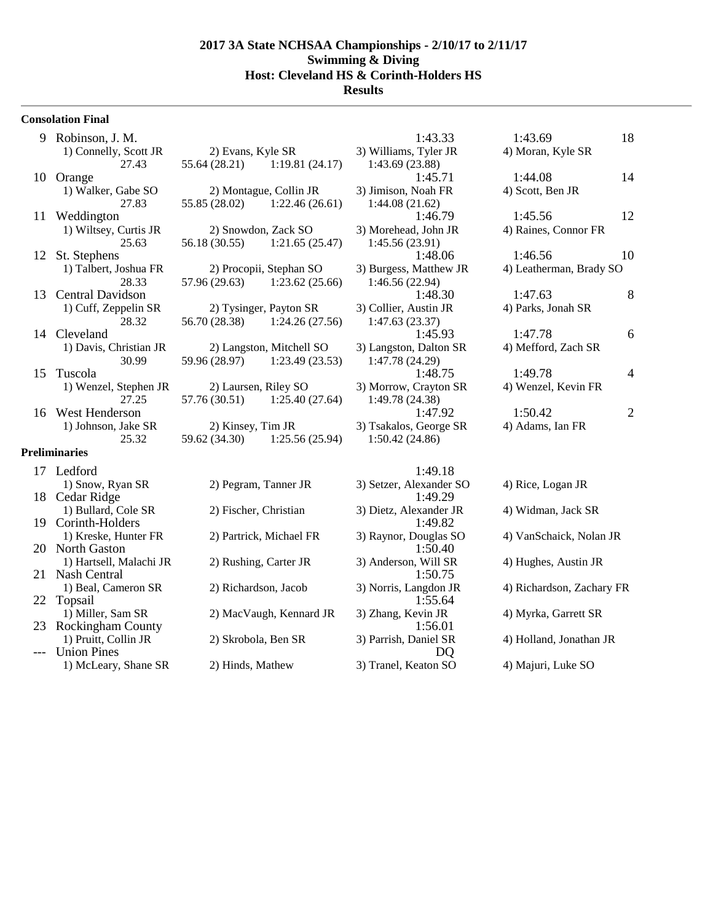#### **Consolation Final**

- 9 Robinson, J. M. 1:43.33
- 1) Walker, Gabe SO 2) Montague, Collin JR 3)
- 11 Weddington
- 12 St. Stephens
- 13 Central Davidson
- 14 Cleveland
- 
- 16 West Henderson<br>
1) Johnson, Jake SR 2) Kinsey, Tim JR

#### **Preliminaries**

| 17 Ledford                                 |                         | 1:49.18                           |                     |
|--------------------------------------------|-------------------------|-----------------------------------|---------------------|
| 1) Snow, Ryan SR                           | 2) Pegram, Tanner JR    | 3) Setzer, Alexander SO           | 4) Rice, Logan JR   |
| 18 Cedar Ridge                             |                         | 1:49.29                           |                     |
| 1) Bullard, Cole SR<br>19 Corinth-Holders  | 2) Fischer, Christian   | 3) Dietz, Alexander JR<br>1:49.82 | 4) Widman, Jack SI  |
| 1) Kreske, Hunter FR<br>20 North Gaston    | 2) Partrick, Michael FR | 3) Raynor, Douglas SO<br>1:50.40  | 4) VanSchaick, Nol  |
| 1) Hartsell, Malachi JR<br>21 Nash Central | 2) Rushing, Carter JR   | 3) Anderson, Will SR<br>1:50.75   | 4) Hughes, Austin J |
| 1) Beal, Cameron SR<br>22 Topsail          | 2) Richardson, Jacob    | 3) Norris, Langdon JR<br>1:55.64  | 4) Richardson, Zach |
| 1) Miller, Sam SR<br>23 Rockingham County  | 2) MacVaugh, Kennard JR | 3) Zhang, Kevin JR<br>1:56.01     | 4) Myrka, Garrett S |
| 1) Pruitt, Collin JR<br><b>Union Pines</b> | 2) Skrobola, Ben SR     | 3) Parrish, Daniel SR<br>DO       | 4) Holland, Jonatha |
| 1) McLeary, Shane SR                       | 2) Hinds, Mathew        | 3) Tranel, Keaton SO              | 4) Majuri, Luke SO  |

|           | 1) Connelly, Scott JR | 2) Evans, Kyle SR |                | 3) Williams, Tyler JR | 4) Moran, Kyle SR |  |
|-----------|-----------------------|-------------------|----------------|-----------------------|-------------------|--|
|           | 27.43                 | 55.64 (28.21)     | 1:19.81(24.17) | 1:43.69 (23.88)       |                   |  |
| 10 Orange |                       |                   |                | 1:45.71               | 1:44.08           |  |

- 27.83 55.85 (28.02) 1:22.46 (26.61)
- 1) Wiltsey, Curtis JR 2) Snowdon, Zack SO 3) 25.63 56.18 (30.55) 1:21.65 (25.47)
- 1) Talbert, Joshua FR 2) Procopii, Stephan SO 3) 28.33 57.96 (29.63) 1:23.62 (25.66)
- 1) Cuff, Zeppelin SR 2) Tysinger, Payton SR 3) 28.32 56.70 (28.38) 1:24.26 (27.56)
- 1) Davis, Christian JR 2) Langston, Mitchell SO 3) 30.99 59.96 (28.97) 1:23.49 (23.53)
- 1) Wenzel, Stephen JR 2) Laursen, Riley SO 3)  $27.25$   $57.76(30.51)$   $1:25.40(27.64)$ 1) Johnson, Jake SR  $\qquad \qquad$  2) Kinsey, Tim JR  $\qquad \qquad$  3)  $25.32$   $59.62$   $(34.30)$   $1:25.56$   $(25.94)$

| Williams, Tyler JR         |
|----------------------------|
| 1:43.69 (23.88)            |
| 1:45.71                    |
| Jimison, Noah FR           |
| 1:44.08(21.62)             |
| 1:46.79                    |
| Morehead, John JR          |
| 1:45.56 (23.91)            |
| 1:48.06                    |
| <b>Burgess, Matthew JR</b> |
| 1:46.56 (22.94)            |
| 1:48.30                    |
| Collier, Austin JR         |
| 1:47.63 (23.37)            |
| 1:45.93                    |
| Langston, Dalton SR        |
| 1:47.78 (24.29)            |
| 1:48.75                    |
| Morrow, Crayton SR         |
| 1:49.78 (24.38)            |
| 1:47.92                    |
| Tsakalos, George SR        |
| 1:50.42 (24.86)            |
|                            |

| 9. | Robinson, J. M.                            |                   |                                 | 1:43.33                | 1:43.69                 | 18             |
|----|--------------------------------------------|-------------------|---------------------------------|------------------------|-------------------------|----------------|
|    | 1) Connelly, Scott JR                      | 2) Evans, Kyle SR |                                 | 3) Williams, Tyler JR  | 4) Moran, Kyle SR       |                |
|    | 27.43                                      |                   | $55.64(28.21)$ 1:19.81 (24.17)  | 1:43.69(23.88)         |                         |                |
|    | 10 Orange                                  |                   |                                 | 1:45.71                | 1:44.08                 | 14             |
|    | 1) Walker, Gabe SO                         |                   | 2) Montague, Collin JR          | 3) Jimison, Noah FR    | 4) Scott, Ben JR        |                |
|    | 27.83                                      | 55.85 (28.02)     | 1:22.46(26.61)                  | 1:44.08(21.62)         |                         |                |
| 11 | Weddington                                 |                   |                                 | 1:46.79                | 1:45.56                 | 12             |
|    | 1) Wiltsey, Curtis JR                      |                   | 2) Snowdon, Zack SO             | 3) Morehead, John JR   | 4) Raines, Connor FR    |                |
|    | 25.63                                      |                   | 56.18 (30.55) 1:21.65 (25.47)   | 1:45.56(23.91)         |                         |                |
|    | 12 St. Stephens                            |                   |                                 | 1:48.06                | 1:46.56                 | 10             |
|    | 1) Talbert, Joshua FR                      |                   | 2) Procopii, Stephan SO         | 3) Burgess, Matthew JR | 4) Leatherman, Brady SO |                |
|    | 28.33                                      |                   | $57.96(29.63)$ $1:23.62(25.66)$ | 1:46.56(22.94)         |                         |                |
|    | 13 Central Davidson                        |                   |                                 | 1:48.30                | 1:47.63                 | 8              |
|    | 1) Cuff, Zeppelin SR                       |                   | 2) Tysinger, Payton SR          | 3) Collier, Austin JR  | 4) Parks, Jonah SR      |                |
|    | 28.32                                      |                   | 56.70 (28.38) 1:24.26 (27.56)   | 1:47.63(23.37)         |                         |                |
|    | 14 Cleveland                               |                   |                                 | 1:45.93                | 1:47.78                 | 6              |
|    | 1) Davis, Christian JR                     |                   | 2) Langston, Mitchell SO        | 3) Langston, Dalton SR | 4) Mefford, Zach SR     |                |
|    | 30.99                                      | 59.96 (28.97)     | 1:23.49(23.53)                  | 1:47.78(24.29)         |                         |                |
|    | 15 Tuscola                                 |                   |                                 | 1:48.75                | 1:49.78                 | $\overline{4}$ |
|    | 1) Wenzel, Stephen JR 2) Laursen, Riley SO |                   |                                 | 3) Morrow, Crayton SR  | 4) Wenzel, Kevin FR     |                |
|    | 27.25                                      | 57.76 (30.51)     | 1:25.40(27.64)                  | 1:49.78(24.38)         |                         |                |
|    | 16 West Henderson                          |                   |                                 | 1:47.92                | 1:50.42                 | $\overline{2}$ |
|    | 1) Johnson, Jake SR                        | 2) Kinsey, Tim JR |                                 | 3) Tsakalos, George SR | 4) Adams, Ian FR        |                |

er, Alexander SO 4) Rice, Logan JR z, Alexander JR 4) Widman, Jack SR nor, Douglas SO 4) VanSchaick, Nolan JR erson, Will SR 4) Hughes, Austin JR ris, Langdon JR 4) Richardson, Zachary FR ng, Kevin JR <sup>3</sup> 3) Myrka, Garrett SR 1) Example July 1) Holland, Jonathan JR<br>
200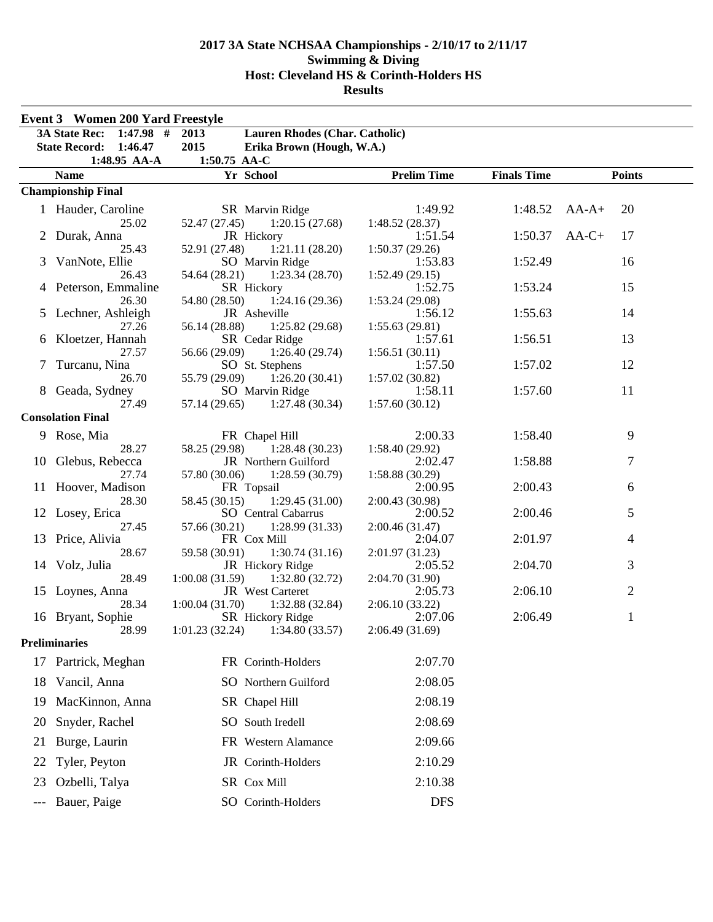|    | <b>Event 3 Women 200 Yard Freestyle</b> |                                                      |                            |                    |                       |
|----|-----------------------------------------|------------------------------------------------------|----------------------------|--------------------|-----------------------|
|    | $1:47.98$ #<br><b>3A State Rec:</b>     | 2013<br>Lauren Rhodes (Char. Catholic)               |                            |                    |                       |
|    | <b>State Record:</b><br>1:46.47         | 2015<br>Erika Brown (Hough, W.A.)                    |                            |                    |                       |
|    | 1:48.95 AA-A<br><b>Name</b>             | 1:50.75 AA-C<br>Yr School                            | <b>Prelim Time</b>         | <b>Finals Time</b> | <b>Points</b>         |
|    | <b>Championship Final</b>               |                                                      |                            |                    |                       |
|    |                                         |                                                      |                            |                    |                       |
|    | 1 Hauder, Caroline                      | SR Marvin Ridge                                      | 1:49.92                    |                    | $1:48.52$ AA-A+<br>20 |
|    | 25.02                                   | 52.47 (27.45)<br>1:20.15(27.68)                      | 1:48.52(28.37)             |                    |                       |
|    | 2 Durak, Anna<br>25.43                  | JR Hickory                                           | 1:51.54                    | 1:50.37            | $AA-C+$<br>17         |
|    | 3 VanNote, Ellie                        | 1:21.11(28.20)<br>52.91 (27.48)<br>SO Marvin Ridge   | 1:50.37(29.26)<br>1:53.83  | 1:52.49            | 16                    |
|    | 26.43                                   | 54.64 (28.21)<br>1:23.34(28.70)                      | 1:52.49(29.15)             |                    |                       |
|    | 4 Peterson, Emmaline                    | SR Hickory                                           | 1:52.75                    | 1:53.24            | 15                    |
|    | 26.30                                   | 54.80 (28.50)<br>1:24.16(29.36)                      | 1:53.24(29.08)             |                    |                       |
|    | 5 Lechner, Ashleigh                     | JR Asheville                                         | 1:56.12                    | 1:55.63            | 14                    |
|    | 27.26                                   | 56.14 (28.88)<br>1:25.82(29.68)                      | 1:55.63(29.81)             |                    |                       |
|    | 6 Kloetzer, Hannah                      | SR Cedar Ridge                                       | 1:57.61                    | 1:56.51            | 13                    |
|    | 27.57                                   | 56.66 (29.09)<br>1:26.40(29.74)                      | 1:56.51(30.11)             |                    |                       |
| 7  | Turcanu, Nina                           | SO St. Stephens                                      | 1:57.50                    | 1:57.02            | 12                    |
|    | 26.70                                   | 55.79 (29.09)<br>1:26.20(30.41)                      | 1:57.02(30.82)             |                    |                       |
|    | 8 Geada, Sydney                         | SO Marvin Ridge                                      | 1:58.11                    | 1:57.60            | 11                    |
|    | 27.49                                   | 1:27.48(30.34)<br>57.14 (29.65)                      | 1:57.60(30.12)             |                    |                       |
|    | <b>Consolation Final</b>                |                                                      |                            |                    |                       |
|    | 9 Rose, Mia                             | FR Chapel Hill                                       | 2:00.33                    | 1:58.40            | 9                     |
|    | 28.27                                   | 58.25 (29.98)<br>1:28.48(30.23)                      | 1:58.40(29.92)             |                    |                       |
|    | 10 Glebus, Rebecca                      | <b>JR</b> Northern Guilford                          | 2:02.47                    | 1:58.88            | 7                     |
|    | 27.74                                   | 57.80 (30.06)<br>1:28.59(30.79)                      | 1:58.88(30.29)             |                    |                       |
|    | 11 Hoover, Madison                      | FR Topsail                                           | 2:00.95                    | 2:00.43            | 6                     |
|    | 28.30                                   | 1:29.45(31.00)<br>58.45 (30.15)                      | 2:00.43(30.98)             |                    |                       |
|    | 12 Losey, Erica                         | <b>SO</b> Central Cabarrus                           | 2:00.52                    | 2:00.46            | 5                     |
|    | 27.45                                   | 57.66 (30.21)<br>1:28.99(31.33)                      | 2:00.46 (31.47)            |                    |                       |
| 13 | Price, Alivia                           | FR Cox Mill                                          | 2:04.07                    | 2:01.97            | 4                     |
|    | 28.67                                   | 59.58 (30.91)<br>1:30.74(31.16)                      | 2:01.97 (31.23)            |                    |                       |
|    | 14 Volz, Julia                          | JR Hickory Ridge                                     | 2:05.52                    | 2:04.70            | 3                     |
|    | 28.49<br>15 Loynes, Anna                | 1:00.08(31.59)<br>1:32.80(32.72)<br>JR West Carteret | 2:04.70 (31.90)<br>2:05.73 | 2:06.10            | $\overline{2}$        |
|    | 28.34                                   | 1:00.04(31.70)<br>1:32.88 (32.84)                    | 2:06.10(33.22)             |                    |                       |
|    | 16 Bryant, Sophie                       | SR Hickory Ridge                                     | 2:07.06                    | 2:06.49            | 1                     |
|    | 28.99                                   | 1:01.23(32.24)<br>1:34.80 (33.57)                    | 2:06.49(31.69)             |                    |                       |
|    | <b>Preliminaries</b>                    |                                                      |                            |                    |                       |
|    | 17 Partrick, Meghan                     | FR Corinth-Holders                                   | 2:07.70                    |                    |                       |
|    |                                         |                                                      |                            |                    |                       |
| 18 | Vancil, Anna                            | SO Northern Guilford                                 | 2:08.05                    |                    |                       |
| 19 | MacKinnon, Anna                         | SR Chapel Hill                                       | 2:08.19                    |                    |                       |
| 20 | Snyder, Rachel                          | SO South Iredell                                     | 2:08.69                    |                    |                       |
| 21 | Burge, Laurin                           | FR Western Alamance                                  | 2:09.66                    |                    |                       |
| 22 | Tyler, Peyton                           | JR Corinth-Holders                                   | 2:10.29                    |                    |                       |
| 23 | Ozbelli, Talya                          | SR Cox Mill                                          | 2:10.38                    |                    |                       |
|    |                                         |                                                      |                            |                    |                       |
|    | Bauer, Paige                            | SO Corinth-Holders                                   | <b>DFS</b>                 |                    |                       |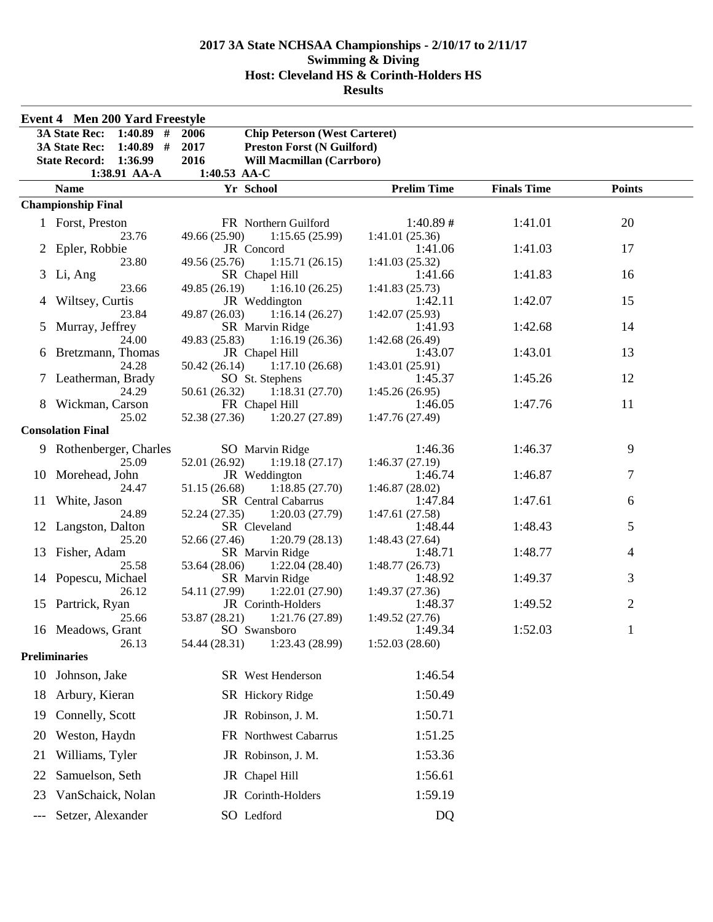| <b>Event 4 Men 200 Yard Freestyle</b> |                                     |                                                    |                           |                    |                |  |  |  |
|---------------------------------------|-------------------------------------|----------------------------------------------------|---------------------------|--------------------|----------------|--|--|--|
|                                       | 3A State Rec: 1:40.89 #             | 2006<br><b>Chip Peterson (West Carteret)</b>       |                           |                    |                |  |  |  |
|                                       | $1:40.89$ #<br><b>3A State Rec:</b> | 2017<br><b>Preston Forst (N Guilford)</b>          |                           |                    |                |  |  |  |
|                                       | <b>State Record: 1:36.99</b>        | 2016<br><b>Will Macmillan (Carrboro)</b>           |                           |                    |                |  |  |  |
|                                       | 1:38.91 AA-A<br>1:40.53 AA-C        |                                                    |                           |                    |                |  |  |  |
|                                       | <b>Name</b>                         | Yr School                                          | <b>Prelim Time</b>        | <b>Finals Time</b> | <b>Points</b>  |  |  |  |
|                                       | <b>Championship Final</b>           |                                                    |                           |                    |                |  |  |  |
|                                       | 1 Forst, Preston                    | FR Northern Guilford                               | $1:40.89 \#$              | 1:41.01            | 20             |  |  |  |
|                                       | 23.76                               | 49.66 (25.90)<br>1:15.65(25.99)                    | 1:41.01(25.36)            |                    |                |  |  |  |
|                                       | 2 Epler, Robbie                     | JR Concord                                         | 1:41.06                   | 1:41.03            | 17             |  |  |  |
|                                       | 23.80                               | 49.56 (25.76)<br>1:15.71(26.15)                    | 1:41.03(25.32)            |                    | 16             |  |  |  |
|                                       | 3 Li, Ang<br>23.66                  | SR Chapel Hill<br>49.85 (26.19) 1:16.10 (26.25)    | 1:41.66<br>1:41.83(25.73) | 1:41.83            |                |  |  |  |
|                                       | 4 Wiltsey, Curtis                   | JR Weddington                                      | 1:42.11                   | 1:42.07            | 15             |  |  |  |
|                                       | 23.84                               | 1:16.14(26.27)<br>49.87 (26.03)                    | 1:42.07(25.93)            |                    |                |  |  |  |
| 5                                     | Murray, Jeffrey                     | SR Marvin Ridge                                    | 1:41.93                   | 1:42.68            | 14             |  |  |  |
|                                       | 24.00                               | 49.83 (25.83)<br>1:16.19(26.36)                    | 1:42.68(26.49)            |                    |                |  |  |  |
|                                       | 6 Bretzmann, Thomas                 | JR Chapel Hill                                     | 1:43.07                   | 1:43.01            | 13             |  |  |  |
|                                       | 24.28                               | 50.42(26.14)<br>1:17.10(26.68)                     | 1:43.01(25.91)            |                    |                |  |  |  |
|                                       | 7 Leatherman, Brady<br>24.29        | SO St. Stephens<br>$50.61(26.32)$ $1:18.31(27.70)$ | 1:45.37<br>1:45.26(26.95) | 1:45.26            | 12             |  |  |  |
|                                       | 8 Wickman, Carson                   | FR Chapel Hill                                     | 1:46.05                   | 1:47.76            | 11             |  |  |  |
|                                       | 25.02                               | 52.38 (27.36)<br>1:20.27(27.89)                    | 1:47.76 (27.49)           |                    |                |  |  |  |
|                                       | <b>Consolation Final</b>            |                                                    |                           |                    |                |  |  |  |
|                                       | 9 Rothenberger, Charles             | SO Marvin Ridge                                    | 1:46.36                   | 1:46.37            | 9              |  |  |  |
|                                       | 25.09                               | 52.01 (26.92)<br>1:19.18(27.17)                    | 1:46.37(27.19)            |                    |                |  |  |  |
|                                       | 10 Morehead, John                   | JR Weddington                                      | 1:46.74                   | 1:46.87            | 7              |  |  |  |
|                                       | 24.47                               | 51.15 (26.68)<br>1:18.85(27.70)                    | 1:46.87(28.02)            |                    |                |  |  |  |
|                                       | 11 White, Jason                     | <b>SR</b> Central Cabarrus                         | 1:47.84                   | 1:47.61            | 6              |  |  |  |
|                                       | 24.89<br>12 Langston, Dalton        | 52.24 (27.35)<br>1:20.03(27.79)<br>SR Cleveland    | 1:47.61(27.58)<br>1:48.44 | 1:48.43            | 5              |  |  |  |
|                                       | 25.20                               | 52.66 (27.46)<br>1:20.79(28.13)                    | 1:48.43(27.64)            |                    |                |  |  |  |
|                                       | 13 Fisher, Adam                     | SR Marvin Ridge                                    | 1:48.71                   | 1:48.77            | 4              |  |  |  |
|                                       | 25.58                               | 53.64 (28.06)<br>1:22.04(28.40)                    | 1:48.77(26.73)            |                    |                |  |  |  |
|                                       | 14 Popescu, Michael                 | SR Marvin Ridge                                    | 1:48.92                   | 1:49.37            | 3              |  |  |  |
|                                       | 26.12                               | 54.11 (27.99)<br>1:22.01(27.90)                    | 1:49.37(27.36)            |                    |                |  |  |  |
|                                       | 15 Partrick, Ryan                   | JR Corinth-Holders                                 | 1:48.37                   | 1:49.52            | $\overline{2}$ |  |  |  |
|                                       | 25.66<br>16 Meadows, Grant          | 53.87 (28.21)<br>1:21.76 (27.89)<br>SO Swansboro   | 1:49.52(27.76)<br>1:49.34 | 1:52.03            | 1              |  |  |  |
|                                       | 26.13                               | 1:23.43 (28.99)<br>54.44 (28.31)                   | 1:52.03(28.60)            |                    |                |  |  |  |
|                                       | <b>Preliminaries</b>                |                                                    |                           |                    |                |  |  |  |
|                                       | 10 Johnson, Jake                    | SR West Henderson                                  | 1:46.54                   |                    |                |  |  |  |
| 18                                    | Arbury, Kieran                      | SR Hickory Ridge                                   | 1:50.49                   |                    |                |  |  |  |
| 19                                    | Connelly, Scott                     | JR Robinson, J. M.                                 | 1:50.71                   |                    |                |  |  |  |
| 20                                    | Weston, Haydn                       | FR Northwest Cabarrus                              | 1:51.25                   |                    |                |  |  |  |
| 21                                    | Williams, Tyler                     | JR Robinson, J. M.                                 | 1:53.36                   |                    |                |  |  |  |
|                                       |                                     |                                                    |                           |                    |                |  |  |  |
| 22                                    | Samuelson, Seth                     | JR Chapel Hill                                     | 1:56.61                   |                    |                |  |  |  |
| 23                                    | VanSchaick, Nolan                   | JR Corinth-Holders                                 | 1:59.19                   |                    |                |  |  |  |
| ---                                   | Setzer, Alexander                   | SO Ledford                                         | DQ                        |                    |                |  |  |  |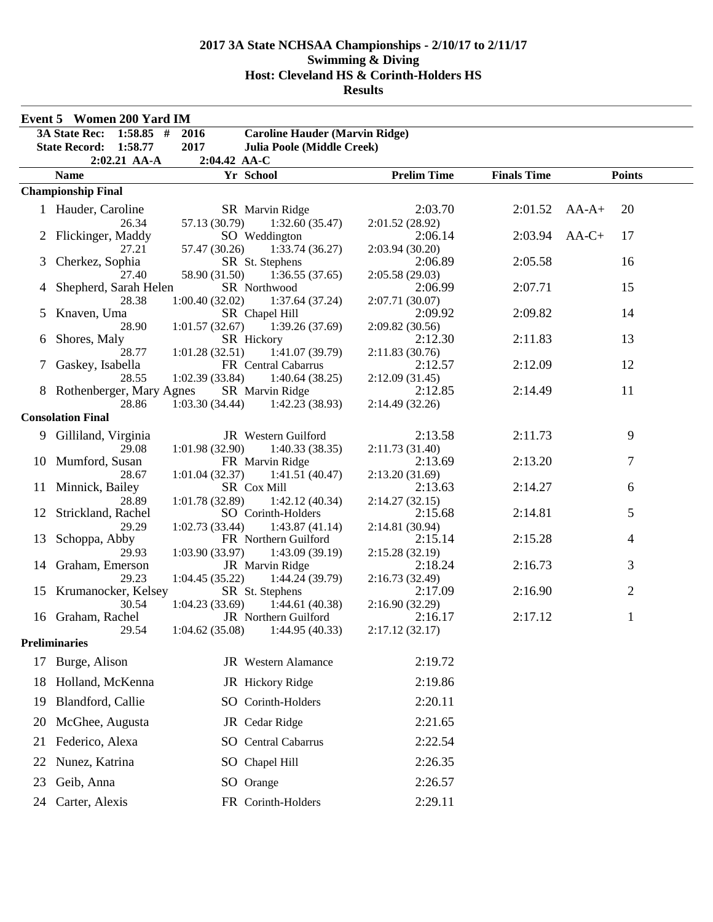| <b>Event 5 Women 200 Yard IM</b> |                                     |                                                           |                            |                    |                |  |  |
|----------------------------------|-------------------------------------|-----------------------------------------------------------|----------------------------|--------------------|----------------|--|--|
|                                  | <b>3A State Rec:</b><br>$1:58.85$ # | <b>Caroline Hauder (Marvin Ridge)</b><br>2016             |                            |                    |                |  |  |
|                                  | State Record: 1:58.77               | 2017<br><b>Julia Poole (Middle Creek)</b>                 |                            |                    |                |  |  |
|                                  | 2:02.21 AA-A                        | 2:04.42 AA-C                                              |                            |                    |                |  |  |
|                                  | <b>Name</b>                         | Yr School                                                 | <b>Prelim Time</b>         | <b>Finals Time</b> | <b>Points</b>  |  |  |
|                                  | <b>Championship Final</b>           |                                                           |                            |                    |                |  |  |
|                                  | 1 Hauder, Caroline                  | SR Marvin Ridge                                           | 2:03.70                    | 2:01.52            | $AA-A+$<br>20  |  |  |
|                                  | 26.34                               | 57.13 (30.79)<br>1:32.60(35.47)                           | 2:01.52 (28.92)            |                    |                |  |  |
|                                  | 2 Flickinger, Maddy                 | SO Weddington                                             | 2:06.14                    | 2:03.94            | $AA-C+$<br>17  |  |  |
|                                  | 27.21                               | 57.47 (30.26)<br>1:33.74(36.27)                           | 2:03.94(30.20)             |                    |                |  |  |
| 3                                | Cherkez, Sophia                     | SR St. Stephens                                           | 2:06.89                    | 2:05.58            | 16             |  |  |
|                                  | 27.40                               | 58.90 (31.50)<br>1:36.55(37.65)                           | 2:05.58(29.03)             |                    |                |  |  |
| 4                                | Shepherd, Sarah Helen               | SR Northwood                                              | 2:06.99                    | 2:07.71            | 15             |  |  |
|                                  | 28.38                               | 1:00.40(32.02)<br>1:37.64(37.24)                          | 2:07.71 (30.07)            |                    |                |  |  |
| 5                                | Knaven, Uma<br>28.90                | SR Chapel Hill<br>1:01.57(32.67)                          | 2:09.92                    | 2:09.82            | 14             |  |  |
| 6                                | Shores, Maly                        | 1:39.26(37.69)<br>SR Hickory                              | 2:09.82 (30.56)<br>2:12.30 | 2:11.83            | 13             |  |  |
|                                  | 28.77                               | 1:01.28(32.51)<br>1:41.07(39.79)                          | 2:11.83(30.76)             |                    |                |  |  |
| 7                                | Gaskey, Isabella                    | FR Central Cabarrus                                       | 2:12.57                    | 2:12.09            | 12             |  |  |
|                                  | 28.55                               | 1:02.39(33.84)<br>1:40.64(38.25)                          | 2:12.09(31.45)             |                    |                |  |  |
|                                  | 8 Rothenberger, Mary Agnes          | SR Marvin Ridge                                           | 2:12.85                    | 2:14.49            | 11             |  |  |
|                                  | 28.86                               | 1:03.30(34.44)<br>1:42.23(38.93)                          | 2:14.49(32.26)             |                    |                |  |  |
|                                  | <b>Consolation Final</b>            |                                                           |                            |                    |                |  |  |
|                                  | 9 Gilliland, Virginia               | JR Western Guilford                                       | 2:13.58                    | 2:11.73            | 9              |  |  |
|                                  | 29.08                               | 1:01.98(32.90)<br>1:40.33(38.35)                          | 2:11.73(31.40)             |                    |                |  |  |
|                                  | 10 Mumford, Susan                   | FR Marvin Ridge                                           | 2:13.69                    | 2:13.20            | 7              |  |  |
|                                  | 28.67                               | 1:01.04(32.37)<br>1:41.51(40.47)                          | 2:13.20(31.69)             |                    |                |  |  |
| 11                               | Minnick, Bailey                     | SR Cox Mill                                               | 2:13.63                    | 2:14.27            | 6              |  |  |
|                                  | 28.89                               | 1:01.78(32.89)<br>1:42.12(40.34)                          | 2:14.27(32.15)             |                    |                |  |  |
|                                  | Strickland, Rachel                  | SO Corinth-Holders                                        | 2:15.68                    | 2:14.81            | 5              |  |  |
|                                  | 29.29                               | 1:43.87(41.14)<br>1:02.73(33.44)                          | 2:14.81 (30.94)            |                    |                |  |  |
| 13                               | Schoppa, Abby<br>29.93              | FR Northern Guilford<br>1:03.90(33.97)<br>1:43.09 (39.19) | 2:15.14                    | 2:15.28            | 4              |  |  |
|                                  | 14 Graham, Emerson                  | JR Marvin Ridge                                           | 2:15.28(32.19)<br>2:18.24  | 2:16.73            | 3              |  |  |
|                                  | 29.23                               | 1:04.45 (35.22)<br>1:44.24 (39.79)                        | 2:16.73(32.49)             |                    |                |  |  |
|                                  | 15 Krumanocker, Kelsey              | SR St. Stephens                                           | 2:17.09                    | 2:16.90            | $\overline{2}$ |  |  |
|                                  | 30.54                               | 1:04.23(33.69)<br>1:44.61(40.38)                          | 2:16.90(32.29)             |                    |                |  |  |
|                                  | 16 Graham, Rachel                   | JR Northern Guilford                                      | 2:16.17                    | 2:17.12            | 1              |  |  |
|                                  | 29.54                               | 1:04.62(35.08)<br>1:44.95(40.33)                          | 2:17.12(32.17)             |                    |                |  |  |
|                                  | <b>Preliminaries</b>                |                                                           |                            |                    |                |  |  |
| 17                               | Burge, Alison                       | JR Western Alamance                                       | 2:19.72                    |                    |                |  |  |
| 18                               | Holland, McKenna                    | JR Hickory Ridge                                          | 2:19.86                    |                    |                |  |  |
| 19                               | Blandford, Callie                   | SO Corinth-Holders                                        | 2:20.11                    |                    |                |  |  |
| 20                               | McGhee, Augusta                     | JR Cedar Ridge                                            | 2:21.65                    |                    |                |  |  |
| 21                               | Federico, Alexa                     | <b>SO</b> Central Cabarrus                                | 2:22.54                    |                    |                |  |  |
| 22                               | Nunez, Katrina                      | SO Chapel Hill                                            | 2:26.35                    |                    |                |  |  |
| 23                               | Geib, Anna                          | SO Orange                                                 | 2:26.57                    |                    |                |  |  |
| 24                               | Carter, Alexis                      | FR Corinth-Holders                                        | 2:29.11                    |                    |                |  |  |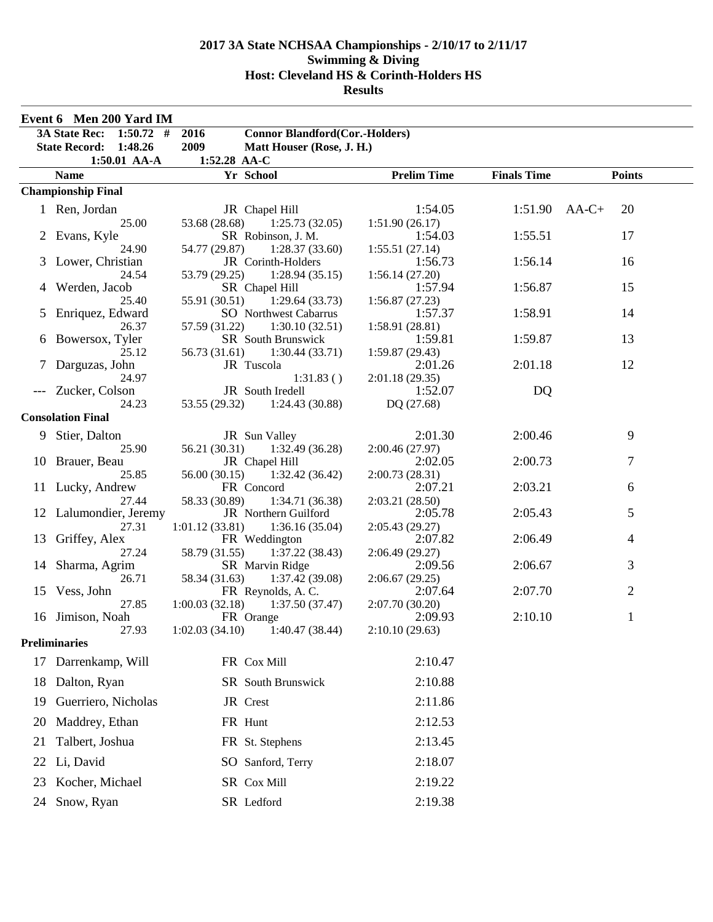|    | Event 6 Men 200 Yard IM   |                                                                 |                           |                    |                       |
|----|---------------------------|-----------------------------------------------------------------|---------------------------|--------------------|-----------------------|
|    | 3A State Rec: 1:50.72 #   | 2016<br><b>Connor Blandford(Cor.-Holders)</b>                   |                           |                    |                       |
|    | State Record: 1:48.26     | 2009<br>Matt Houser (Rose, J. H.)                               |                           |                    |                       |
|    | 1:50.01 AA-A              | 1:52.28 AA-C                                                    |                           |                    |                       |
|    | <b>Name</b>               | Yr School                                                       | <b>Prelim Time</b>        | <b>Finals Time</b> | <b>Points</b>         |
|    | <b>Championship Final</b> |                                                                 |                           |                    |                       |
|    | 1 Ren, Jordan             | JR Chapel Hill                                                  | 1:54.05                   |                    | 20<br>$1:51.90$ AA-C+ |
|    | 25.00                     | 1:25.73(32.05)<br>53.68 (28.68)                                 | 1:51.90(26.17)            |                    |                       |
|    | Evans, Kyle               | SR Robinson, J. M.                                              | 1:54.03                   | 1:55.51            | 17                    |
|    | 24.90                     | 54.77 (29.87)<br>1:28.37(33.60)                                 | 1:55.51(27.14)            |                    |                       |
|    | Lower, Christian          | JR Corinth-Holders                                              | 1:56.73                   | 1:56.14            | 16                    |
|    | 24.54                     | 53.79 (29.25)<br>1:28.94(35.15)                                 | 1:56.14(27.20)            |                    |                       |
|    | Werden, Jacob             | SR Chapel Hill                                                  | 1:57.94                   | 1:56.87            | 15                    |
|    | 25.40                     | 1:29.64(33.73)<br>55.91 (30.51)                                 | 1:56.87(27.23)            | 1:58.91            | 14                    |
| 5  | Enriquez, Edward<br>26.37 | <b>SO</b> Northwest Cabarrus<br>57.59 (31.22)<br>1:30.10(32.51) | 1:57.37<br>1:58.91(28.81) |                    |                       |
| 6  | Bowersox, Tyler           | SR South Brunswick                                              | 1:59.81                   | 1:59.87            | 13                    |
|    | 25.12                     | 56.73 (31.61)<br>1:30.44(33.71)                                 | 1:59.87(29.43)            |                    |                       |
|    | Darguzas, John            | JR Tuscola                                                      | 2:01.26                   | 2:01.18            | 12                    |
|    | 24.97                     | 1:31.83()                                                       | 2:01.18(29.35)            |                    |                       |
|    | Zucker, Colson            | JR South Iredell                                                | 1:52.07                   | DQ                 |                       |
|    | 24.23                     | 53.55 (29.32) 1:24.43 (30.88)                                   | DQ (27.68)                |                    |                       |
|    | <b>Consolation Final</b>  |                                                                 |                           |                    |                       |
|    | 9 Stier, Dalton           | JR Sun Valley                                                   | 2:01.30                   | 2:00.46            | 9                     |
|    | 25.90                     | 56.21 (30.31)<br>1:32.49(36.28)                                 | 2:00.46(27.97)            |                    |                       |
|    | 10 Brauer, Beau           | JR Chapel Hill                                                  | 2:02.05                   | 2:00.73            | $\tau$                |
|    | 25.85                     | 56.00 (30.15)<br>1:32.42(36.42)                                 | 2:00.73(28.31)            |                    |                       |
|    | 11 Lucky, Andrew          | FR Concord                                                      | 2:07.21                   | 2:03.21            | 6                     |
|    | 27.44                     | 58.33 (30.89)<br>1:34.71(36.38)                                 | 2:03.21(28.50)            |                    |                       |
|    | 12 Lalumondier, Jeremy    | JR Northern Guilford                                            | 2:05.78                   | 2:05.43            | 5                     |
| 13 | 27.31<br>Griffey, Alex    | 1:36.16(35.04)<br>1:01.12(33.81)<br>FR Weddington               | 2:05.43(29.27)<br>2:07.82 | 2:06.49            | $\overline{4}$        |
|    | 27.24                     | 58.79 (31.55)<br>1:37.22(38.43)                                 | 2:06.49(29.27)            |                    |                       |
| 14 | Sharma, Agrim             | SR Marvin Ridge                                                 | 2:09.56                   | 2:06.67            | 3                     |
|    | 26.71                     | 58.34 (31.63)<br>1:37.42(39.08)                                 | 2:06.67(29.25)            |                    |                       |
|    | 15 Vess, John             | FR Reynolds, A.C.                                               | 2:07.64                   | 2:07.70            | $\overline{2}$        |
|    | 27.85                     | 1:00.03(32.18)<br>1:37.50(37.47)                                | 2:07.70(30.20)            |                    |                       |
|    | 16 Jimison, Noah          | FR Orange                                                       | 2:09.93                   | 2:10.10            | 1                     |
|    | 27.93                     | 1:02.03(34.10)<br>1:40.47 (38.44)                               | 2:10.10(29.63)            |                    |                       |
|    | <b>Preliminaries</b>      |                                                                 |                           |                    |                       |
| 17 | Darrenkamp, Will          | FR Cox Mill                                                     | 2:10.47                   |                    |                       |
| 18 | Dalton, Ryan              | SR South Brunswick                                              | 2:10.88                   |                    |                       |
| 19 | Guerriero, Nicholas       | JR Crest                                                        | 2:11.86                   |                    |                       |
| 20 | Maddrey, Ethan            | FR Hunt                                                         | 2:12.53                   |                    |                       |
| 21 | Talbert, Joshua           | FR St. Stephens                                                 | 2:13.45                   |                    |                       |
| 22 | Li, David                 | SO Sanford, Terry                                               | 2:18.07                   |                    |                       |
| 23 | Kocher, Michael           | SR Cox Mill                                                     | 2:19.22                   |                    |                       |
| 24 | Snow, Ryan                | SR Ledford                                                      | 2:19.38                   |                    |                       |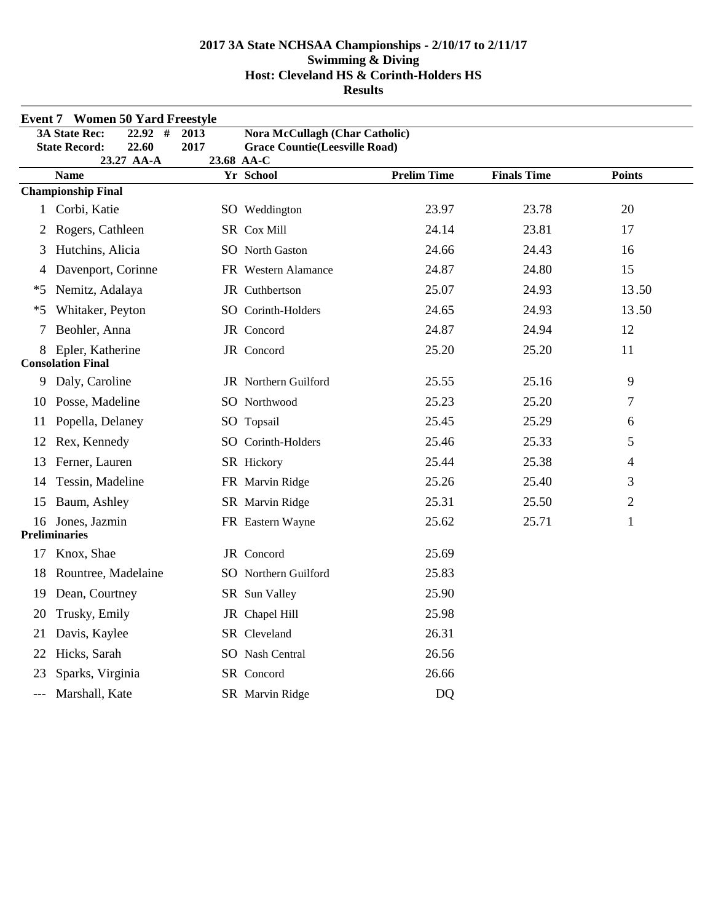|              | <b>Event 7 Women 50 Yard Freestyle</b>      |      |                                                    |                    |                    |                |
|--------------|---------------------------------------------|------|----------------------------------------------------|--------------------|--------------------|----------------|
|              | <b>3A State Rec:</b><br>22.92<br>#          | 2013 | <b>Nora McCullagh (Char Catholic)</b>              |                    |                    |                |
|              | <b>State Record:</b><br>22.60<br>23.27 AA-A | 2017 | <b>Grace Countie(Leesville Road)</b><br>23.68 AA-C |                    |                    |                |
|              | <b>Name</b>                                 |      | Yr School                                          | <b>Prelim Time</b> | <b>Finals Time</b> | <b>Points</b>  |
|              | <b>Championship Final</b>                   |      |                                                    |                    |                    |                |
| $\mathbf{1}$ | Corbi, Katie                                |      | SO Weddington                                      | 23.97              | 23.78              | 20             |
| 2            | Rogers, Cathleen                            |      | SR Cox Mill                                        | 24.14              | 23.81              | 17             |
| 3            | Hutchins, Alicia                            |      | SO North Gaston                                    | 24.66              | 24.43              | 16             |
| 4            | Davenport, Corinne                          |      | FR Western Alamance                                | 24.87              | 24.80              | 15             |
| *5           | Nemitz, Adalaya                             |      | JR Cuthbertson                                     | 25.07              | 24.93              | 13.50          |
| $*5$         | Whitaker, Peyton                            |      | SO Corinth-Holders                                 | 24.65              | 24.93              | 13.50          |
| 7            | Beohler, Anna                               |      | JR Concord                                         | 24.87              | 24.94              | 12             |
| 8            | Epler, Katherine                            |      | JR Concord                                         | 25.20              | 25.20              | 11             |
|              | <b>Consolation Final</b>                    |      |                                                    |                    |                    |                |
| 9            | Daly, Caroline                              |      | JR Northern Guilford                               | 25.55              | 25.16              | 9              |
| 10           | Posse, Madeline                             |      | SO Northwood                                       | 25.23              | 25.20              | 7              |
| 11           | Popella, Delaney                            |      | SO Topsail                                         | 25.45              | 25.29              | 6              |
| 12           | Rex, Kennedy                                |      | SO Corinth-Holders                                 | 25.46              | 25.33              | 5              |
| 13           | Ferner, Lauren                              |      | SR Hickory                                         | 25.44              | 25.38              | 4              |
| 14           | Tessin, Madeline                            |      | FR Marvin Ridge                                    | 25.26              | 25.40              | 3              |
| 15           | Baum, Ashley                                |      | SR Marvin Ridge                                    | 25.31              | 25.50              | $\overline{2}$ |
|              | 16 Jones, Jazmin                            |      | FR Eastern Wayne                                   | 25.62              | 25.71              | $\mathbf{1}$   |
|              | <b>Preliminaries</b>                        |      |                                                    |                    |                    |                |
| 17           | Knox, Shae                                  |      | JR Concord                                         | 25.69              |                    |                |
| 18           | Rountree, Madelaine                         |      | SO Northern Guilford                               | 25.83              |                    |                |
| 19           | Dean, Courtney                              |      | SR Sun Valley                                      | 25.90              |                    |                |
| 20           | Trusky, Emily                               |      | JR Chapel Hill                                     | 25.98              |                    |                |
| 21           | Davis, Kaylee                               |      | SR Cleveland                                       | 26.31              |                    |                |
| 22           | Hicks, Sarah                                |      | SO Nash Central                                    | 26.56              |                    |                |
| 23           | Sparks, Virginia                            |      | SR Concord                                         | 26.66              |                    |                |
|              | Marshall, Kate                              |      | SR Marvin Ridge                                    | D <sub>Q</sub>     |                    |                |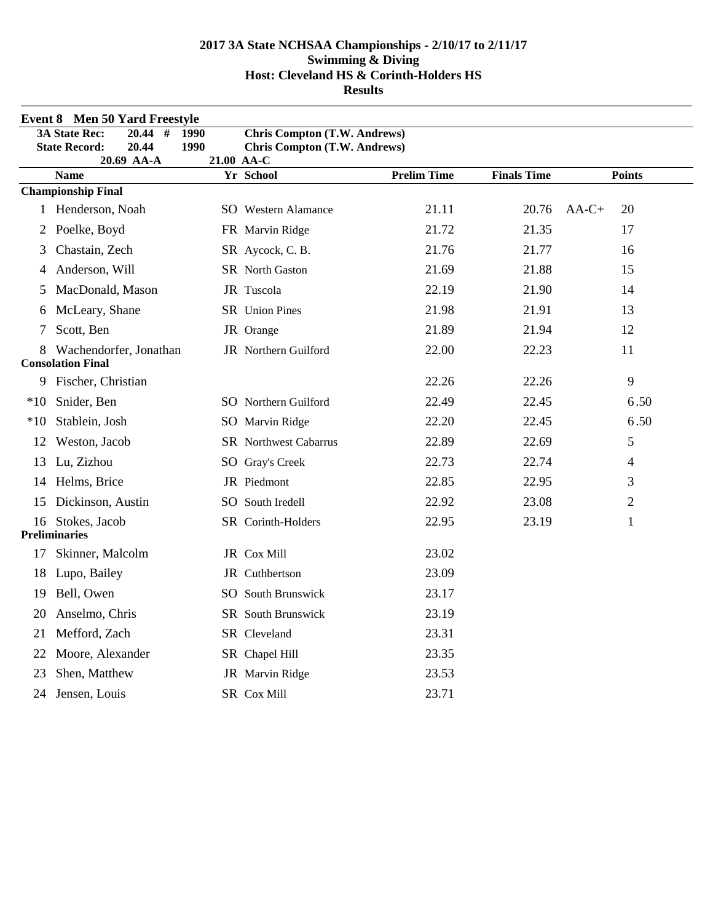|       | <b>Event 8 Men 50 Yard Freestyle</b>             |      |                                                   |                    |                    |               |
|-------|--------------------------------------------------|------|---------------------------------------------------|--------------------|--------------------|---------------|
|       | $\overline{\#}$<br><b>3A State Rec:</b><br>20.44 | 1990 | <b>Chris Compton (T.W. Andrews)</b>               |                    |                    |               |
|       | 20.44<br><b>State Record:</b><br>20.69 AA-A      | 1990 | <b>Chris Compton (T.W. Andrews)</b><br>21.00 AA-C |                    |                    |               |
|       | <b>Name</b>                                      |      | Yr School                                         | <b>Prelim Time</b> | <b>Finals Time</b> | <b>Points</b> |
|       | <b>Championship Final</b>                        |      |                                                   |                    |                    |               |
|       | 1 Henderson, Noah                                |      | <b>SO</b> Western Alamance                        | 21.11              | 20.76              | $AA-C+$<br>20 |
| 2     | Poelke, Boyd                                     |      | FR Marvin Ridge                                   | 21.72              | 21.35              | 17            |
| 3     | Chastain, Zech                                   |      | SR Aycock, C. B.                                  | 21.76              | 21.77              | 16            |
| 4     | Anderson, Will                                   |      | SR North Gaston                                   | 21.69              | 21.88              | 15            |
| 5     | MacDonald, Mason                                 |      | JR Tuscola                                        | 22.19              | 21.90              | 14            |
| 6     | McLeary, Shane                                   |      | SR Union Pines                                    | 21.98              | 21.91              | 13            |
| 7     | Scott, Ben                                       |      | JR Orange                                         | 21.89              | 21.94              | 12            |
|       | Wachendorfer, Jonathan                           |      | JR Northern Guilford                              | 22.00              | 22.23              | 11            |
|       | <b>Consolation Final</b>                         |      |                                                   |                    |                    |               |
| 9     | Fischer, Christian                               |      |                                                   | 22.26              | 22.26              | 9             |
| $*10$ | Snider, Ben                                      |      | SO Northern Guilford                              | 22.49              | 22.45              | 6.50          |
| $*10$ | Stablein, Josh                                   |      | SO Marvin Ridge                                   | 22.20              | 22.45              | 6.50          |
| 12    | Weston, Jacob                                    |      | <b>SR</b> Northwest Cabarrus                      | 22.89              | 22.69              | 5             |
| 13    | Lu, Zizhou                                       |      | SO Gray's Creek                                   | 22.73              | 22.74              | 4             |
| 14    | Helms, Brice                                     |      | JR Piedmont                                       | 22.85              | 22.95              | 3             |
| 15    | Dickinson, Austin                                |      | SO South Iredell                                  | 22.92              | 23.08              | 2             |
|       | 16 Stokes, Jacob                                 |      | SR Corinth-Holders                                | 22.95              | 23.19              | 1             |
|       | <b>Preliminaries</b>                             |      |                                                   |                    |                    |               |
| 17    | Skinner, Malcolm                                 |      | JR Cox Mill                                       | 23.02              |                    |               |
| 18    | Lupo, Bailey                                     |      | JR Cuthbertson                                    | 23.09              |                    |               |
| 19    | Bell, Owen                                       |      | <b>SO</b> South Brunswick                         | 23.17              |                    |               |
| 20    | Anselmo, Chris                                   |      | SR South Brunswick                                | 23.19              |                    |               |
| 21    | Mefford, Zach                                    |      | SR Cleveland                                      | 23.31              |                    |               |
| 22    | Moore, Alexander                                 |      | SR Chapel Hill                                    | 23.35              |                    |               |
| 23    | Shen, Matthew                                    |      | JR Marvin Ridge                                   | 23.53              |                    |               |
|       | 24 Jensen, Louis                                 |      | SR Cox Mill                                       | 23.71              |                    |               |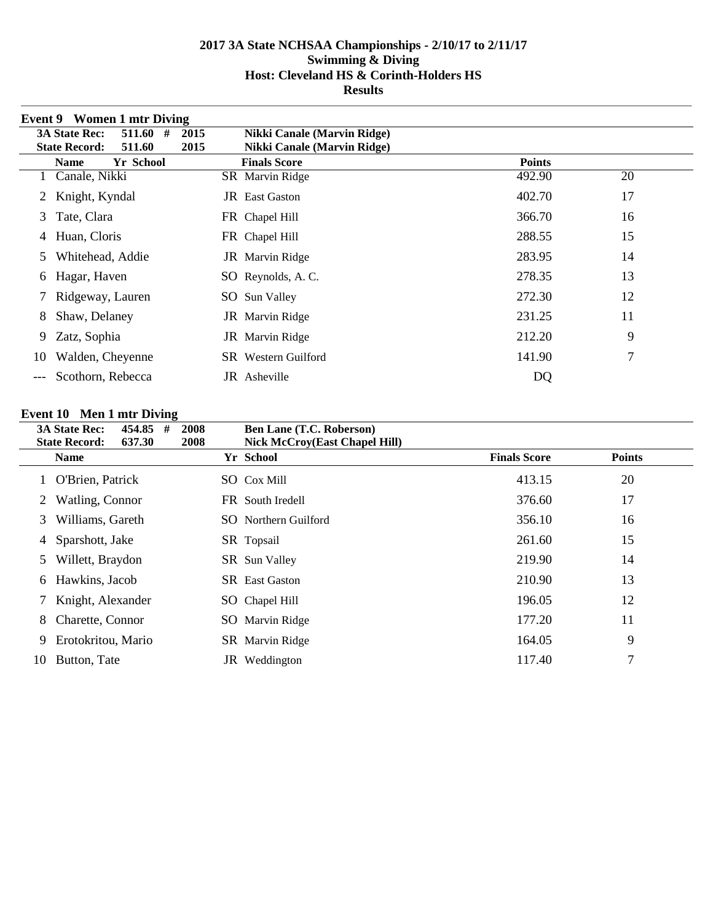|    | <b>Event 9</b> Women 1 mtr Diving   |      |                             |               |    |
|----|-------------------------------------|------|-----------------------------|---------------|----|
|    | <b>3A State Rec:</b><br>511.60<br># | 2015 | Nikki Canale (Marvin Ridge) |               |    |
|    | 511.60<br><b>State Record:</b>      | 2015 | Nikki Canale (Marvin Ridge) |               |    |
|    | Yr School<br><b>Name</b>            |      | <b>Finals Score</b>         | <b>Points</b> |    |
|    | Canale, Nikki                       |      | SR Marvin Ridge             | 492.90        | 20 |
| 2  | Knight, Kyndal                      |      | <b>JR</b> East Gaston       | 402.70        | 17 |
| 3  | Tate, Clara                         |      | FR Chapel Hill              | 366.70        | 16 |
| 4  | Huan, Cloris                        |      | FR Chapel Hill              | 288.55        | 15 |
| 5  | Whitehead, Addie                    |      | JR Marvin Ridge             | 283.95        | 14 |
| 6  | Hagar, Haven                        |      | SO Reynolds, A.C.           | 278.35        | 13 |
|    | Ridgeway, Lauren                    |      | SO Sun Valley               | 272.30        | 12 |
| 8  | Shaw, Delaney                       |      | JR Marvin Ridge             | 231.25        | 11 |
| 9  | Zatz, Sophia                        |      | JR Marvin Ridge             | 212.20        | 9  |
| 10 | Walden, Cheyenne                    |      | <b>SR</b> Western Guilford  | 141.90        | 7  |
|    | Scothorn, Rebecca                   |      | JR Asheville                | DQ            |    |

# **Event 10 Men 1 mtr Diving**

|    | <b>3A State Rec:</b><br>454.85<br>#           | 2008 | <b>Ben Lane (T.C. Roberson)</b>                   |                     |               |
|----|-----------------------------------------------|------|---------------------------------------------------|---------------------|---------------|
|    | <b>State Record:</b><br>637.30<br><b>Name</b> | 2008 | <b>Nick McCroy(East Chapel Hill)</b><br>Yr School | <b>Finals Score</b> | <b>Points</b> |
|    |                                               |      |                                                   |                     |               |
|    | O'Brien, Patrick                              |      | <b>SO</b> Cox Mill                                | 413.15              | 20            |
|    | Watling, Connor                               |      | FR South Iredell                                  | 376.60              | 17            |
| 3  | Williams, Gareth                              |      | <b>SO</b> Northern Guilford                       | 356.10              | 16            |
| 4  | Sparshott, Jake                               |      | SR Topsail                                        | 261.60              | 15            |
| 5  | Willett, Braydon                              |      | <b>SR</b> Sun Valley                              | 219.90              | 14            |
| 6  | Hawkins, Jacob                                |      | <b>SR</b> East Gaston                             | 210.90              | 13            |
|    | Knight, Alexander                             |      | SO Chapel Hill                                    | 196.05              | 12            |
| 8  | Charette, Connor                              |      | SO Marvin Ridge                                   | 177.20              | 11            |
| 9  | Erotokritou, Mario                            |      | SR Marvin Ridge                                   | 164.05              | 9             |
| 10 | Button, Tate                                  |      | JR Weddington                                     | 117.40              | 7             |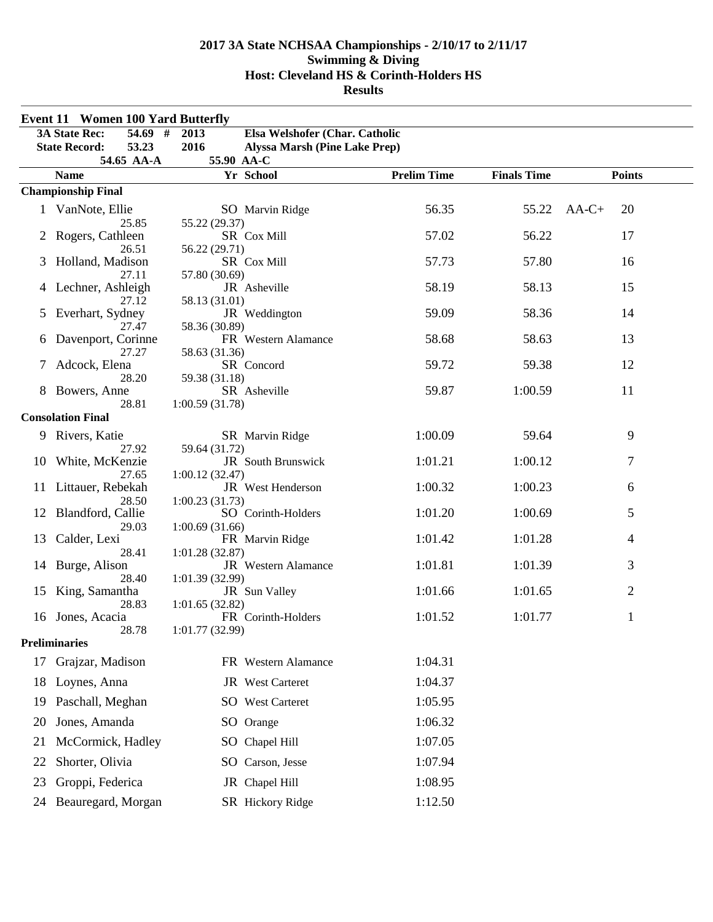| <b>Event 11 Women 100 Yard Butterfly</b> |                                             |                                               |                    |                    |                |
|------------------------------------------|---------------------------------------------|-----------------------------------------------|--------------------|--------------------|----------------|
|                                          | <b>3A State Rec:</b><br>$54.69$ #           | Elsa Welshofer (Char. Catholic<br>2013        |                    |                    |                |
|                                          | 53.23<br><b>State Record:</b><br>54.65 AA-A | 2016<br><b>Alyssa Marsh (Pine Lake Prep)</b>  |                    |                    |                |
|                                          | <b>Name</b>                                 | 55.90 AA-C<br>Yr School                       | <b>Prelim Time</b> | <b>Finals Time</b> | <b>Points</b>  |
|                                          | <b>Championship Final</b>                   |                                               |                    |                    |                |
|                                          | 1 VanNote, Ellie                            | SO Marvin Ridge                               | 56.35              | 55.22              | $AA-C+$<br>20  |
| 2                                        | 25.85<br>Rogers, Cathleen<br>26.51          | 55.22 (29.37)<br>SR Cox Mill<br>56.22 (29.71) | 57.02              | 56.22              | 17             |
| 3                                        | Holland, Madison<br>27.11                   | SR Cox Mill<br>57.80 (30.69)                  | 57.73              | 57.80              | 16             |
| 4                                        | Lechner, Ashleigh<br>27.12                  | JR Asheville<br>58.13 (31.01)                 | 58.19              | 58.13              | 15             |
| 5                                        | Everhart, Sydney<br>27.47                   | JR Weddington<br>58.36 (30.89)                | 59.09              | 58.36              | 14             |
| 6                                        | Davenport, Corinne<br>27.27                 | FR Western Alamance<br>58.63 (31.36)          | 58.68              | 58.63              | 13             |
| 7                                        | Adcock, Elena<br>28.20                      | SR Concord<br>59.38 (31.18)                   | 59.72              | 59.38              | 12             |
|                                          | Bowers, Anne<br>28.81                       | SR Asheville<br>1:00.59 (31.78)               | 59.87              | 1:00.59            | 11             |
|                                          | <b>Consolation Final</b>                    |                                               |                    |                    |                |
|                                          | 9 Rivers, Katie<br>27.92                    | SR Marvin Ridge<br>59.64 (31.72)              | 1:00.09            | 59.64              | 9              |
|                                          | 10 White, McKenzie<br>27.65                 | JR South Brunswick<br>1:00.12(32.47)          | 1:01.21            | 1:00.12            | 7              |
| 11                                       | Littauer, Rebekah<br>28.50                  | JR West Henderson<br>1:00.23(31.73)           | 1:00.32            | 1:00.23            | 6              |
| 12                                       | Blandford, Callie<br>29.03                  | SO Corinth-Holders<br>1:00.69(31.66)          | 1:01.20            | 1:00.69            | 5              |
| 13                                       | Calder, Lexi<br>28.41                       | FR Marvin Ridge<br>1:01.28(32.87)             | 1:01.42            | 1:01.28            | 4              |
| 14                                       | Burge, Alison<br>28.40                      | JR Western Alamance<br>1:01.39 (32.99)        | 1:01.81            | 1:01.39            | 3              |
| 15                                       | King, Samantha<br>28.83                     | JR Sun Valley<br>1:01.65(32.82)               | 1:01.66            | 1:01.65            | $\overline{2}$ |
| 16                                       | Jones, Acacia<br>28.78                      | FR Corinth-Holders<br>1:01.77 (32.99)         | 1:01.52            | 1:01.77            | $\mathbf{1}$   |
|                                          | <b>Preliminaries</b>                        |                                               |                    |                    |                |
| 17                                       | Grajzar, Madison                            | FR Western Alamance                           | 1:04.31            |                    |                |
| 18                                       | Loynes, Anna                                | JR West Carteret                              | 1:04.37            |                    |                |
| 19                                       | Paschall, Meghan                            | <b>SO</b> West Carteret                       | 1:05.95            |                    |                |
| 20                                       | Jones, Amanda                               | SO Orange                                     | 1:06.32            |                    |                |
| 21                                       | McCormick, Hadley                           | SO Chapel Hill                                | 1:07.05            |                    |                |
| 22                                       | Shorter, Olivia                             | SO Carson, Jesse                              | 1:07.94            |                    |                |
| 23                                       | Groppi, Federica                            | JR Chapel Hill                                | 1:08.95            |                    |                |
| 24                                       | Beauregard, Morgan                          | SR Hickory Ridge                              | 1:12.50            |                    |                |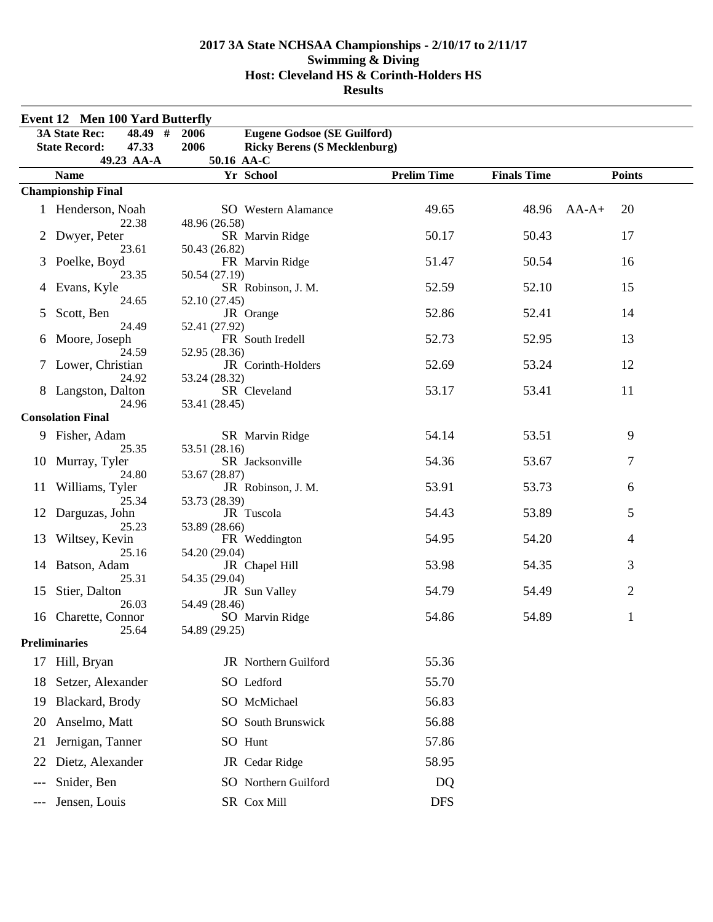|       | <b>Event 12 Men 100 Yard Butterfly</b> |                                             |                    |                    |                |
|-------|----------------------------------------|---------------------------------------------|--------------------|--------------------|----------------|
|       | <b>3A State Rec:</b><br>48.49 #        | <b>Eugene Godsoe (SE Guilford)</b><br>2006  |                    |                    |                |
|       | 47.33<br><b>State Record:</b>          | 2006<br><b>Ricky Berens (S Mecklenburg)</b> |                    |                    |                |
|       | 49.23 AA-A                             | 50.16 AA-C                                  |                    |                    |                |
|       | <b>Name</b>                            | Yr School                                   | <b>Prelim Time</b> | <b>Finals Time</b> | <b>Points</b>  |
|       | <b>Championship Final</b>              |                                             |                    |                    |                |
|       | 1 Henderson, Noah<br>22.38             | <b>SO</b> Western Alamance<br>48.96 (26.58) | 49.65              | 48.96              | $AA-A+$<br>20  |
|       | Dwyer, Peter<br>23.61                  | SR Marvin Ridge<br>50.43 (26.82)            | 50.17              | 50.43              | 17             |
|       | Poelke, Boyd<br>23.35                  | FR Marvin Ridge<br>50.54 (27.19)            | 51.47              | 50.54              | 16             |
|       | Evans, Kyle<br>24.65                   | SR Robinson, J. M.<br>52.10 (27.45)         | 52.59              | 52.10              | 15             |
| 5     | Scott, Ben<br>24.49                    | JR Orange<br>52.41 (27.92)                  | 52.86              | 52.41              | 14             |
| 6     | Moore, Joseph<br>24.59                 | FR South Iredell<br>52.95 (28.36)           | 52.73              | 52.95              | 13             |
|       | 7 Lower, Christian                     | JR Corinth-Holders                          | 52.69              | 53.24              | 12             |
|       | 24.92<br>8 Langston, Dalton            | 53.24 (28.32)<br>SR Cleveland               | 53.17              | 53.41              | 11             |
|       | 24.96<br><b>Consolation Final</b>      | 53.41 (28.45)                               |                    |                    |                |
|       | 9 Fisher, Adam<br>25.35                | SR Marvin Ridge<br>53.51 (28.16)            | 54.14              | 53.51              | 9              |
| 10    | Murray, Tyler<br>24.80                 | SR Jacksonville<br>53.67 (28.87)            | 54.36              | 53.67              | 7              |
| 11    | Williams, Tyler<br>25.34               | JR Robinson, J. M.<br>53.73 (28.39)         | 53.91              | 53.73              | 6              |
| 12    | Darguzas, John<br>25.23                | JR Tuscola<br>53.89 (28.66)                 | 54.43              | 53.89              | 5              |
| 13    | Wiltsey, Kevin<br>25.16                | FR Weddington<br>54.20 (29.04)              | 54.95              | 54.20              | $\overline{4}$ |
| 14    | Batson, Adam<br>25.31                  | JR Chapel Hill<br>54.35 (29.04)             | 53.98              | 54.35              | 3              |
| 15    | Stier, Dalton<br>26.03                 | JR Sun Valley<br>54.49 (28.46)              | 54.79              | 54.49              | $\overline{c}$ |
| 16    | Charette, Connor<br>25.64              | SO Marvin Ridge<br>54.89 (29.25)            | 54.86              | 54.89              | 1              |
|       | <b>Preliminaries</b>                   |                                             |                    |                    |                |
| 17    | Hill, Bryan                            | JR Northern Guilford                        | 55.36              |                    |                |
| 18    | Setzer, Alexander                      | SO Ledford                                  | 55.70              |                    |                |
| 19    | Blackard, Brody                        | SO McMichael                                | 56.83              |                    |                |
| 20    | Anselmo, Matt                          | SO South Brunswick                          | 56.88              |                    |                |
| 21    | Jernigan, Tanner                       | SO Hunt                                     | 57.86              |                    |                |
| 22    | Dietz, Alexander                       | JR Cedar Ridge                              | 58.95              |                    |                |
| $---$ | Snider, Ben                            | SO Northern Guilford                        | DQ                 |                    |                |
| ---   | Jensen, Louis                          | SR Cox Mill                                 | <b>DFS</b>         |                    |                |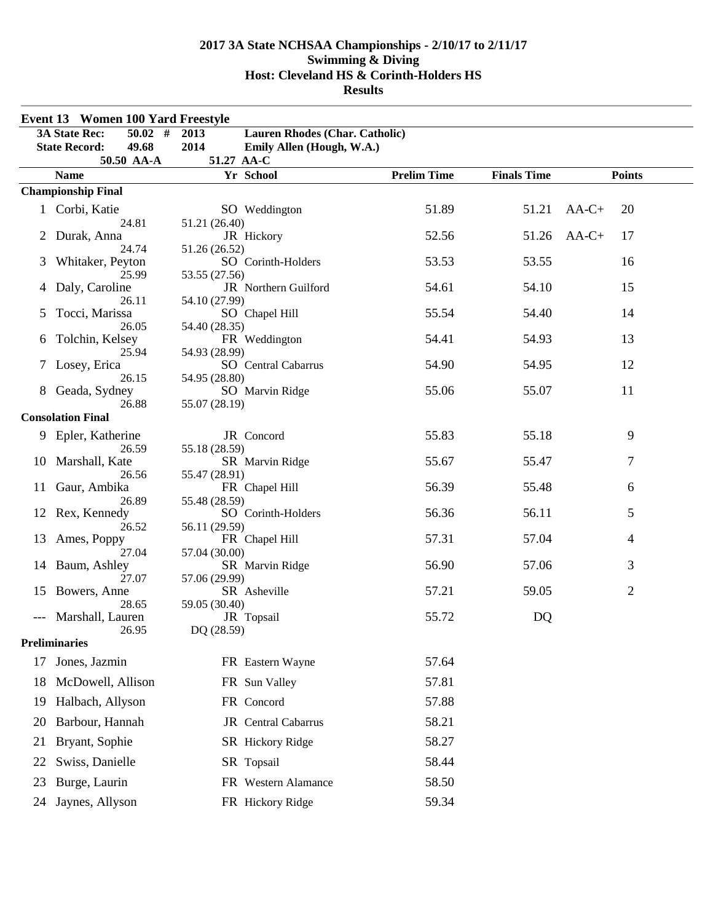|    | Event 13 Women 100 Yard Freestyle |                                                   |                    |                    |                |
|----|-----------------------------------|---------------------------------------------------|--------------------|--------------------|----------------|
|    | $50.02$ #<br><b>3A State Rec:</b> | <b>Lauren Rhodes (Char. Catholic)</b><br>2013     |                    |                    |                |
|    | <b>State Record:</b><br>49.68     | 2014<br>Emily Allen (Hough, W.A.)                 |                    |                    |                |
|    | 50.50 AA-A                        | 51.27 AA-C                                        |                    |                    |                |
|    | <b>Name</b>                       | Yr School                                         | <b>Prelim Time</b> | <b>Finals Time</b> | <b>Points</b>  |
|    | <b>Championship Final</b>         |                                                   |                    |                    |                |
|    | 1 Corbi, Katie<br>24.81           | SO Weddington<br>51.21 (26.40)                    | 51.89              | 51.21              | $AA-C+$<br>20  |
|    | Durak, Anna                       | JR Hickory                                        | 52.56              | 51.26              | $AA-C+$<br>17  |
| 3  | 24.74<br>Whitaker, Peyton         | 51.26 (26.52)<br>SO Corinth-Holders               | 53.53              | 53.55              | 16             |
| 4  | 25.99<br>Daly, Caroline           | 53.55 (27.56)<br>JR Northern Guilford             | 54.61              | 54.10              | 15             |
| 5  | 26.11<br>Tocci, Marissa<br>26.05  | 54.10 (27.99)<br>SO Chapel Hill                   | 55.54              | 54.40              | 14             |
| 6  | Tolchin, Kelsey<br>25.94          | 54.40 (28.35)<br>FR Weddington<br>54.93 (28.99)   | 54.41              | 54.93              | 13             |
| 7  | Losey, Erica                      | <b>SO</b> Central Cabarrus                        | 54.90              | 54.95              | 12             |
|    | 26.15<br>Geada, Sydney<br>26.88   | 54.95 (28.80)<br>SO Marvin Ridge<br>55.07 (28.19) | 55.06              | 55.07              | 11             |
|    | <b>Consolation Final</b>          |                                                   |                    |                    |                |
|    | 9 Epler, Katherine                | JR Concord                                        | 55.83              | 55.18              | 9              |
| 10 | 26.59<br>Marshall, Kate           | 55.18 (28.59)<br>SR Marvin Ridge                  | 55.67              | 55.47              | $\tau$         |
| 11 | 26.56<br>Gaur, Ambika             | 55.47 (28.91)<br>FR Chapel Hill                   | 56.39              | 55.48              | 6              |
| 12 | 26.89<br>Rex, Kennedy             | 55.48 (28.59)<br>SO Corinth-Holders               | 56.36              | 56.11              | 5              |
| 13 | 26.52<br>Ames, Poppy              | 56.11 (29.59)<br>FR Chapel Hill                   | 57.31              | 57.04              | $\overline{4}$ |
| 14 | 27.04<br>Baum, Ashley             | 57.04 (30.00)<br>SR Marvin Ridge                  | 56.90              | 57.06              | 3              |
| 15 | 27.07<br>Bowers, Anne             | 57.06 (29.99)<br>SR Asheville                     | 57.21              | 59.05              | $\overline{2}$ |
|    | 28.65<br>Marshall, Lauren         | 59.05 (30.40)<br>JR Topsail                       | 55.72              | DQ                 |                |
|    | 26.95<br><b>Preliminaries</b>     | DQ (28.59)                                        |                    |                    |                |
|    |                                   |                                                   |                    |                    |                |
| 17 | Jones, Jazmin                     | FR Eastern Wayne                                  | 57.64              |                    |                |
| 18 | McDowell, Allison                 | FR Sun Valley                                     | 57.81              |                    |                |
| 19 | Halbach, Allyson                  | FR Concord                                        | 57.88              |                    |                |
| 20 | Barbour, Hannah                   | JR Central Cabarrus                               | 58.21              |                    |                |
| 21 | Bryant, Sophie                    | SR Hickory Ridge                                  | 58.27              |                    |                |
| 22 | Swiss, Danielle                   | SR Topsail                                        | 58.44              |                    |                |
| 23 | Burge, Laurin                     | FR Western Alamance                               | 58.50              |                    |                |
| 24 | Jaynes, Allyson                   | FR Hickory Ridge                                  | 59.34              |                    |                |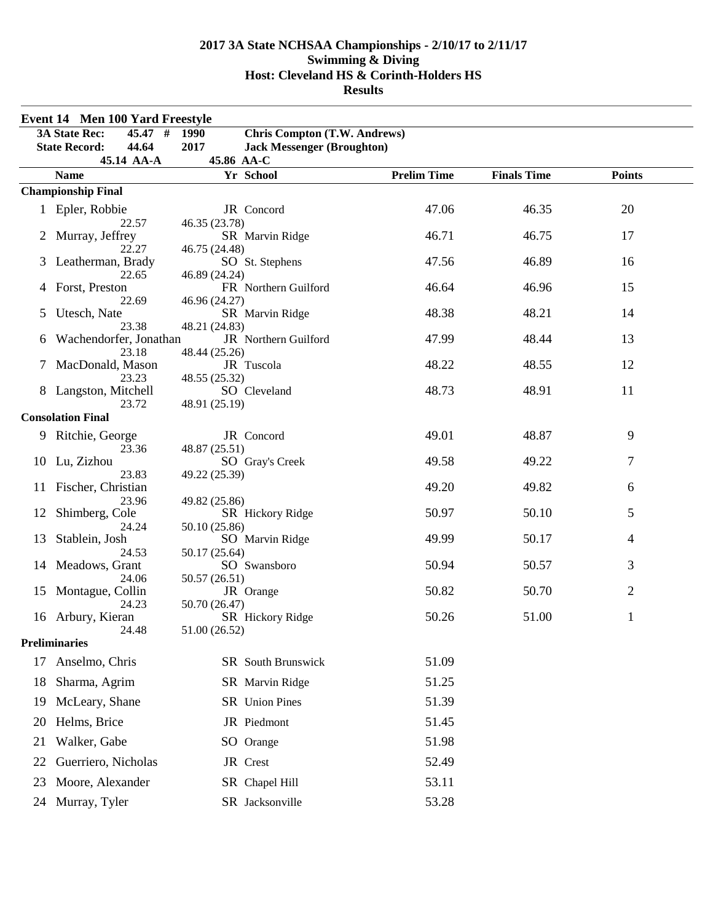|    | <b>Event 14 Men 100 Yard Freestyle</b>   |                                             |                    |                    |               |  |
|----|------------------------------------------|---------------------------------------------|--------------------|--------------------|---------------|--|
|    | <b>3A State Rec:</b><br>#<br>45.47       | <b>Chris Compton (T.W. Andrews)</b><br>1990 |                    |                    |               |  |
|    | <b>State Record:</b><br>44.64            | 2017<br><b>Jack Messenger (Broughton)</b>   |                    |                    |               |  |
|    | 45.14 AA-A                               | 45.86 AA-C<br>Yr School                     | <b>Prelim Time</b> | <b>Finals Time</b> | <b>Points</b> |  |
|    | <b>Name</b><br><b>Championship Final</b> |                                             |                    |                    |               |  |
|    |                                          |                                             |                    |                    |               |  |
|    | 1 Epler, Robbie<br>22.57                 | JR Concord<br>46.35 (23.78)                 | 47.06              | 46.35              | 20            |  |
|    | Murray, Jeffrey                          | SR Marvin Ridge                             | 46.71              | 46.75              | 17            |  |
|    | 22.27                                    | 46.75 (24.48)                               |                    |                    |               |  |
| 3  | Leatherman, Brady                        | SO St. Stephens                             | 47.56              | 46.89              | 16            |  |
|    | 22.65                                    | 46.89 (24.24)                               |                    |                    |               |  |
| 4  | Forst, Preston<br>22.69                  | FR Northern Guilford<br>46.96 (24.27)       | 46.64              | 46.96              | 15            |  |
| 5  | Utesch, Nate                             | SR Marvin Ridge                             | 48.38              | 48.21              | 14            |  |
|    | 23.38                                    | 48.21 (24.83)                               |                    |                    |               |  |
| 6  | Wachendorfer, Jonathan                   | JR Northern Guilford                        | 47.99              | 48.44              | 13            |  |
|    | 23.18<br>MacDonald, Mason                | 48.44 (25.26)<br>JR Tuscola                 | 48.22              | 48.55              | 12            |  |
|    | 23.23                                    | 48.55 (25.32)                               |                    |                    |               |  |
|    | Langston, Mitchell                       | SO Cleveland                                | 48.73              | 48.91              | 11            |  |
|    | 23.72                                    | 48.91 (25.19)                               |                    |                    |               |  |
|    | <b>Consolation Final</b>                 |                                             |                    |                    |               |  |
| 9  | Ritchie, George                          | JR Concord                                  | 49.01              | 48.87              | 9             |  |
|    | 23.36                                    | 48.87 (25.51)                               |                    |                    |               |  |
| 10 | Lu, Zizhou<br>23.83                      | SO Gray's Creek<br>49.22 (25.39)            | 49.58              | 49.22              | 7             |  |
| 11 | Fischer, Christian                       |                                             | 49.20              | 49.82              | 6             |  |
|    | 23.96                                    | 49.82 (25.86)                               |                    |                    |               |  |
| 12 | Shimberg, Cole                           | SR Hickory Ridge                            | 50.97              | 50.10              | 5             |  |
|    | 24.24                                    | 50.10 (25.86)                               | 49.99              | 50.17              | 4             |  |
| 13 | Stablein, Josh<br>24.53                  | SO Marvin Ridge<br>50.17 (25.64)            |                    |                    |               |  |
| 14 | Meadows, Grant                           | SO Swansboro                                | 50.94              | 50.57              | 3             |  |
|    | 24.06                                    | 50.57 (26.51)                               |                    |                    |               |  |
| 15 | Montague, Collin                         | JR Orange                                   | 50.82              | 50.70              | 2             |  |
|    | 24.23<br>16 Arbury, Kieran               | 50.70 (26.47)<br>SR Hickory Ridge           | 50.26              | 51.00              | $\mathbf{1}$  |  |
|    | 24.48                                    | 51.00 (26.52)                               |                    |                    |               |  |
|    | <b>Preliminaries</b>                     |                                             |                    |                    |               |  |
| 17 | Anselmo, Chris                           | SR South Brunswick                          | 51.09              |                    |               |  |
| 18 | Sharma, Agrim                            | SR Marvin Ridge                             | 51.25              |                    |               |  |
|    |                                          |                                             |                    |                    |               |  |
| 19 | McLeary, Shane                           | SR Union Pines                              | 51.39              |                    |               |  |
| 20 | Helms, Brice                             | JR Piedmont                                 | 51.45              |                    |               |  |
| 21 | Walker, Gabe                             | SO Orange                                   | 51.98              |                    |               |  |
| 22 | Guerriero, Nicholas                      | JR Crest                                    | 52.49              |                    |               |  |
| 23 | Moore, Alexander                         | SR Chapel Hill                              | 53.11              |                    |               |  |
|    | 24 Murray, Tyler                         | SR Jacksonville                             | 53.28              |                    |               |  |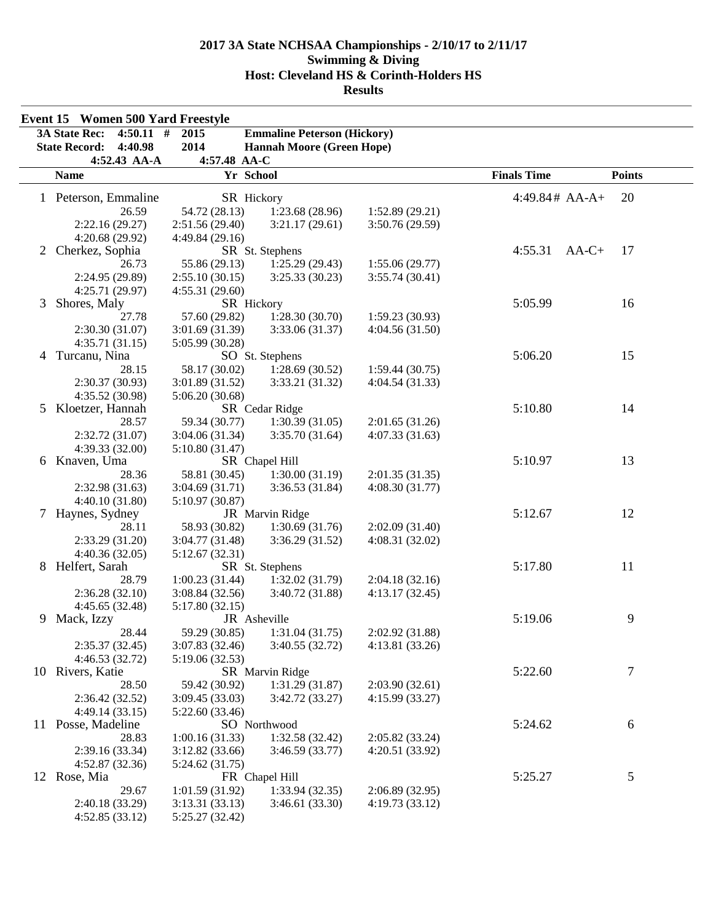|    | <b>Event 15 Women 500 Yard Freestyle</b> |                 |                                    |                 |                    |               |
|----|------------------------------------------|-----------------|------------------------------------|-----------------|--------------------|---------------|
|    | <b>3A State Rec:</b><br>$4:50.11$ #      | 2015            | <b>Emmaline Peterson (Hickory)</b> |                 |                    |               |
|    | <b>State Record:</b><br>4:40.98          | 2014            | <b>Hannah Moore (Green Hope)</b>   |                 |                    |               |
|    | 4:52.43 AA-A                             | 4:57.48 AA-C    |                                    |                 |                    |               |
|    | <b>Name</b>                              | Yr School       |                                    |                 | <b>Finals Time</b> | <b>Points</b> |
|    |                                          |                 |                                    |                 | $4:49.84# AA-A+$   | 20            |
|    | 1 Peterson, Emmaline<br>26.59            | SR Hickory      |                                    |                 |                    |               |
|    |                                          | 54.72 (28.13)   | 1:23.68(28.96)                     | 1:52.89(29.21)  |                    |               |
|    | 2:22.16 (29.27)                          | 2:51.56(29.40)  | 3:21.17(29.61)                     | 3:50.76 (29.59) |                    |               |
|    | 4:20.68(29.92)                           | 4:49.84 (29.16) |                                    |                 |                    |               |
| 2  | Cherkez, Sophia                          |                 | SR St. Stephens                    |                 | 4:55.31<br>$AA-C+$ | 17            |
|    | 26.73                                    | 55.86 (29.13)   | 1:25.29(29.43)                     | 1:55.06(29.77)  |                    |               |
|    | 2:24.95 (29.89)                          | 2:55.10(30.15)  | 3:25.33(30.23)                     | 3:55.74(30.41)  |                    |               |
|    | 4:25.71 (29.97)                          | 4:55.31(29.60)  |                                    |                 |                    |               |
| 3  | Shores, Maly                             | SR Hickory      |                                    |                 | 5:05.99            | 16            |
|    | 27.78                                    | 57.60 (29.82)   | 1:28.30(30.70)                     | 1:59.23(30.93)  |                    |               |
|    | 2:30.30(31.07)                           | 3:01.69 (31.39) | 3:33.06 (31.37)                    | 4:04.56(31.50)  |                    |               |
|    | 4:35.71(31.15)                           | 5:05.99 (30.28) |                                    |                 |                    |               |
|    | 4 Turcanu, Nina                          |                 | SO St. Stephens                    |                 | 5:06.20            | 15            |
|    | 28.15                                    | 58.17 (30.02)   | 1:28.69(30.52)                     | 1:59.44(30.75)  |                    |               |
|    | 2:30.37(30.93)                           | 3:01.89 (31.52) | 3:33.21 (31.32)                    | 4:04.54 (31.33) |                    |               |
|    | 4:35.52 (30.98)                          | 5:06.20(30.68)  |                                    |                 |                    |               |
| 5  | Kloetzer, Hannah                         |                 | SR Cedar Ridge                     |                 | 5:10.80            | 14            |
|    | 28.57                                    | 59.34 (30.77)   | 1:30.39(31.05)                     | 2:01.65(31.26)  |                    |               |
|    | 2:32.72 (31.07)                          | 3:04.06(31.34)  | 3:35.70(31.64)                     | 4:07.33(31.63)  |                    |               |
|    | 4:39.33(32.00)                           | 5:10.80 (31.47) |                                    |                 |                    |               |
| 6  | Knaven, Uma                              |                 | SR Chapel Hill                     |                 | 5:10.97            | 13            |
|    | 28.36                                    | 58.81 (30.45)   | 1:30.00(31.19)                     | 2:01.35(31.35)  |                    |               |
|    | 2:32.98(31.63)                           | 3:04.69(31.71)  | 3:36.53(31.84)                     | 4:08.30(31.77)  |                    |               |
|    | 4:40.10(31.80)                           | 5:10.97 (30.87) |                                    |                 |                    |               |
| 7  | Haynes, Sydney                           |                 | JR Marvin Ridge                    |                 | 5:12.67            | 12            |
|    | 28.11                                    | 58.93 (30.82)   | 1:30.69(31.76)                     | 2:02.09(31.40)  |                    |               |
|    | 2:33.29(31.20)                           | 3:04.77 (31.48) | 3:36.29(31.52)                     | 4:08.31(32.02)  |                    |               |
|    | 4:40.36(32.05)                           | 5:12.67 (32.31) |                                    |                 |                    |               |
| 8  | Helfert, Sarah                           |                 | SR St. Stephens                    |                 | 5:17.80            | 11            |
|    | 28.79                                    | 1:00.23(31.44)  | 1:32.02(31.79)                     | 2:04.18(32.16)  |                    |               |
|    | 2:36.28(32.10)                           | 3:08.84 (32.56) | 3:40.72 (31.88)                    | 4:13.17(32.45)  |                    |               |
|    | 4:45.65(32.48)                           | 5:17.80(32.15)  |                                    |                 |                    |               |
| 9  | Mack, Izzy                               | JR Asheville    |                                    |                 | 5:19.06            | 9             |
|    | 28.44                                    | 59.29 (30.85)   | 1:31.04(31.75)                     | 2:02.92 (31.88) |                    |               |
|    | 2:35.37(32.45)                           | 3:07.83(32.46)  | 3:40.55(32.72)                     | 4:13.81 (33.26) |                    |               |
|    | 4:46.53(32.72)                           | 5:19.06 (32.53) |                                    |                 |                    |               |
|    | 10 Rivers, Katie                         |                 | SR Marvin Ridge                    |                 | 5:22.60            | 7             |
|    | 28.50                                    | 59.42 (30.92)   | 1:31.29(31.87)                     | 2:03.90(32.61)  |                    |               |
|    | 2:36.42(32.52)                           | 3:09.45 (33.03) | 3:42.72 (33.27)                    | 4:15.99 (33.27) |                    |               |
|    | 4:49.14(33.15)                           | 5:22.60(33.46)  |                                    |                 |                    |               |
| 11 | Posse, Madeline                          |                 | SO Northwood                       |                 | 5:24.62            | 6             |
|    | 28.83                                    | 1:00.16(31.33)  | 1:32.58(32.42)                     | 2:05.82 (33.24) |                    |               |
|    | 2:39.16 (33.34)                          | 3:12.82(33.66)  | 3:46.59(33.77)                     | 4:20.51 (33.92) |                    |               |
|    | 4:52.87(32.36)                           | 5:24.62 (31.75) |                                    |                 |                    |               |
|    | 12 Rose, Mia                             |                 | FR Chapel Hill                     |                 | 5:25.27            | 5             |
|    | 29.67                                    | 1:01.59(31.92)  | 1:33.94(32.35)                     | 2:06.89(32.95)  |                    |               |
|    | 2:40.18 (33.29)                          | 3:13.31(33.13)  | 3:46.61(33.30)                     | 4:19.73(33.12)  |                    |               |
|    | 4:52.85(33.12)                           | 5:25.27 (32.42) |                                    |                 |                    |               |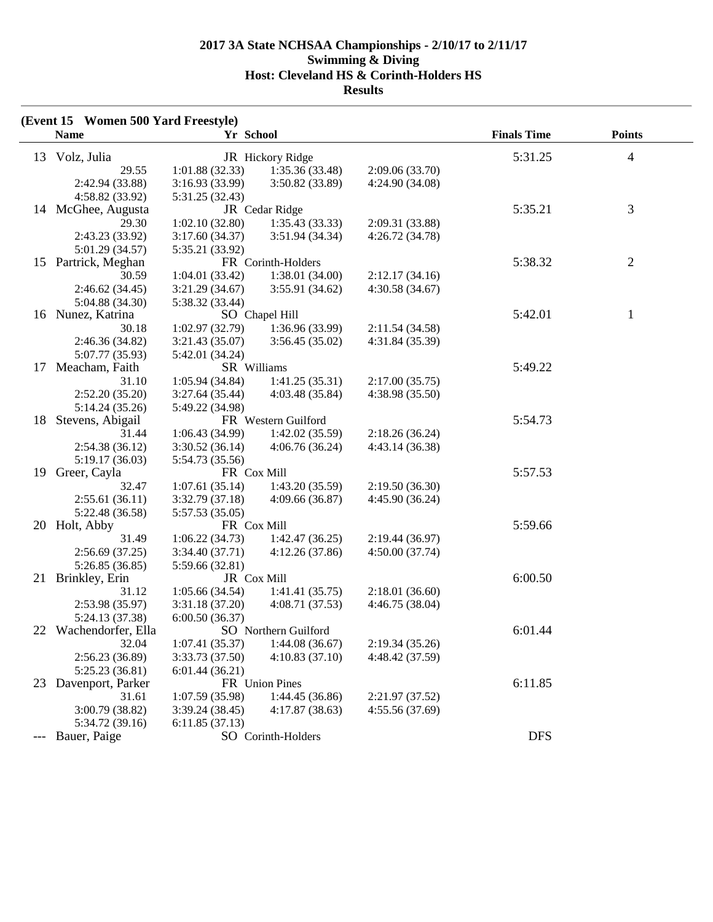|    | (Event 15 Women 500 Yard Freestyle) |                 |                      |                 |                    |                |  |
|----|-------------------------------------|-----------------|----------------------|-----------------|--------------------|----------------|--|
|    | <b>Name</b>                         | Yr School       |                      |                 | <b>Finals Time</b> | <b>Points</b>  |  |
|    | 13 Volz, Julia                      |                 | JR Hickory Ridge     |                 | 5:31.25            | $\overline{4}$ |  |
|    | 29.55                               | 1:01.88(32.33)  | 1:35.36 (33.48)      | 2:09.06 (33.70) |                    |                |  |
|    | 2:42.94 (33.88)                     | 3:16.93(33.99)  | 3:50.82 (33.89)      | 4:24.90 (34.08) |                    |                |  |
|    | 4:58.82 (33.92)                     | 5:31.25 (32.43) |                      |                 |                    |                |  |
|    | 14 McGhee, Augusta                  |                 | JR Cedar Ridge       |                 | 5:35.21            | 3              |  |
|    | 29.30                               | 1:02.10(32.80)  | 1:35.43(33.33)       | 2:09.31 (33.88) |                    |                |  |
|    | 2:43.23 (33.92)                     | 3:17.60(34.37)  | 3:51.94 (34.34)      | 4:26.72 (34.78) |                    |                |  |
|    | 5:01.29 (34.57)                     | 5:35.21 (33.92) |                      |                 |                    |                |  |
|    | 15 Partrick, Meghan                 |                 | FR Corinth-Holders   |                 | 5:38.32            | $\mathbf{2}$   |  |
|    |                                     |                 |                      |                 |                    |                |  |
|    | 30.59                               | 1:04.01(33.42)  | 1:38.01 (34.00)      | 2:12.17(34.16)  |                    |                |  |
|    | 2:46.62 (34.45)                     | 3:21.29(34.67)  | 3:55.91 (34.62)      | 4:30.58(34.67)  |                    |                |  |
|    | 5:04.88 (34.30)                     | 5:38.32 (33.44) |                      |                 |                    |                |  |
|    | 16 Nunez, Katrina                   |                 | SO Chapel Hill       |                 | 5:42.01            | 1              |  |
|    | 30.18                               | 1:02.97 (32.79) | 1:36.96 (33.99)      | 2:11.54 (34.58) |                    |                |  |
|    | 2:46.36 (34.82)                     | 3:21.43 (35.07) | 3:56.45(35.02)       | 4:31.84 (35.39) |                    |                |  |
|    | 5:07.77 (35.93)                     | 5:42.01 (34.24) |                      |                 |                    |                |  |
| 17 | Meacham, Faith                      | SR Williams     |                      |                 | 5:49.22            |                |  |
|    | 31.10                               | 1:05.94(34.84)  | 1:41.25(35.31)       | 2:17.00(35.75)  |                    |                |  |
|    | 2:52.20(35.20)                      | 3:27.64(35.44)  | 4:03.48 (35.84)      | 4:38.98 (35.50) |                    |                |  |
|    | 5:14.24 (35.26)                     | 5:49.22 (34.98) |                      |                 |                    |                |  |
| 18 | Stevens, Abigail                    |                 | FR Western Guilford  |                 | 5:54.73            |                |  |
|    | 31.44                               | 1:06.43 (34.99) | 1:42.02(35.59)       | 2:18.26(36.24)  |                    |                |  |
|    | 2:54.38 (36.12)                     | 3:30.52(36.14)  | 4:06.76(36.24)       | 4:43.14 (36.38) |                    |                |  |
|    | 5:19.17(36.03)                      | 5:54.73 (35.56) |                      |                 |                    |                |  |
| 19 | Greer, Cayla                        | FR Cox Mill     |                      |                 | 5:57.53            |                |  |
|    | 32.47                               | 1:07.61(35.14)  | 1:43.20(35.59)       | 2:19.50(36.30)  |                    |                |  |
|    | 2:55.61(36.11)                      | 3:32.79 (37.18) | 4:09.66(36.87)       | 4:45.90 (36.24) |                    |                |  |
|    | 5:22.48 (36.58)                     | 5:57.53 (35.05) |                      |                 |                    |                |  |
| 20 | Holt, Abby                          | FR Cox Mill     |                      |                 | 5:59.66            |                |  |
|    | 31.49                               | 1:06.22(34.73)  | 1:42.47(36.25)       | 2:19.44 (36.97) |                    |                |  |
|    | 2:56.69(37.25)                      | 3:34.40 (37.71) | 4:12.26(37.86)       | 4:50.00(37.74)  |                    |                |  |
|    | 5:26.85(36.85)                      | 5:59.66 (32.81) |                      |                 |                    |                |  |
| 21 | Brinkley, Erin                      | JR Cox Mill     |                      |                 | 6:00.50            |                |  |
|    | 31.12                               | 1:05.66(34.54)  | 1:41.41(35.75)       | 2:18.01(36.60)  |                    |                |  |
|    | 2:53.98 (35.97)                     | 3:31.18 (37.20) | 4:08.71(37.53)       | 4:46.75 (38.04) |                    |                |  |
|    | 5:24.13 (37.38)                     | 6:00.50(36.37)  |                      |                 |                    |                |  |
|    | 22 Wachendorfer, Ella               |                 | SO Northern Guilford |                 | 6:01.44            |                |  |
|    | 32.04                               | 1:07.41(35.37)  | 1:44.08(36.67)       | 2:19.34(35.26)  |                    |                |  |
|    | 2:56.23 (36.89)                     | 3:33.73 (37.50) | 4:10.83(37.10)       | 4:48.42 (37.59) |                    |                |  |
|    | 5:25.23(36.81)                      | 6:01.44(36.21)  |                      |                 |                    |                |  |
| 23 | Davenport, Parker                   |                 | FR Union Pines       |                 | 6:11.85            |                |  |
|    | 31.61                               | 1:07.59 (35.98) | 1:44.45(36.86)       | 2:21.97 (37.52) |                    |                |  |
|    | 3:00.79 (38.82)                     | 3:39.24(38.45)  | 4:17.87(38.63)       | 4:55.56 (37.69) |                    |                |  |
|    | 5:34.72 (39.16)                     | 6:11.85(37.13)  |                      |                 |                    |                |  |
|    | Bauer, Paige                        |                 | SO Corinth-Holders   |                 | <b>DFS</b>         |                |  |
|    |                                     |                 |                      |                 |                    |                |  |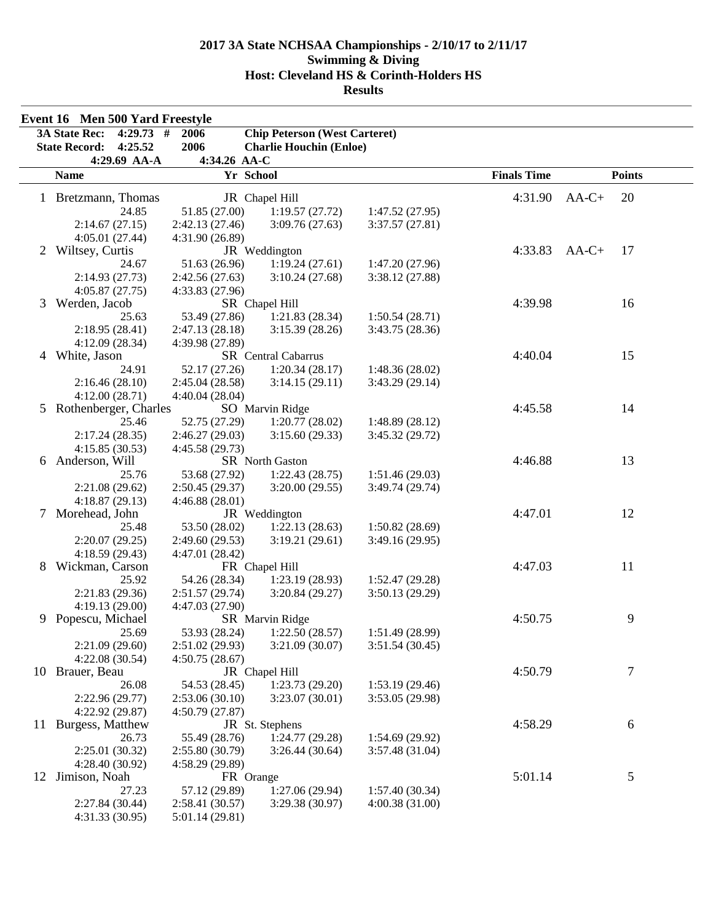|                | Event 16 Men 500 Yard Freestyle     |                 |                                      |                 |                    |               |
|----------------|-------------------------------------|-----------------|--------------------------------------|-----------------|--------------------|---------------|
|                | <b>3A State Rec:</b><br>$4:29.73$ # | 2006            | <b>Chip Peterson (West Carteret)</b> |                 |                    |               |
|                | 4:25.52<br><b>State Record:</b>     | 2006            | <b>Charlie Houchin (Enloe)</b>       |                 |                    |               |
|                | 4:29.69 AA-A                        | 4:34.26 AA-C    |                                      |                 |                    |               |
|                | <b>Name</b>                         | Yr School       |                                      |                 | <b>Finals Time</b> | <b>Points</b> |
|                | 1 Bretzmann, Thomas                 |                 | JR Chapel Hill                       |                 | 4:31.90            | 20<br>$AA-C+$ |
|                | 24.85                               | 51.85 (27.00)   | 1:19.57(27.72)                       | 1:47.52(27.95)  |                    |               |
|                | 2:14.67(27.15)                      | 2:42.13 (27.46) | 3:09.76(27.63)                       | 3:37.57(27.81)  |                    |               |
|                |                                     |                 |                                      |                 |                    |               |
| 2              | 4:05.01(27.44)                      | 4:31.90 (26.89) |                                      |                 | 4:33.83            | $AA-C+$<br>17 |
|                | Wiltsey, Curtis<br>24.67            |                 | JR Weddington<br>1:19.24(27.61)      | 1:47.20 (27.96) |                    |               |
|                |                                     | 51.63 (26.96)   |                                      |                 |                    |               |
|                | 2:14.93(27.73)                      | 2:42.56 (27.63) | 3:10.24(27.68)                       | 3:38.12 (27.88) |                    |               |
| 3              | 4:05.87(27.75)<br>Werden, Jacob     | 4:33.83 (27.96) | SR Chapel Hill                       |                 | 4:39.98            | 16            |
|                | 25.63                               | 53.49 (27.86)   | 1:21.83(28.34)                       | 1:50.54(28.71)  |                    |               |
|                | 2:18.95(28.41)                      | 2:47.13(28.18)  | 3:15.39(28.26)                       | 3:43.75 (28.36) |                    |               |
|                | 4:12.09(28.34)                      | 4:39.98 (27.89) |                                      |                 |                    |               |
| $\overline{4}$ | White, Jason                        |                 | SR Central Cabarrus                  |                 | 4:40.04            | 15            |
|                | 24.91                               | 52.17 (27.26)   | 1:20.34(28.17)                       | 1:48.36(28.02)  |                    |               |
|                | 2:16.46(28.10)                      | 2:45.04 (28.58) | 3:14.15(29.11)                       | 3:43.29 (29.14) |                    |               |
|                | 4:12.00(28.71)                      | 4:40.04 (28.04) |                                      |                 |                    |               |
| 5              | Rothenberger, Charles               |                 | SO Marvin Ridge                      |                 | 4:45.58            | 14            |
|                | 25.46                               | 52.75 (27.29)   | 1:20.77(28.02)                       | 1:48.89 (28.12) |                    |               |
|                | 2:17.24(28.35)                      | 2:46.27(29.03)  | 3:15.60(29.33)                       | 3:45.32 (29.72) |                    |               |
|                | 4:15.85(30.53)                      | 4:45.58 (29.73) |                                      |                 |                    |               |
| 6              | Anderson, Will                      |                 | SR North Gaston                      |                 | 4:46.88            | 13            |
|                | 25.76                               | 53.68 (27.92)   | 1:22.43(28.75)                       | 1:51.46(29.03)  |                    |               |
|                | 2:21.08(29.62)                      | 2:50.45 (29.37) | 3:20.00(29.55)                       | 3:49.74 (29.74) |                    |               |
|                | 4:18.87(29.13)                      | 4:46.88(28.01)  |                                      |                 |                    |               |
| 7              | Morehead, John                      |                 | JR Weddington                        |                 | 4:47.01            | 12            |
|                | 25.48                               | 53.50 (28.02)   | 1:22.13(28.63)                       | 1:50.82(28.69)  |                    |               |
|                | 2:20.07(29.25)                      | 2:49.60 (29.53) | 3:19.21(29.61)                       | 3:49.16 (29.95) |                    |               |
|                | 4:18.59(29.43)                      | 4:47.01 (28.42) |                                      |                 |                    |               |
| 8              | Wickman, Carson                     |                 | FR Chapel Hill                       |                 | 4:47.03            | 11            |
|                | 25.92                               | 54.26 (28.34)   | 1:23.19(28.93)                       | 1:52.47 (29.28) |                    |               |
|                | 2:21.83(29.36)                      | 2:51.57(29.74)  | 3:20.84(29.27)                       | 3:50.13 (29.29) |                    |               |
|                | 4:19.13(29.00)                      | 4:47.03 (27.90) |                                      |                 |                    |               |
| 9              | Popescu, Michael                    |                 | SR Marvin Ridge                      |                 | 4:50.75            | 9             |
|                | 25.69                               | 53.93 (28.24)   | 1:22.50(28.57)                       | 1:51.49 (28.99) |                    |               |
|                | 2:21.09(29.60)                      | 2:51.02 (29.93) | 3:21.09(30.07)                       | 3:51.54(30.45)  |                    |               |
|                | 4:22.08(30.54)                      | 4:50.75(28.67)  |                                      |                 |                    |               |
|                | 10 Brauer, Beau                     |                 | JR Chapel Hill                       |                 | 4:50.79            | 7             |
|                | 26.08                               | 54.53 (28.45)   | 1:23.73(29.20)                       | 1:53.19(29.46)  |                    |               |
|                | 2:22.96(29.77)                      | 2:53.06(30.10)  | 3:23.07(30.01)                       | 3:53.05 (29.98) |                    |               |
|                | 4:22.92 (29.87)                     | 4:50.79 (27.87) |                                      |                 |                    |               |
| 11             | Burgess, Matthew                    |                 | JR St. Stephens                      |                 | 4:58.29            | 6             |
|                | 26.73                               | 55.49 (28.76)   | 1:24.77(29.28)                       | 1:54.69(29.92)  |                    |               |
|                | 2:25.01 (30.32)                     | 2:55.80(30.79)  | 3:26.44(30.64)                       | 3:57.48 (31.04) |                    |               |
|                | 4:28.40(30.92)                      | 4:58.29 (29.89) |                                      |                 |                    |               |
| 12             | Jimison, Noah                       | FR Orange       |                                      |                 | 5:01.14            | 5             |
|                | 27.23                               | 57.12 (29.89)   | 1:27.06(29.94)                       | 1:57.40(30.34)  |                    |               |
|                | 2:27.84 (30.44)                     | 2:58.41 (30.57) | 3:29.38(30.97)                       | 4:00.38(31.00)  |                    |               |
|                | 4:31.33 (30.95)                     | 5:01.14(29.81)  |                                      |                 |                    |               |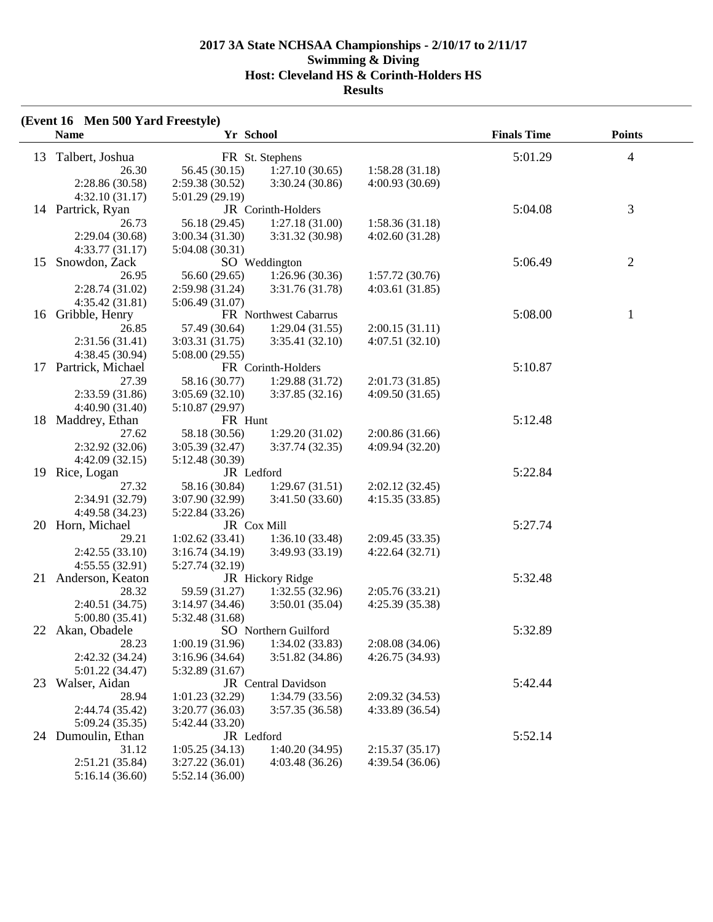|    | (Event 16 Men 500 Yard Freestyle) |                 |                       |                 |                    |                |
|----|-----------------------------------|-----------------|-----------------------|-----------------|--------------------|----------------|
|    | <b>Name</b>                       | Yr School       |                       |                 | <b>Finals Time</b> | <b>Points</b>  |
|    | 13 Talbert, Joshua                |                 | FR St. Stephens       |                 | 5:01.29            | $\overline{4}$ |
|    | 26.30                             | 56.45 (30.15)   | 1:27.10(30.65)        | 1:58.28(31.18)  |                    |                |
|    | 2:28.86 (30.58)                   | 2:59.38 (30.52) | 3:30.24(30.86)        | 4:00.93(30.69)  |                    |                |
|    | 4:32.10(31.17)                    | 5:01.29 (29.19) |                       |                 |                    |                |
|    | 14 Partrick, Ryan                 |                 | JR Corinth-Holders    |                 | 5:04.08            | 3              |
|    | 26.73                             | 56.18 (29.45)   | 1:27.18(31.00)        | 1:58.36(31.18)  |                    |                |
|    | 2:29.04 (30.68)                   | 3:00.34(31.30)  | 3:31.32 (30.98)       | 4:02.60(31.28)  |                    |                |
|    | 4:33.77(31.17)                    | 5:04.08(30.31)  |                       |                 |                    |                |
| 15 | Snowdon, Zack                     |                 | SO Weddington         |                 | 5:06.49            | $\overline{c}$ |
|    | 26.95                             | 56.60 (29.65)   | 1:26.96(30.36)        | 1:57.72(30.76)  |                    |                |
|    | 2:28.74 (31.02)                   | 2:59.98 (31.24) | 3:31.76 (31.78)       | 4:03.61(31.85)  |                    |                |
|    | 4:35.42 (31.81)                   | 5:06.49(31.07)  |                       |                 |                    |                |
| 16 | Gribble, Henry                    |                 | FR Northwest Cabarrus |                 | 5:08.00            | $\mathbf{1}$   |
|    | 26.85                             | 57.49 (30.64)   | 1:29.04(31.55)        | 2:00.15(31.11)  |                    |                |
|    | 2:31.56 (31.41)                   | 3:03.31 (31.75) | 3:35.41(32.10)        | 4:07.51(32.10)  |                    |                |
|    | 4:38.45 (30.94)                   | 5:08.00 (29.55) |                       |                 |                    |                |
| 17 | Partrick, Michael                 |                 | FR Corinth-Holders    |                 | 5:10.87            |                |
|    | 27.39                             | 58.16 (30.77)   | 1:29.88(31.72)        | 2:01.73(31.85)  |                    |                |
|    | 2:33.59 (31.86)                   | 3:05.69(32.10)  | 3:37.85(32.16)        | 4:09.50(31.65)  |                    |                |
|    | 4:40.90 (31.40)                   | 5:10.87 (29.97) |                       |                 |                    |                |
| 18 | Maddrey, Ethan                    | FR Hunt         |                       |                 | 5:12.48            |                |
|    | 27.62                             | 58.18 (30.56)   | 1:29.20(31.02)        | 2:00.86(31.66)  |                    |                |
|    | 2:32.92 (32.06)                   | 3:05.39 (32.47) | 3:37.74(32.35)        | 4:09.94 (32.20) |                    |                |
|    | 4:42.09(32.15)                    | 5:12.48 (30.39) |                       |                 |                    |                |
| 19 | Rice, Logan                       | JR Ledford      |                       |                 | 5:22.84            |                |
|    | 27.32                             | 58.16 (30.84)   | 1:29.67(31.51)        | 2:02.12(32.45)  |                    |                |
|    | 2:34.91 (32.79)                   | 3:07.90 (32.99) | 3:41.50(33.60)        | 4:15.35(33.85)  |                    |                |
|    | 4:49.58 (34.23)                   | 5:22.84 (33.26) |                       |                 |                    |                |
|    | 20 Horn, Michael                  | JR Cox Mill     |                       |                 | 5:27.74            |                |
|    | 29.21                             | 1:02.62(33.41)  | 1:36.10(33.48)        | 2:09.45(33.35)  |                    |                |
|    | 2:42.55 (33.10)                   | 3:16.74(34.19)  | 3:49.93(33.19)        | 4:22.64(32.71)  |                    |                |
|    | 4:55.55(32.91)                    | 5:27.74 (32.19) |                       |                 |                    |                |
| 21 | Anderson, Keaton                  |                 | JR Hickory Ridge      |                 | 5:32.48            |                |
|    | 28.32                             | 59.59 (31.27)   | 1:32.55(32.96)        | 2:05.76(33.21)  |                    |                |
|    | 2:40.51 (34.75)                   | 3:14.97(34.46)  | 3:50.01(35.04)        | 4:25.39 (35.38) |                    |                |
|    | 5:00.80(35.41)                    | 5:32.48 (31.68) |                       |                 |                    |                |
|    | 22 Akan, Obadele                  |                 | SO Northern Guilford  |                 | 5:32.89            |                |
|    | 28.23                             | 1:00.19(31.96)  | 1:34.02(33.83)        | 2:08.08(34.06)  |                    |                |
|    | 2:42.32 (34.24)                   | 3:16.96(34.64)  | 3:51.82(34.86)        | 4:26.75 (34.93) |                    |                |
|    | 5:01.22 (34.47)                   | 5:32.89 (31.67) |                       |                 |                    |                |
| 23 | Walser, Aidan                     |                 | JR Central Davidson   |                 | 5:42.44            |                |
|    | 28.94                             | 1:01.23(32.29)  | 1:34.79(33.56)        | 2:09.32 (34.53) |                    |                |
|    | 2:44.74 (35.42)                   | 3:20.77(36.03)  | 3:57.35(36.58)        | 4:33.89 (36.54) |                    |                |
|    | 5:09.24(35.35)                    | 5:42.44 (33.20) |                       |                 |                    |                |
|    | 24 Dumoulin, Ethan                | JR Ledford      |                       |                 | 5:52.14            |                |
|    | 31.12                             | 1:05.25(34.13)  | 1:40.20(34.95)        | 2:15.37(35.17)  |                    |                |
|    | 2:51.21(35.84)                    | 3:27.22(36.01)  | 4:03.48(36.26)        | 4:39.54(36.06)  |                    |                |
|    | 5:16.14(36.60)                    | 5:52.14(36.00)  |                       |                 |                    |                |
|    |                                   |                 |                       |                 |                    |                |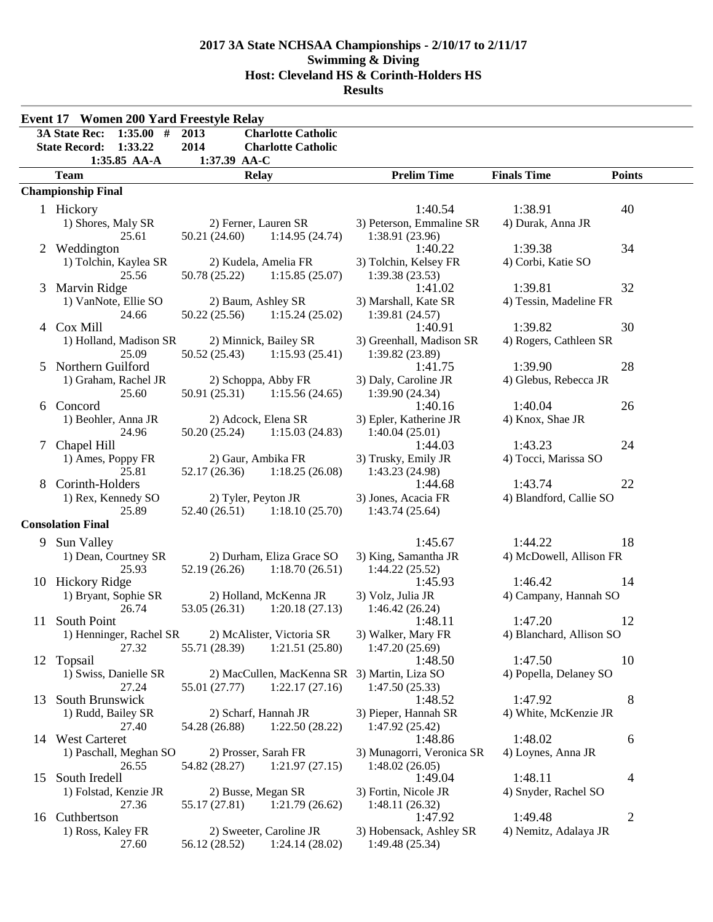|    | <b>Event 17 Women 200 Yard Freestyle Relay</b> |                                                                                 |                                    |                                  |                |
|----|------------------------------------------------|---------------------------------------------------------------------------------|------------------------------------|----------------------------------|----------------|
|    | 1:35.00#<br><b>3A State Rec:</b>               | <b>Charlotte Catholic</b><br>2013                                               |                                    |                                  |                |
|    | <b>State Record:</b><br>1:33.22                | 2014<br><b>Charlotte Catholic</b>                                               |                                    |                                  |                |
|    | 1:35.85 AA-A                                   | 1:37.39 AA-C                                                                    |                                    |                                  |                |
|    | <b>Team</b>                                    | <b>Relay</b>                                                                    | <b>Prelim Time</b>                 | <b>Finals Time</b>               | <b>Points</b>  |
|    | <b>Championship Final</b>                      |                                                                                 |                                    |                                  |                |
|    | 1 Hickory                                      |                                                                                 | 1:40.54                            | 1:38.91                          | 40             |
|    | 1) Shores, Maly SR                             | 2) Ferner, Lauren SR                                                            | 3) Peterson, Emmaline SR           | 4) Durak, Anna JR                |                |
|    | 25.61                                          | 50.21 (24.60) 1:14.95 (24.74)                                                   | 1:38.91 (23.96)                    |                                  |                |
| 2  | Weddington                                     |                                                                                 | 1:40.22                            | 1:39.38                          | 34             |
|    | 1) Tolchin, Kaylea SR                          | 2) Kudela, Amelia FR                                                            | 3) Tolchin, Kelsey FR              | 4) Corbi, Katie SO               |                |
|    | 25.56                                          | 50.78 (25.22)<br>1:15.85(25.07)                                                 | 1:39.38(23.53)                     |                                  |                |
| 3  | Marvin Ridge                                   |                                                                                 | 1:41.02                            | 1:39.81                          | 32             |
|    | 1) VanNote, Ellie SO                           | 2) Baum, Ashley SR                                                              | 3) Marshall, Kate SR               | 4) Tessin, Madeline FR           |                |
|    | 24.66<br>4 Cox Mill                            | 50.22 (25.56)<br>1:15.24(25.02)                                                 | 1:39.81(24.57)<br>1:40.91          | 1:39.82                          | 30             |
|    | 1) Holland, Madison SR                         | 2) Minnick, Bailey SR                                                           | 3) Greenhall, Madison SR           | 4) Rogers, Cathleen SR           |                |
|    | 25.09                                          | 50.52 (25.43)<br>1:15.93(25.41)                                                 | 1:39.82 (23.89)                    |                                  |                |
| 5  | Northern Guilford                              |                                                                                 | 1:41.75                            | 1:39.90                          | 28             |
|    | 1) Graham, Rachel JR                           | 2) Schoppa, Abby FR                                                             | 3) Daly, Caroline JR               | 4) Glebus, Rebecca JR            |                |
|    | 25.60                                          | 50.91 (25.31)<br>1:15.56(24.65)                                                 | 1:39.90(24.34)                     |                                  |                |
| 6  | Concord                                        |                                                                                 | 1:40.16                            | 1:40.04                          | 26             |
|    | 1) Beohler, Anna JR                            | 2) Adcock, Elena SR                                                             | 3) Epler, Katherine JR             | 4) Knox, Shae JR                 |                |
|    | 24.96                                          | 50.20 (25.24)<br>1:15.03(24.83)                                                 | 1:40.04(25.01)                     |                                  |                |
| 7  | Chapel Hill                                    |                                                                                 | 1:44.03                            | 1:43.23                          | 24             |
|    | 1) Ames, Poppy FR                              | 2) Gaur, Ambika FR                                                              | 3) Trusky, Emily JR                | 4) Tocci, Marissa SO             |                |
| 8  | 25.81<br>Corinth-Holders                       | 52.17 (26.36)<br>1:18.25(26.08)                                                 | 1:43.23 (24.98)<br>1:44.68         | 1:43.74                          | 22             |
|    | 1) Rex, Kennedy SO                             | 2) Tyler, Peyton JR                                                             | 3) Jones, Acacia FR                | 4) Blandford, Callie SO          |                |
|    | 25.89                                          | 52.40 (26.51)<br>1:18.10(25.70)                                                 | 1:43.74(25.64)                     |                                  |                |
|    | <b>Consolation Final</b>                       |                                                                                 |                                    |                                  |                |
| 9  | <b>Sun Valley</b>                              |                                                                                 | 1:45.67                            | 1:44.22                          | 18             |
|    | 1) Dean, Courtney SR                           | 2) Durham, Eliza Grace SO                                                       | 3) King, Samantha JR               | 4) McDowell, Allison FR          |                |
|    | 25.93                                          | 52.19 (26.26)<br>1:18.70(26.51)                                                 | 1:44.22(25.52)                     |                                  |                |
|    | 10 Hickory Ridge                               |                                                                                 | 1:45.93                            | 1:46.42                          | 14             |
|    | 1) Bryant, Sophie SR                           | 2) Holland, McKenna JR                                                          | 3) Volz, Julia JR                  | 4) Campany, Hannah SO            |                |
|    | 26.74                                          | 53.05 (26.31)<br>1:20.18(27.13)                                                 | 1:46.42(26.24)                     |                                  |                |
| 11 | South Point                                    |                                                                                 | 1:48.11                            | 1:47.20                          | 12             |
|    | 1) Henninger, Rachel SR                        | 2) McAlister, Victoria SR                                                       | 3) Walker, Mary FR                 | 4) Blanchard, Allison SO         |                |
|    | 27.32                                          | 1:21.51(25.80)<br>55.71 (28.39)                                                 | 1:47.20(25.69)                     |                                  |                |
|    | 12 Topsail                                     |                                                                                 | 1:48.50                            | 1:47.50                          | 10             |
|    | 1) Swiss, Danielle SR<br>27.24                 | 2) MacCullen, MacKenna SR 3) Martin, Liza SO<br>55.01 (27.77)<br>1:22.17(27.16) | 1:47.50(25.33)                     | 4) Popella, Delaney SO           |                |
| 13 | South Brunswick                                |                                                                                 | 1:48.52                            | 1:47.92                          | 8              |
|    | 1) Rudd, Bailey SR                             | 2) Scharf, Hannah JR                                                            | 3) Pieper, Hannah SR               | 4) White, McKenzie JR            |                |
|    | 27.40                                          | 54.28 (26.88)<br>1:22.50(28.22)                                                 | 1:47.92 (25.42)                    |                                  |                |
|    | 14 West Carteret                               |                                                                                 | 1:48.86                            | 1:48.02                          | 6              |
|    | 1) Paschall, Meghan SO                         | 2) Prosser, Sarah FR                                                            | 3) Munagorri, Veronica SR          | 4) Loynes, Anna JR               |                |
|    | 26.55                                          | 54.82 (28.27)<br>1:21.97(27.15)                                                 | 1:48.02(26.05)                     |                                  |                |
| 15 | South Iredell                                  |                                                                                 | 1:49.04                            | 1:48.11                          | 4              |
|    | 1) Folstad, Kenzie JR                          | 2) Busse, Megan SR                                                              | 3) Fortin, Nicole JR               | 4) Snyder, Rachel SO             |                |
|    | 27.36                                          | 55.17 (27.81)<br>1:21.79(26.62)                                                 | 1:48.11(26.32)                     |                                  |                |
|    | 16 Cuthbertson<br>1) Ross, Kaley FR            | 2) Sweeter, Caroline JR                                                         | 1:47.92<br>3) Hobensack, Ashley SR | 1:49.48<br>4) Nemitz, Adalaya JR | $\overline{c}$ |
|    | 27.60                                          | 56.12 (28.52)<br>1:24.14(28.02)                                                 | 1:49.48(25.34)                     |                                  |                |
|    |                                                |                                                                                 |                                    |                                  |                |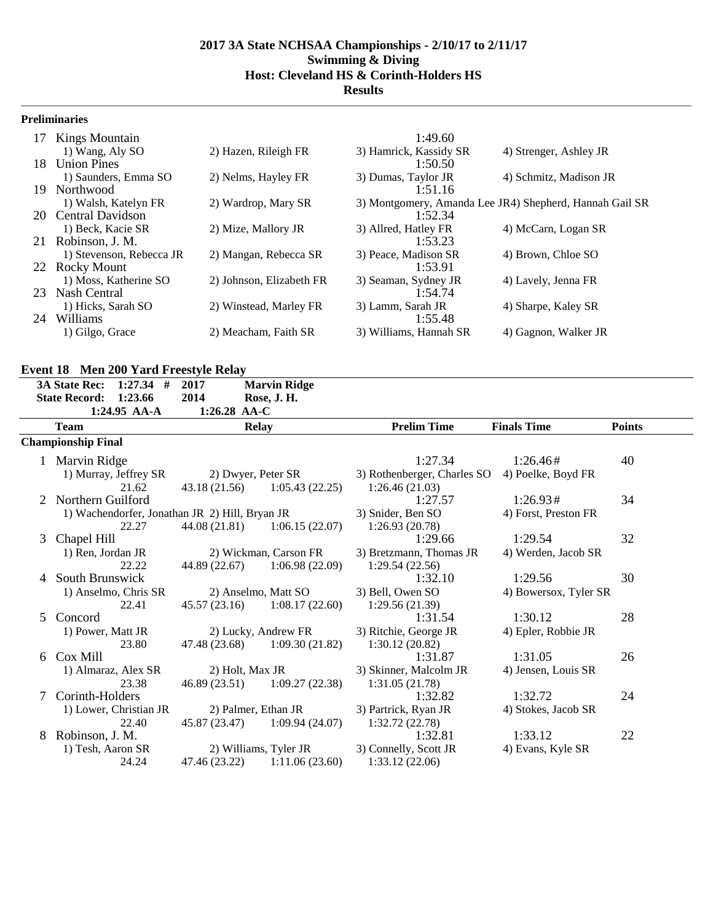#### **Preliminaries**

| 17  | Kings Mountain           |                          | 1:49.60                |                                                         |
|-----|--------------------------|--------------------------|------------------------|---------------------------------------------------------|
|     | 1) Wang, Aly SO          | 2) Hazen, Rileigh FR     | 3) Hamrick, Kassidy SR | 4) Strenger, Ashley JR                                  |
| 18. | <b>Union Pines</b>       |                          | 1:50.50                |                                                         |
|     | 1) Saunders, Emma SO     | 2) Nelms, Hayley FR      | 3) Dumas, Taylor JR    | 4) Schmitz, Madison JR                                  |
| 19. | Northwood                |                          | 1:51.16                |                                                         |
|     | 1) Walsh, Katelyn FR     | 2) Wardrop, Mary SR      |                        | 3) Montgomery, Amanda Lee JR4) Shepherd, Hannah Gail SR |
|     | 20 Central Davidson      |                          | 1:52.34                |                                                         |
|     | 1) Beck, Kacie SR        | 2) Mize, Mallory JR      | 3) Allred, Hatley FR   | 4) McCarn, Logan SR                                     |
| 21  | Robinson, J. M.          |                          | 1:53.23                |                                                         |
|     | 1) Stevenson, Rebecca JR | 2) Mangan, Rebecca SR    | 3) Peace, Madison SR   | 4) Brown, Chloe SO                                      |
|     | 22 Rocky Mount           |                          | 1:53.91                |                                                         |
|     | 1) Moss, Katherine SO    | 2) Johnson, Elizabeth FR | 3) Seaman, Sydney JR   | 4) Lavely, Jenna FR                                     |
| 23  | Nash Central             |                          | 1:54.74                |                                                         |
|     | 1) Hicks, Sarah SO       | 2) Winstead, Marley FR   | 3) Lamm, Sarah JR      | 4) Sharpe, Kaley SR                                     |
| 24  | Williams                 |                          | 1:55.48                |                                                         |
|     | 1) Gilgo, Grace          | 2) Meacham, Faith SR     | 3) Williams, Hannah SR | 4) Gagnon, Walker JR                                    |

# **Event 18 Men 200 Yard Freestyle Relay**

|   | <b>3A State Rec:</b>      | $1:27.34$ #            | 2017                                           | <b>Marvin Ridge</b>             |                             |                       |               |
|---|---------------------------|------------------------|------------------------------------------------|---------------------------------|-----------------------------|-----------------------|---------------|
|   | <b>State Record:</b>      | 1:23.66                | 2014                                           | Rose, J. H.                     |                             |                       |               |
|   |                           | 1:24.95 AA-A           | 1:26.28 AA-C                                   |                                 |                             |                       |               |
|   | <b>Team</b>               |                        |                                                | <b>Relay</b>                    | <b>Prelim Time</b>          | <b>Finals Time</b>    | <b>Points</b> |
|   | <b>Championship Final</b> |                        |                                                |                                 |                             |                       |               |
|   | 1 Marvin Ridge            |                        |                                                |                                 | 1:27.34                     | 1:26.46#              | 40            |
|   |                           | 1) Murray, Jeffrey SR  |                                                | 2) Dwyer, Peter SR              | 3) Rothenberger, Charles SO | 4) Poelke, Boyd FR    |               |
|   |                           | 21.62                  | 43.18 (21.56)                                  | 1:05.43(22.25)                  | 1:26.46(21.03)              |                       |               |
|   | Northern Guilford         |                        |                                                |                                 | 1:27.57                     | 1:26.93#              | 34            |
|   |                           |                        | 1) Wachendorfer, Jonathan JR 2) Hill, Bryan JR |                                 | 3) Snider, Ben SO           | 4) Forst, Preston FR  |               |
|   |                           | 22.27                  |                                                | $44.08(21.81)$ $1:06.15(22.07)$ | 1:26.93(20.78)              |                       |               |
| 3 | Chapel Hill               |                        |                                                |                                 | 1:29.66                     | 1:29.54               | 32            |
|   | 1) Ren, Jordan JR         |                        |                                                | 2) Wickman, Carson FR           | 3) Bretzmann, Thomas JR     | 4) Werden, Jacob SR   |               |
|   |                           | 22.22                  | 44.89 (22.67)                                  | 1:06.98(22.09)                  | 1:29.54(22.56)              |                       |               |
| 4 | South Brunswick           |                        |                                                |                                 | 1:32.10                     | 1:29.56               | 30            |
|   |                           | 1) Anselmo, Chris SR   |                                                | 2) Anselmo, Matt SO             | 3) Bell, Owen SO            | 4) Bowersox, Tyler SR |               |
|   |                           | 22.41                  |                                                | $45.57(23.16)$ $1:08.17(22.60)$ | 1:29.56(21.39)              |                       |               |
| 5 | Concord                   |                        |                                                |                                 | 1:31.54                     | 1:30.12               | 28            |
|   | 1) Power, Matt JR         |                        |                                                | 2) Lucky, Andrew FR             | 3) Ritchie, George JR       | 4) Epler, Robbie JR   |               |
|   |                           | 23.80                  |                                                | 47.48 (23.68) 1:09.30 (21.82)   | 1:30.12(20.82)              |                       |               |
| 6 | Cox Mill                  |                        |                                                |                                 | 1:31.87                     | 1:31.05               | 26            |
|   |                           | 1) Almaraz, Alex SR    | 2) Holt, Max JR                                |                                 | 3) Skinner, Malcolm JR      | 4) Jensen, Louis SR   |               |
|   |                           | 23.38                  | 46.89 (23.51)                                  | 1:09.27(22.38)                  | 1:31.05(21.78)              |                       |               |
|   | Corinth-Holders           |                        |                                                |                                 | 1:32.82                     | 1:32.72               | 24            |
|   |                           | 1) Lower, Christian JR |                                                | 2) Palmer, Ethan JR             | 3) Partrick, Ryan JR        | 4) Stokes, Jacob SR   |               |
|   |                           | 22.40                  | 45.87 (23.47)                                  | 1:09.94(24.07)                  | 1:32.72(22.78)              |                       |               |
| 8 | Robinson, J. M.           |                        |                                                |                                 | 1:32.81                     | 1:33.12               | 22            |
|   | 1) Tesh, Aaron SR         |                        |                                                | 2) Williams, Tyler JR           | 3) Connelly, Scott JR       | 4) Evans, Kyle SR     |               |
|   |                           | 24.24                  | 47.46 (23.22)                                  | 1:11.06(23.60)                  | 1:33.12(22.06)              |                       |               |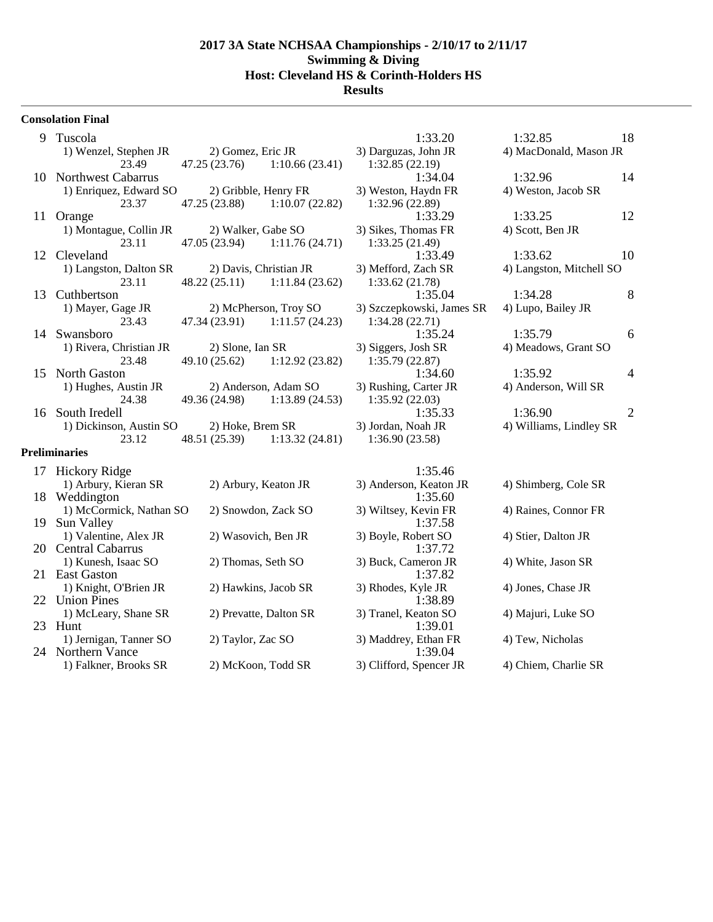#### **Consolation Final**

| 9  | Tuscola                 |                        |                                 | 1:33.20                   | 1:32.85                  | 18             |
|----|-------------------------|------------------------|---------------------------------|---------------------------|--------------------------|----------------|
|    | 1) Wenzel, Stephen JR   | 2) Gomez, Eric JR      |                                 | 3) Darguzas, John JR      | 4) MacDonald, Mason JR   |                |
|    | 23.49                   |                        | $47.25(23.76)$ 1:10.66 (23.41)  | 1:32.85(22.19)            |                          |                |
|    | 10 Northwest Cabarrus   |                        |                                 | 1:34.04                   | 1:32.96                  | 14             |
|    | 1) Enriquez, Edward SO  |                        | 2) Gribble, Henry FR            | 3) Weston, Haydn FR       | 4) Weston, Jacob SR      |                |
|    | 23.37                   |                        | 47.25 (23.88) 1:10.07 (22.82)   | 1:32.96(22.89)            |                          |                |
| 11 | Orange                  |                        |                                 | 1:33.29                   | 1:33.25                  | 12             |
|    | 1) Montague, Collin JR  | 2) Walker, Gabe SO     |                                 | 3) Sikes, Thomas FR       | 4) Scott, Ben JR         |                |
|    | 23.11                   |                        | 47.05 (23.94) 1:11.76 (24.71)   | 1:33.25(21.49)            |                          |                |
|    | 12 Cleveland            |                        |                                 | 1:33.49                   | 1:33.62                  | 10             |
|    | 1) Langston, Dalton SR  | 2) Davis, Christian JR |                                 | 3) Mefford, Zach SR       | 4) Langston, Mitchell SO |                |
|    | 23.11                   |                        | 48.22 (25.11) 1:11.84 (23.62)   | 1:33.62(21.78)            |                          |                |
| 13 | Cuthbertson             |                        |                                 | 1:35.04                   | 1:34.28                  | 8              |
|    | 1) Mayer, Gage JR       |                        | 2) McPherson, Troy SO           | 3) Szczepkowski, James SR | 4) Lupo, Bailey JR       |                |
|    | 23.43                   |                        | 47.34 (23.91) 1:11.57 (24.23)   | 1:34.28(22.71)            |                          |                |
| 14 | Swansboro               |                        |                                 | 1:35.24                   | 1:35.79                  | 6              |
|    | 1) Rivera, Christian JR | 2) Slone, Ian SR       |                                 | 3) Siggers, Josh SR       | 4) Meadows, Grant SO     |                |
|    | 23.48                   |                        | $49.10(25.62)$ $1:12.92(23.82)$ | 1:35.79(22.87)            |                          |                |
|    | 15 North Gaston         |                        |                                 | 1:34.60                   | 1:35.92                  | 4              |
|    | 1) Hughes, Austin JR    |                        | 2) Anderson, Adam SO            | 3) Rushing, Carter JR     | 4) Anderson, Will SR     |                |
|    | 24.38                   |                        | 49.36 (24.98) 1:13.89 (24.53)   | 1:35.92(22.03)            |                          |                |
| 16 | South Iredell           |                        |                                 | 1:35.33                   | 1:36.90                  | $\overline{2}$ |
|    | 1) Dickinson, Austin SO | 2) Hoke, Brem SR       |                                 | 3) Jordan, Noah JR        | 4) Williams, Lindley SR  |                |
|    | 23.12                   | 48.51 (25.39)          | 1:13.32 (24.81)                 | 1:36.90(23.58)            |                          |                |
|    | <b>Preliminaries</b>    |                        |                                 |                           |                          |                |
|    |                         |                        |                                 |                           |                          |                |

# 17 Hickory Ridge 1:35.46<br>
1) Arbury, Kieran SR 2) Arbury, Keaton JR 3) Anderson, Keaton 18 Weddington 1) McCormick, Nathan SO 2) Snowdon, Zack SO 3) Wiltsey, Kevin FR 4) Raines, Connor FR 19 Sun Valley 1) Valentine, Alex JR 2) Wasovich, Ben JR 3) Boyle, Robert SO 4) Stier, Dalton JR 20 Central Cabarrus 1) Kunesh, Isaac SO 2) Thomas, Seth SO 3) Buck, Cameron JR 4) White, Jason SR 21 East Gaston 1) Knight, O'Brien JR 2) Hawkins, Jacob SR 3) Rhodes, Kyle JR 4) Jones, Chase JR 22 Union Pines<br>1) McLeary, Shane SR 2) Prevatte, Dalton SR 3) 1) McLeary, Shane SR 2) Prevatte, Dalton SR 3) Tranel, Keaton SO 4) Majuri, Luke SO 23 Hunt 1) Jernigan, Tanner SO 2) Taylor, Zac SO 3) Maddrey, Ethan FR 4) Tew, Nicholas 24 Northern Vance<br>
1) Falkner, Brooks SR 2) McKoon, Todd SR 3) 1) Falkner, Brooks SR 2) McKoon, Todd SR 3) Clifford, Spencer JR 4) Chiem, Charlie SR

| 1:32.85                  | 18 |
|--------------------------|----|
| 4) MacDonald, Mason JR   |    |
|                          |    |
| 1:32.96                  | 14 |
| 4) Weston, Jacob SR      |    |
|                          |    |
| 1:33.25                  | 12 |
| 4) Scott, Ben JR         |    |
|                          |    |
| 1:33.62                  | 10 |
| 4) Langston, Mitchell SO |    |
|                          |    |
| 1:34.28                  | 8  |
| 4) Lupo, Bailey JR       |    |
|                          |    |
| 1:35.79                  | 6  |
| 4) Meadows, Grant SO     |    |
|                          |    |
| 1:35.92                  | 4  |
| 4) Anderson, Will SR     |    |
|                          |    |
| 1:36.90                  | 2  |
| 4) Williams, Lindley SR  |    |
|                          |    |
|                          |    |

|                        | 1:35.46                           |                      |
|------------------------|-----------------------------------|----------------------|
| 2) Arbury, Keaton JR   | 3) Anderson, Keaton JR<br>1:35.60 | 4) Shimberg, Cole SR |
| 2) Snowdon, Zack SO    | 3) Wiltsey, Kevin FR<br>1:37.58   | 4) Raines, Connor FR |
| 2) Wasovich, Ben JR    | 3) Boyle, Robert SO<br>1:37.72    | 4) Stier, Dalton JR  |
| 2) Thomas, Seth SO     | 3) Buck, Cameron JR<br>1:37.82    | 4) White, Jason SR   |
| 2) Hawkins, Jacob SR   | 3) Rhodes, Kyle JR<br>1:38.89     | 4) Jones, Chase JR   |
| 2) Prevatte, Dalton SR | 3) Tranel, Keaton SO<br>1:39.01   | 4) Majuri, Luke SO   |
| 2) Taylor, Zac SO      | 3) Maddrey, Ethan FR<br>1:39.04   | 4) Tew, Nicholas     |
| 2) McKoon. Todd SR     | 3) Clifford, Spencer JR           | 4) Chiem. Charlie SR |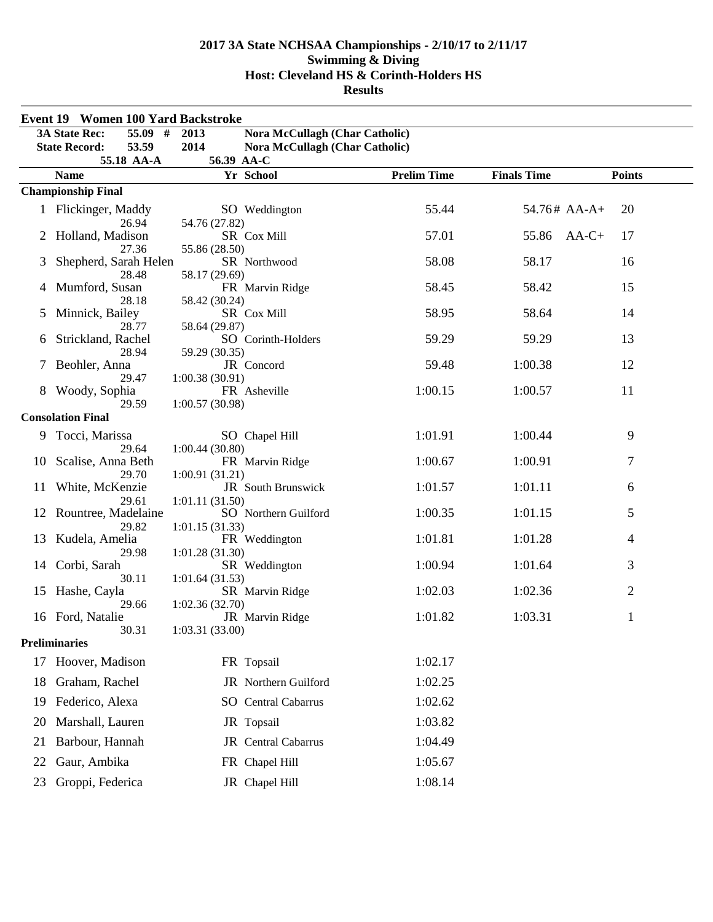|    | <b>Event 19 Women 100 Yard Backstroke</b> |                                               |                    |                    |                |  |
|----|-------------------------------------------|-----------------------------------------------|--------------------|--------------------|----------------|--|
|    | <b>3A State Rec:</b><br>55.09 #           | <b>Nora McCullagh (Char Catholic)</b><br>2013 |                    |                    |                |  |
|    | 53.59<br><b>State Record:</b>             | 2014<br>Nora McCullagh (Char Catholic)        |                    |                    |                |  |
|    | 55.18 AA-A                                | 56.39 AA-C                                    | <b>Prelim Time</b> | <b>Finals Time</b> | <b>Points</b>  |  |
|    | <b>Name</b>                               | Yr School                                     |                    |                    |                |  |
|    | <b>Championship Final</b>                 |                                               |                    |                    |                |  |
|    | 1 Flickinger, Maddy                       | SO Weddington                                 | 55.44              | $54.76#$ AA-A+     | 20             |  |
|    | 26.94<br>Holland, Madison                 | 54.76 (27.82)<br>SR Cox Mill                  | 57.01              | 55.86              | $AA-C+$<br>17  |  |
|    | 27.36                                     | 55.86 (28.50)                                 |                    |                    |                |  |
| 3  | Shepherd, Sarah Helen                     | SR Northwood                                  | 58.08              | 58.17              | 16             |  |
|    | 28.48                                     | 58.17 (29.69)                                 |                    |                    |                |  |
|    | Mumford, Susan                            | FR Marvin Ridge                               | 58.45              | 58.42              | 15             |  |
| 5  | 28.18<br>Minnick, Bailey                  | 58.42 (30.24)<br>SR Cox Mill                  | 58.95              | 58.64              | 14             |  |
|    | 28.77                                     | 58.64 (29.87)                                 |                    |                    |                |  |
| 6  | Strickland, Rachel                        | SO Corinth-Holders                            | 59.29              | 59.29              | 13             |  |
|    | 28.94                                     | 59.29 (30.35)                                 |                    |                    |                |  |
| 7  | Beohler, Anna                             | JR Concord                                    | 59.48              | 1:00.38            | 12             |  |
|    | 29.47                                     | 1:00.38(30.91)                                | 1:00.15            | 1:00.57            | 11             |  |
|    | Woody, Sophia<br>29.59                    | FR Asheville<br>1:00.57(30.98)                |                    |                    |                |  |
|    | <b>Consolation Final</b>                  |                                               |                    |                    |                |  |
| 9  | Tocci, Marissa                            | SO Chapel Hill                                | 1:01.91            | 1:00.44            | 9              |  |
|    | 29.64                                     | 1:00.44(30.80)                                |                    |                    |                |  |
| 10 | Scalise, Anna Beth                        | FR Marvin Ridge                               | 1:00.67            | 1:00.91            | 7              |  |
|    | 29.70                                     | 1:00.91(31.21)                                |                    |                    |                |  |
| 11 | White, McKenzie                           | JR South Brunswick                            | 1:01.57            | 1:01.11            | 6              |  |
|    | 29.61<br>12 Rountree, Madelaine           | 1:01.11(31.50)<br>SO Northern Guilford        | 1:00.35            | 1:01.15            | 5              |  |
|    | 29.82                                     | 1:01.15(31.33)                                |                    |                    |                |  |
| 13 | Kudela, Amelia                            | FR Weddington                                 | 1:01.81            | 1:01.28            | $\overline{4}$ |  |
|    | 29.98                                     | 1:01.28(31.30)                                |                    |                    |                |  |
| 14 | Corbi, Sarah                              | SR Weddington                                 | 1:00.94            | 1:01.64            | 3              |  |
|    | 30.11                                     | 1:01.64(31.53)                                | 1:02.03            | 1:02.36            | 2              |  |
|    | 15 Hashe, Cayla<br>29.66                  | SR Marvin Ridge<br>1:02.36(32.70)             |                    |                    |                |  |
|    | 16 Ford, Natalie                          | JR Marvin Ridge                               | 1:01.82            | 1:03.31            | $\mathbf{1}$   |  |
|    | 30.31                                     | 1:03.31 (33.00)                               |                    |                    |                |  |
|    | <b>Preliminaries</b>                      |                                               |                    |                    |                |  |
| 17 | Hoover, Madison                           | FR Topsail                                    | 1:02.17            |                    |                |  |
| 18 | Graham, Rachel                            | JR Northern Guilford                          | 1:02.25            |                    |                |  |
|    |                                           |                                               |                    |                    |                |  |
| 19 | Federico, Alexa                           | SO Central Cabarrus                           | 1:02.62            |                    |                |  |
| 20 | Marshall, Lauren                          | JR Topsail                                    | 1:03.82            |                    |                |  |
| 21 | Barbour, Hannah                           | JR Central Cabarrus                           | 1:04.49            |                    |                |  |
|    |                                           |                                               | 1:05.67            |                    |                |  |
| 22 | Gaur, Ambika                              | FR Chapel Hill                                |                    |                    |                |  |
| 23 | Groppi, Federica                          | JR Chapel Hill                                | 1:08.14            |                    |                |  |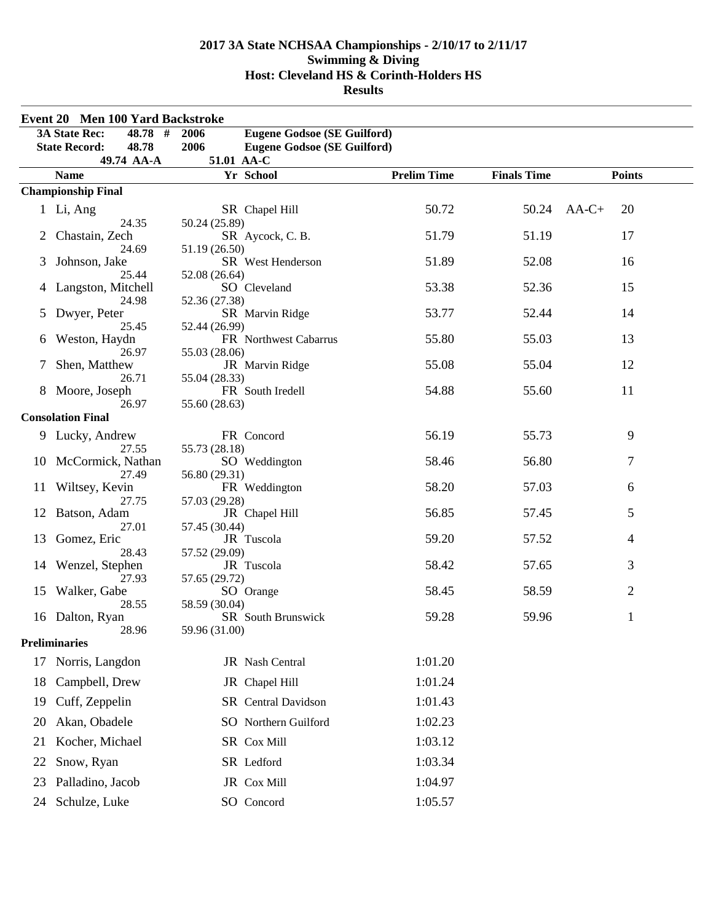|    | Event 20 Men 100 Yard Backstroke                                              |                                                                                          |                    |                    |               |
|----|-------------------------------------------------------------------------------|------------------------------------------------------------------------------------------|--------------------|--------------------|---------------|
|    | <b>3A State Rec:</b><br>48.78 $\overline{t}$<br>48.78<br><b>State Record:</b> | 2006<br><b>Eugene Godsoe (SE Guilford)</b><br>2006<br><b>Eugene Godsoe (SE Guilford)</b> |                    |                    |               |
|    | 49.74 AA-A                                                                    | 51.01 AA-C<br>Yr School                                                                  | <b>Prelim Time</b> | <b>Finals Time</b> | <b>Points</b> |
|    | <b>Name</b><br><b>Championship Final</b>                                      |                                                                                          |                    |                    |               |
|    | 1 Li, Ang                                                                     | SR Chapel Hill                                                                           | 50.72              | 50.24              | $AA-C+$<br>20 |
|    | 24.35<br>Chastain, Zech                                                       | 50.24 (25.89)<br>SR Aycock, C.B.                                                         | 51.79              | 51.19              | 17            |
| 3  | 24.69<br>Johnson, Jake                                                        | 51.19 (26.50)<br>SR West Henderson                                                       | 51.89              | 52.08              | 16            |
|    | 25.44<br>Langston, Mitchell                                                   | 52.08 (26.64)<br>SO Cleveland                                                            | 53.38              | 52.36              | 15            |
| 5  | 24.98<br>Dwyer, Peter                                                         | 52.36 (27.38)<br>SR Marvin Ridge                                                         | 53.77              | 52.44              | 14            |
| 6  | 25.45<br>Weston, Haydn                                                        | 52.44 (26.99)<br>FR Northwest Cabarrus                                                   | 55.80              | 55.03              | 13            |
| 7  | 26.97<br>Shen, Matthew                                                        | 55.03 (28.06)<br>JR Marvin Ridge                                                         | 55.08              | 55.04              | 12            |
|    | 26.71<br>8 Moore, Joseph                                                      | 55.04 (28.33)<br>FR South Iredell                                                        | 54.88              | 55.60              | 11            |
|    | 26.97<br><b>Consolation Final</b>                                             | 55.60 (28.63)                                                                            |                    |                    |               |
|    | 9 Lucky, Andrew                                                               | FR Concord                                                                               | 56.19              | 55.73              | 9             |
|    | 27.55<br>10 McCormick, Nathan                                                 | 55.73 (28.18)<br>SO Weddington                                                           | 58.46              | 56.80              | 7             |
|    | 27.49<br>11 Wiltsey, Kevin                                                    | 56.80 (29.31)<br>FR Weddington                                                           | 58.20              | 57.03              | 6             |
|    | 27.75<br>12 Batson, Adam                                                      | 57.03 (29.28)<br>JR Chapel Hill                                                          | 56.85              | 57.45              | 5             |
| 13 | 27.01<br>Gomez, Eric                                                          | 57.45 (30.44)<br>JR Tuscola                                                              | 59.20              | 57.52              | 4             |
|    | 28.43<br>14 Wenzel, Stephen                                                   | 57.52 (29.09)<br>JR Tuscola                                                              | 58.42              | 57.65              | 3             |
|    | 27.93<br>15 Walker, Gabe                                                      | 57.65 (29.72)<br>SO Orange                                                               | 58.45              | 58.59              | 2             |
|    | 28.55<br>16 Dalton, Ryan                                                      | 58.59 (30.04)<br>SR South Brunswick                                                      | 59.28              | 59.96              | 1             |
|    | 28.96<br><b>Preliminaries</b>                                                 | 59.96 (31.00)                                                                            |                    |                    |               |
| 17 | Norris, Langdon                                                               | JR Nash Central                                                                          | 1:01.20            |                    |               |
| 18 | Campbell, Drew                                                                | JR Chapel Hill                                                                           | 1:01.24            |                    |               |
| 19 | Cuff, Zeppelin                                                                | SR Central Davidson                                                                      | 1:01.43            |                    |               |
| 20 | Akan, Obadele                                                                 | SO Northern Guilford                                                                     | 1:02.23            |                    |               |
| 21 | Kocher, Michael                                                               | SR Cox Mill                                                                              | 1:03.12            |                    |               |
| 22 | Snow, Ryan                                                                    | SR Ledford                                                                               | 1:03.34            |                    |               |
| 23 | Palladino, Jacob                                                              | JR Cox Mill                                                                              | 1:04.97            |                    |               |
| 24 | Schulze, Luke                                                                 | SO Concord                                                                               | 1:05.57            |                    |               |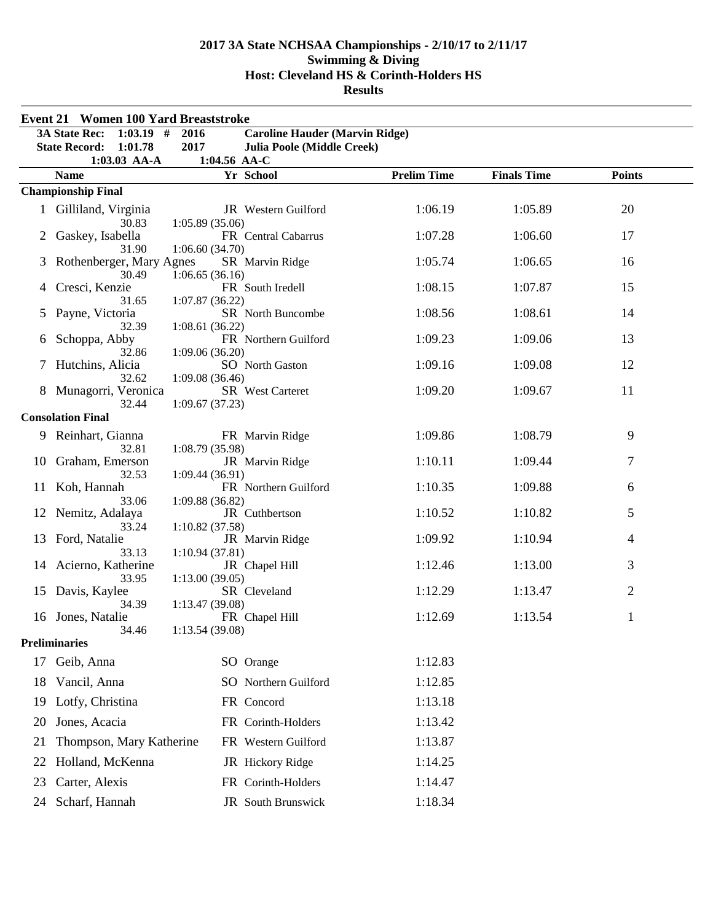|             | <b>Event 21 Women 100 Yard Breaststroke</b>     |                                   |                                       |                    |                    |               |
|-------------|-------------------------------------------------|-----------------------------------|---------------------------------------|--------------------|--------------------|---------------|
|             | <b>3A State Rec:</b><br>$1:03.19$ #             | 2016                              | <b>Caroline Hauder (Marvin Ridge)</b> |                    |                    |               |
|             | <b>State Record:</b><br>1:01.78<br>1:03.03 AA-A | 2017<br>1:04.56 AA-C              | Julia Poole (Middle Creek)            |                    |                    |               |
|             | <b>Name</b>                                     |                                   | Yr School                             | <b>Prelim Time</b> | <b>Finals Time</b> | <b>Points</b> |
|             | <b>Championship Final</b>                       |                                   |                                       |                    |                    |               |
|             | 1 Gilliland, Virginia<br>30.83                  | 1:05.89(35.06)                    | JR Western Guilford                   | 1:06.19            | 1:05.89            | 20            |
| 2           | Gaskey, Isabella<br>31.90                       | 1:06.60(34.70)                    | FR Central Cabarrus                   | 1:07.28            | 1:06.60            | 17            |
| 3           | Rothenberger, Mary Agnes<br>30.49               | 1:06.65(36.16)                    | SR Marvin Ridge                       | 1:05.74            | 1:06.65            | 16            |
|             | Cresci, Kenzie<br>31.65                         | 1:07.87(36.22)                    | FR South Iredell                      | 1:08.15            | 1:07.87            | 15            |
| $5^{\circ}$ | Payne, Victoria<br>32.39                        | 1:08.61(36.22)                    | SR North Buncombe                     | 1:08.56            | 1:08.61            | 14            |
| 6           | Schoppa, Abby                                   | 1:09.06(36.20)                    | FR Northern Guilford                  | 1:09.23            | 1:09.06            | 13            |
|             | 32.86<br>Hutchins, Alicia                       |                                   | SO North Gaston                       | 1:09.16            | 1:09.08            | 12            |
|             | 32.62<br>8 Munagorri, Veronica<br>32.44         | 1:09.08 (36.46)<br>1:09.67(37.23) | SR West Carteret                      | 1:09.20            | 1:09.67            | 11            |
|             | <b>Consolation Final</b>                        |                                   |                                       |                    |                    |               |
|             | 9 Reinhart, Gianna                              |                                   | FR Marvin Ridge                       | 1:09.86            | 1:08.79            | 9             |
| 10          | 32.81<br>Graham, Emerson                        | 1:08.79(35.98)                    | JR Marvin Ridge                       | 1:10.11            | 1:09.44            | 7             |
| 11          | 32.53<br>Koh, Hannah                            | 1:09.44(36.91)                    | FR Northern Guilford                  | 1:10.35            | 1:09.88            | 6             |
| 12          | 33.06<br>Nemitz, Adalaya                        | 1:09.88(36.82)                    | JR Cuthbertson                        | 1:10.52            | 1:10.82            | 5             |
| 13          | 33.24<br>Ford, Natalie                          | 1:10.82(37.58)                    | JR Marvin Ridge                       | 1:09.92            | 1:10.94            | 4             |
| 14          | 33.13<br>Acierno, Katherine                     | 1:10.94(37.81)                    | JR Chapel Hill                        | 1:12.46            | 1:13.00            | 3             |
| 15          | 33.95<br>Davis, Kaylee                          | 1:13.00(39.05)                    | SR Cleveland                          | 1:12.29            | 1:13.47            | 2             |
| 16          | 34.39<br>Jones, Natalie                         | 1:13.47 (39.08)                   | FR Chapel Hill                        | 1:12.69            | 1:13.54            | 1             |
|             | 34.46<br><b>Preliminaries</b>                   | 1:13.54(39.08)                    |                                       |                    |                    |               |
| 17          | Geib, Anna                                      |                                   | SO Orange                             | 1:12.83            |                    |               |
| 18          | Vancil, Anna                                    |                                   | SO Northern Guilford                  | 1:12.85            |                    |               |
| 19          | Lotfy, Christina                                |                                   | FR Concord                            | 1:13.18            |                    |               |
| 20          | Jones, Acacia                                   |                                   | FR Corinth-Holders                    | 1:13.42            |                    |               |
| 21          | Thompson, Mary Katherine                        |                                   | FR Western Guilford                   | 1:13.87            |                    |               |
| 22          | Holland, McKenna                                |                                   | JR Hickory Ridge                      | 1:14.25            |                    |               |
| 23          | Carter, Alexis                                  |                                   | FR Corinth-Holders                    | 1:14.47            |                    |               |
| 24          | Scharf, Hannah                                  |                                   | JR South Brunswick                    | 1:18.34            |                    |               |
|             |                                                 |                                   |                                       |                    |                    |               |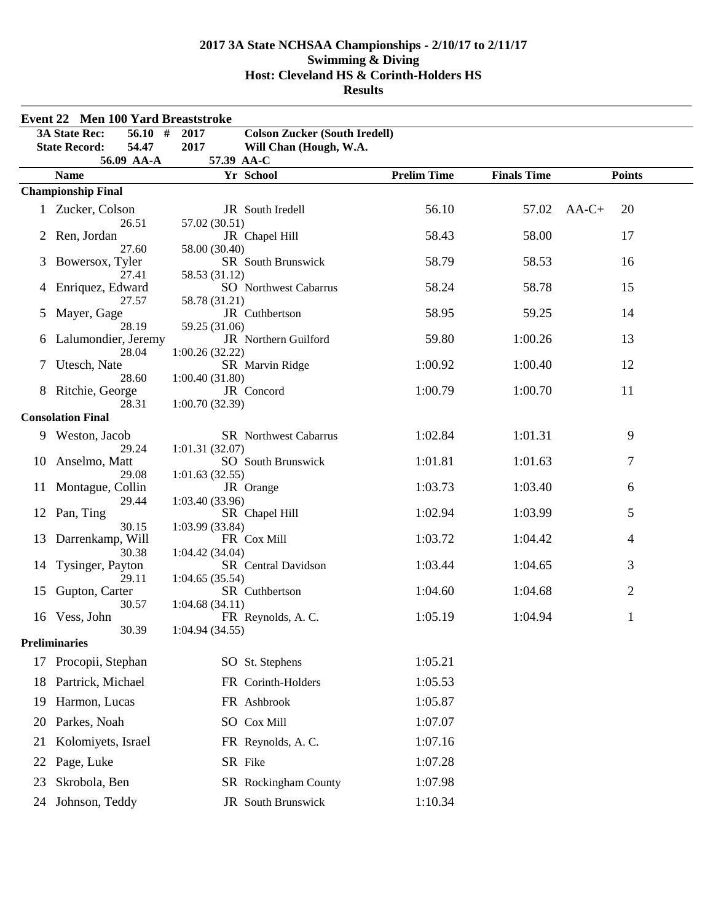|    | Event 22 Men 100 Yard Breaststroke           |                                              |                    |                    |                |
|----|----------------------------------------------|----------------------------------------------|--------------------|--------------------|----------------|
|    | <b>3A State Rec:</b><br>$\overline{56.10}$ # | <b>Colson Zucker (South Iredell)</b><br>2017 |                    |                    |                |
|    | <b>State Record:</b><br>54.47                | 2017<br>Will Chan (Hough, W.A.               |                    |                    |                |
|    | 56.09 AA-A                                   | 57.39 AA-C                                   |                    |                    |                |
|    | <b>Name</b>                                  | Yr School                                    | <b>Prelim Time</b> | <b>Finals Time</b> | <b>Points</b>  |
|    | <b>Championship Final</b>                    |                                              |                    |                    |                |
|    | 1 Zucker, Colson                             | JR South Iredell                             | 56.10              | 57.02              | 20<br>$AA-C+$  |
| 2  | 26.51<br>Ren, Jordan                         | 57.02 (30.51)<br>JR Chapel Hill              | 58.43              | 58.00              | 17             |
|    | 27.60                                        | 58.00 (30.40)                                |                    |                    |                |
| 3  | Bowersox, Tyler                              | SR South Brunswick                           | 58.79              | 58.53              | 16             |
|    | 27.41                                        | 58.53 (31.12)                                |                    |                    |                |
| 4  | Enriquez, Edward                             | <b>SO</b> Northwest Cabarrus                 | 58.24              | 58.78              | 15             |
| 5  | 27.57<br>Mayer, Gage                         | 58.78 (31.21)<br>JR Cuthbertson              | 58.95              | 59.25              | 14             |
|    | 28.19                                        | 59.25 (31.06)                                |                    |                    |                |
| 6  | Lalumondier, Jeremy                          | JR Northern Guilford                         | 59.80              | 1:00.26            | 13             |
|    | 28.04                                        | 1:00.26(32.22)                               |                    |                    |                |
| 7  | Utesch, Nate                                 | SR Marvin Ridge                              | 1:00.92            | 1:00.40            | 12             |
|    | 28.60<br>Ritchie, George                     | 1:00.40(31.80)<br>JR Concord                 | 1:00.79            | 1:00.70            | 11             |
|    | 28.31                                        | 1:00.70(32.39)                               |                    |                    |                |
|    | <b>Consolation Final</b>                     |                                              |                    |                    |                |
|    | 9 Weston, Jacob                              | <b>SR</b> Northwest Cabarrus                 | 1:02.84            | 1:01.31            | 9              |
|    | 29.24                                        | 1:01.31(32.07)                               |                    |                    |                |
| 10 | Anselmo, Matt                                | <b>SO</b> South Brunswick                    | 1:01.81            | 1:01.63            | $\tau$         |
|    | 29.08                                        | 1:01.63(32.55)                               |                    |                    |                |
| 11 | Montague, Collin<br>29.44                    | JR Orange                                    | 1:03.73            | 1:03.40            | 6              |
|    | 12 Pan, Ting                                 | 1:03.40(33.96)<br>SR Chapel Hill             | 1:02.94            | 1:03.99            | 5              |
|    | 30.15                                        | 1:03.99 (33.84)                              |                    |                    |                |
| 13 | Darrenkamp, Will                             | FR Cox Mill                                  | 1:03.72            | 1:04.42            | $\overline{4}$ |
|    | 30.38                                        | 1:04.42(34.04)                               |                    |                    |                |
| 14 | Tysinger, Payton<br>29.11                    | SR Central Davidson<br>1:04.65(35.54)        | 1:03.44            | 1:04.65            | 3              |
| 15 | Gupton, Carter                               | SR Cuthbertson                               | 1:04.60            | 1:04.68            | $\overline{2}$ |
|    | 30.57                                        | 1:04.68(34.11)                               |                    |                    |                |
| 16 | Vess, John                                   | FR Reynolds, A.C.                            | 1:05.19            | 1:04.94            | $\mathbf{1}$   |
|    | 30.39                                        | 1:04.94(34.55)                               |                    |                    |                |
|    | <b>Preliminaries</b>                         |                                              |                    |                    |                |
| 17 | Procopii, Stephan                            | SO St. Stephens                              | 1:05.21            |                    |                |
| 18 | Partrick, Michael                            | FR Corinth-Holders                           | 1:05.53            |                    |                |
| 19 | Harmon, Lucas                                | FR Ashbrook                                  | 1:05.87            |                    |                |
| 20 | Parkes, Noah                                 | SO Cox Mill                                  | 1:07.07            |                    |                |
| 21 | Kolomiyets, Israel                           | FR Reynolds, A.C.                            | 1:07.16            |                    |                |
| 22 | Page, Luke                                   | SR Fike                                      | 1:07.28            |                    |                |
| 23 | Skrobola, Ben                                | SR Rockingham County                         | 1:07.98            |                    |                |
| 24 | Johnson, Teddy                               | JR South Brunswick                           | 1:10.34            |                    |                |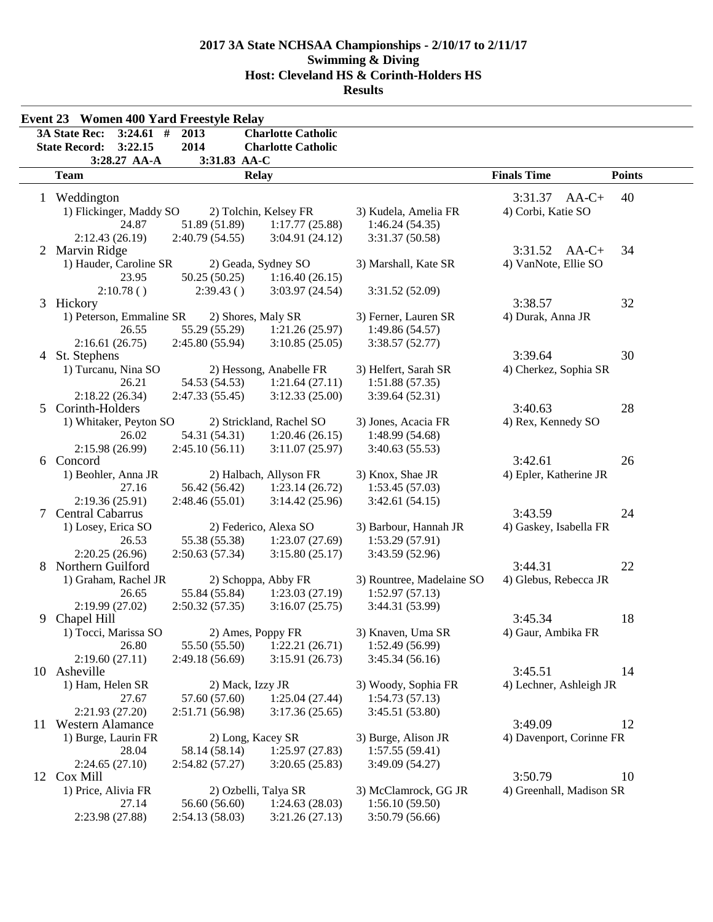|   | <b>Event 23 Women 400 Yard Freestyle Relay</b> |                    |                           |                           |                          |               |
|---|------------------------------------------------|--------------------|---------------------------|---------------------------|--------------------------|---------------|
|   | 3A State Rec:<br>$3:24.61$ #                   | 2013               | <b>Charlotte Catholic</b> |                           |                          |               |
|   | <b>State Record:</b><br>3:22.15                | 2014               | <b>Charlotte Catholic</b> |                           |                          |               |
|   | 3:28.27 AA-A                                   | 3:31.83 AA-C       |                           |                           |                          |               |
|   | <b>Team</b>                                    |                    | <b>Relay</b>              |                           | <b>Finals Time</b>       | <b>Points</b> |
|   | 1 Weddington                                   |                    |                           |                           | 3:31.37<br>$AA-C+$       | 40            |
|   | 1) Flickinger, Maddy SO                        |                    | 2) Tolchin, Kelsey FR     | 3) Kudela, Amelia FR      | 4) Corbi, Katie SO       |               |
|   | 24.87                                          | 51.89 (51.89)      | 1:17.77(25.88)            | 1:46.24(54.35)            |                          |               |
|   | 2:12.43(26.19)                                 | 2:40.79(54.55)     | 3:04.91(24.12)            | 3:31.37 (50.58)           |                          |               |
|   | 2 Marvin Ridge                                 |                    |                           |                           | $3:31.52$ AA-C+          | 34            |
|   | 1) Hauder, Caroline SR                         |                    | 2) Geada, Sydney SO       | 3) Marshall, Kate SR      | 4) VanNote, Ellie SO     |               |
|   | 23.95                                          | 50.25(50.25)       | 1:16.40(26.15)            |                           |                          |               |
|   | 2:10.78()                                      | 2:39.43()          | 3:03.97(24.54)            |                           |                          |               |
|   | 3 Hickory                                      |                    |                           | 3:31.52 (52.09)           | 3:38.57                  | 32            |
|   |                                                |                    |                           |                           |                          |               |
|   | 1) Peterson, Emmaline SR                       | 2) Shores, Maly SR |                           | 3) Ferner, Lauren SR      | 4) Durak, Anna JR        |               |
|   | 26.55                                          | 55.29 (55.29)      | 1:21.26(25.97)            | 1:49.86 (54.57)           |                          |               |
|   | 2:16.61(26.75)                                 | 2:45.80(55.94)     | 3:10.85(25.05)            | 3:38.57(52.77)            |                          |               |
|   | 4 St. Stephens                                 |                    |                           |                           | 3:39.64                  | 30            |
|   | 1) Turcanu, Nina SO                            |                    | 2) Hessong, Anabelle FR   | 3) Helfert, Sarah SR      | 4) Cherkez, Sophia SR    |               |
|   | 26.21                                          | 54.53 (54.53)      | 1:21.64(27.11)            | 1:51.88(57.35)            |                          |               |
|   | 2:18.22(26.34)                                 | 2:47.33 (55.45)    | 3:12.33(25.00)            | 3:39.64 (52.31)           |                          |               |
| 5 | Corinth-Holders                                |                    |                           |                           | 3:40.63                  | 28            |
|   | 1) Whitaker, Peyton SO                         |                    | 2) Strickland, Rachel SO  | 3) Jones, Acacia FR       | 4) Rex, Kennedy SO       |               |
|   | 26.02                                          | 54.31 (54.31)      | 1:20.46(26.15)            | 1:48.99 (54.68)           |                          |               |
|   | 2:15.98 (26.99)                                | 2:45.10(56.11)     | 3:11.07(25.97)            | 3:40.63(55.53)            |                          |               |
|   | 6 Concord                                      |                    |                           |                           | 3:42.61                  | 26            |
|   | 1) Beohler, Anna JR                            |                    | 2) Halbach, Allyson FR    | 3) Knox, Shae JR          | 4) Epler, Katherine JR   |               |
|   | 27.16                                          | 56.42 (56.42)      | 1:23.14(26.72)            | 1:53.45(57.03)            |                          |               |
|   | 2:19.36(25.91)                                 | 2:48.46(55.01)     | 3:14.42(25.96)            | 3:42.61(54.15)            |                          |               |
| 7 | Central Cabarrus                               |                    |                           |                           | 3:43.59                  | 24            |
|   | 1) Losey, Erica SO                             |                    | 2) Federico, Alexa SO     | 3) Barbour, Hannah JR     | 4) Gaskey, Isabella FR   |               |
|   | 26.53                                          | 55.38 (55.38)      | 1:23.07(27.69)            | 1:53.29 (57.91)           |                          |               |
|   | 2:20.25(26.96)                                 | 2:50.63(57.34)     | 3:15.80(25.17)            | 3:43.59 (52.96)           |                          |               |
|   | 8 Northern Guilford                            |                    |                           |                           | 3:44.31                  | 22            |
|   | 1) Graham, Rachel JR                           |                    | 2) Schoppa, Abby FR       | 3) Rountree, Madelaine SO | 4) Glebus, Rebecca JR    |               |
|   | 26.65                                          | 55.84 (55.84)      | 1:23.03(27.19)            | 1:52.97(57.13)            |                          |               |
|   | 2:19.99(27.02)                                 | 2:50.32(57.35)     | 3:16.07(25.75)            | 3:44.31 (53.99)           |                          |               |
| 9 | Chapel Hill                                    |                    |                           |                           | 3:45.34                  | 18            |
|   | 1) Tocci, Marissa SO                           |                    | 2) Ames, Poppy FR         | 3) Knaven, Uma SR         | 4) Gaur, Ambika FR       |               |
|   | 26.80                                          | 55.50 (55.50)      | 1:22.21(26.71)            | 1:52.49 (56.99)           |                          |               |
|   | 2:19.60(27.11)                                 | 2:49.18 (56.69)    | 3:15.91(26.73)            | 3:45.34(56.16)            |                          |               |
|   | 10 Asheville                                   |                    |                           |                           | 3:45.51                  | 14            |
|   | 1) Ham, Helen SR                               | 2) Mack, Izzy JR   |                           | 3) Woody, Sophia FR       | 4) Lechner, Ashleigh JR  |               |
|   | 27.67                                          | 57.60 (57.60)      | 1:25.04(27.44)            | 1:54.73(57.13)            |                          |               |
|   | 2:21.93 (27.20)                                | 2:51.71 (56.98)    | 3:17.36(25.65)            | 3:45.51 (53.80)           |                          |               |
|   | 11 Western Alamance                            |                    |                           |                           | 3:49.09                  | 12            |
|   | 1) Burge, Laurin FR                            |                    |                           |                           |                          |               |
|   |                                                | 2) Long, Kacey SR  |                           | 3) Burge, Alison JR       | 4) Davenport, Corinne FR |               |
|   | 28.04                                          | 58.14 (58.14)      | 1:25.97(27.83)            | 1:57.55(59.41)            |                          |               |
|   | 2:24.65(27.10)                                 | 2:54.82(57.27)     | 3:20.65(25.83)            | 3:49.09 (54.27)           |                          |               |
|   | 12 Cox Mill                                    |                    |                           |                           | 3:50.79                  | 10            |
|   | 1) Price, Alivia FR                            |                    | 2) Ozbelli, Talya SR      | 3) McClamrock, GG JR      | 4) Greenhall, Madison SR |               |
|   | 27.14                                          | 56.60 (56.60)      | 1:24.63(28.03)            | 1:56.10(59.50)            |                          |               |
|   | 2:23.98 (27.88)                                | 2:54.13(58.03)     | 3:21.26(27.13)            | 3:50.79 (56.66)           |                          |               |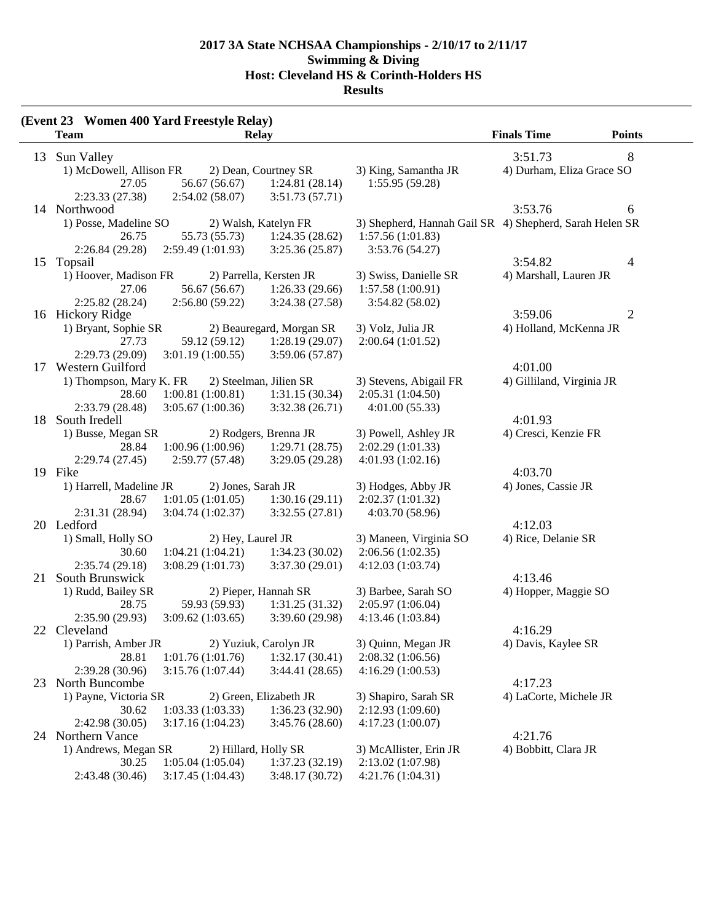**Results**

|    | (Event 23 Women 400 Yard Freestyle Relay) |                    |                          |                                                         |                           |               |
|----|-------------------------------------------|--------------------|--------------------------|---------------------------------------------------------|---------------------------|---------------|
|    | <b>Team</b>                               |                    | Relay                    |                                                         | <b>Finals Time</b>        | <b>Points</b> |
|    | 13 Sun Valley                             |                    |                          |                                                         | 3:51.73                   | 8             |
|    | 1) McDowell, Allison FR                   |                    | 2) Dean, Courtney SR     | 3) King, Samantha JR                                    | 4) Durham, Eliza Grace SO |               |
|    | 27.05                                     | 56.67 (56.67)      | 1:24.81(28.14)           | 1:55.95(59.28)                                          |                           |               |
|    | 2:23.33(27.38)                            | 2:54.02(58.07)     | 3:51.73(57.71)           |                                                         |                           |               |
|    | 14 Northwood                              |                    |                          |                                                         | 3:53.76                   | 6             |
|    | 1) Posse, Madeline SO                     |                    | 2) Walsh, Katelyn FR     | 3) Shepherd, Hannah Gail SR 4) Shepherd, Sarah Helen SR |                           |               |
|    | 26.75                                     | 55.73 (55.73)      | 1:24.35(28.62)           | 1:57.56(1:01.83)                                        |                           |               |
|    | 2:26.84(29.28)                            | 2:59.49(1:01.93)   | 3:25.36(25.87)           | 3:53.76 (54.27)                                         |                           |               |
|    | 15 Topsail                                |                    |                          |                                                         | 3:54.82                   | 4             |
|    | 1) Hoover, Madison FR                     |                    | 2) Parrella, Kersten JR  | 3) Swiss, Danielle SR                                   | 4) Marshall, Lauren JR    |               |
|    | 27.06                                     | 56.67 (56.67)      | 1:26.33(29.66)           | 1:57.58(1:00.91)                                        |                           |               |
|    | 2:25.82(28.24)                            | 2:56.80(59.22)     | 3:24.38(27.58)           | 3:54.82 (58.02)                                         |                           |               |
|    | 16 Hickory Ridge                          |                    |                          |                                                         | 3:59.06                   | 2             |
|    | 1) Bryant, Sophie SR                      |                    | 2) Beauregard, Morgan SR | 3) Volz, Julia JR                                       | 4) Holland, McKenna JR    |               |
|    | 27.73                                     | 59.12 (59.12)      | 1:28.19(29.07)           | 2:00.64(1:01.52)                                        |                           |               |
|    | 2:29.73 (29.09)                           | 3:01.19(1:00.55)   | 3:59.06 (57.87)          |                                                         |                           |               |
|    | 17 Western Guilford                       |                    |                          |                                                         | 4:01.00                   |               |
|    | 1) Thompson, Mary K. FR                   |                    | 2) Steelman, Jilien SR   | 3) Stevens, Abigail FR                                  | 4) Gilliland, Virginia JR |               |
|    | 28.60                                     | 1:00.81(1:00.81)   | 1:31.15(30.34)           | 2:05.31(1:04.50)                                        |                           |               |
|    | 2:33.79(28.48)                            | 3:05.67(1:00.36)   | 3:32.38(26.71)           | 4:01.00(55.33)                                          |                           |               |
|    | 18 South Iredell                          |                    |                          |                                                         | 4:01.93                   |               |
|    | 1) Busse, Megan SR                        |                    | 2) Rodgers, Brenna JR    | 3) Powell, Ashley JR                                    | 4) Cresci, Kenzie FR      |               |
|    | 28.84                                     | 1:00.96(1:00.96)   | 1:29.71(28.75)           | 2:02.29(1:01.33)                                        |                           |               |
|    | 2:29.74(27.45)<br>19 Fike                 | 2:59.77 (57.48)    | 3:29.05(29.28)           | 4:01.93(1:02.16)                                        | 4:03.70                   |               |
|    | 1) Harrell, Madeline JR                   | 2) Jones, Sarah JR |                          | 3) Hodges, Abby JR                                      | 4) Jones, Cassie JR       |               |
|    | 28.67                                     | 1:01.05(1:01.05)   | 1:30.16(29.11)           | 2:02.37(1:01.32)                                        |                           |               |
|    | 2:31.31 (28.94)                           | 3:04.74(1:02.37)   | 3:32.55(27.81)           | 4:03.70 (58.96)                                         |                           |               |
|    | 20 Ledford                                |                    |                          |                                                         | 4:12.03                   |               |
|    | 1) Small, Holly SO                        | 2) Hey, Laurel JR  |                          | 3) Maneen, Virginia SO                                  | 4) Rice, Delanie SR       |               |
|    | 30.60                                     | 1:04.21(1:04.21)   | 1:34.23(30.02)           | 2:06.56(1:02.35)                                        |                           |               |
|    | 2:35.74(29.18)                            | 3:08.29(1:01.73)   | 3:37.30(29.01)           | 4:12.03(1:03.74)                                        |                           |               |
| 21 | South Brunswick                           |                    |                          |                                                         | 4:13.46                   |               |
|    | 1) Rudd, Bailey SR                        |                    | 2) Pieper, Hannah SR     | 3) Barbee, Sarah SO                                     | 4) Hopper, Maggie SO      |               |
|    | 28.75                                     | 59.93 (59.93)      | 1:31.25(31.32)           | 2:05.97(1:06.04)                                        |                           |               |
|    | 2:35.90(29.93)                            | 3:09.62(1:03.65)   | 3:39.60 (29.98)          | 4:13.46 (1:03.84)                                       |                           |               |
|    | 22 Cleveland                              |                    |                          |                                                         | 4:16.29                   |               |
|    | 1) Parrish, Amber JR                      |                    | 2) Yuziuk, Carolyn JR    | 3) Quinn, Megan JR                                      | 4) Davis, Kaylee SR       |               |
|    | 28.81                                     | 1:01.76(1:01.76)   | 1:32.17(30.41)           | 2:08.32(1:06.56)                                        |                           |               |
|    | 2:39.28 (30.96)                           | 3:15.76(1:07.44)   | 3:44.41(28.65)           | 4:16.29 (1:00.53)                                       |                           |               |
|    | 23 North Buncombe                         |                    |                          |                                                         | 4:17.23                   |               |
|    | 1) Payne, Victoria SR                     |                    | 2) Green, Elizabeth JR   | 3) Shapiro, Sarah SR                                    | 4) LaCorte, Michele JR    |               |
|    | 30.62                                     | 1:03.33(1:03.33)   | 1:36.23(32.90)           | 2:12.93(1:09.60)                                        |                           |               |
|    | 2:42.98(30.05)                            | 3:17.16(1:04.23)   | 3:45.76(28.60)           | 4:17.23(1:00.07)                                        |                           |               |
|    | 24 Northern Vance                         |                    |                          |                                                         | 4:21.76                   |               |
|    | 1) Andrews, Megan SR                      |                    | 2) Hillard, Holly SR     | 3) McAllister, Erin JR                                  | 4) Bobbitt, Clara JR      |               |
|    | 30.25                                     | 1:05.04(1:05.04)   | 1:37.23(32.19)           | 2:13.02(1:07.98)                                        |                           |               |
|    | 2:43.48 (30.46)                           | 3:17.45(1:04.43)   | 3:48.17(30.72)           | 4:21.76(1:04.31)                                        |                           |               |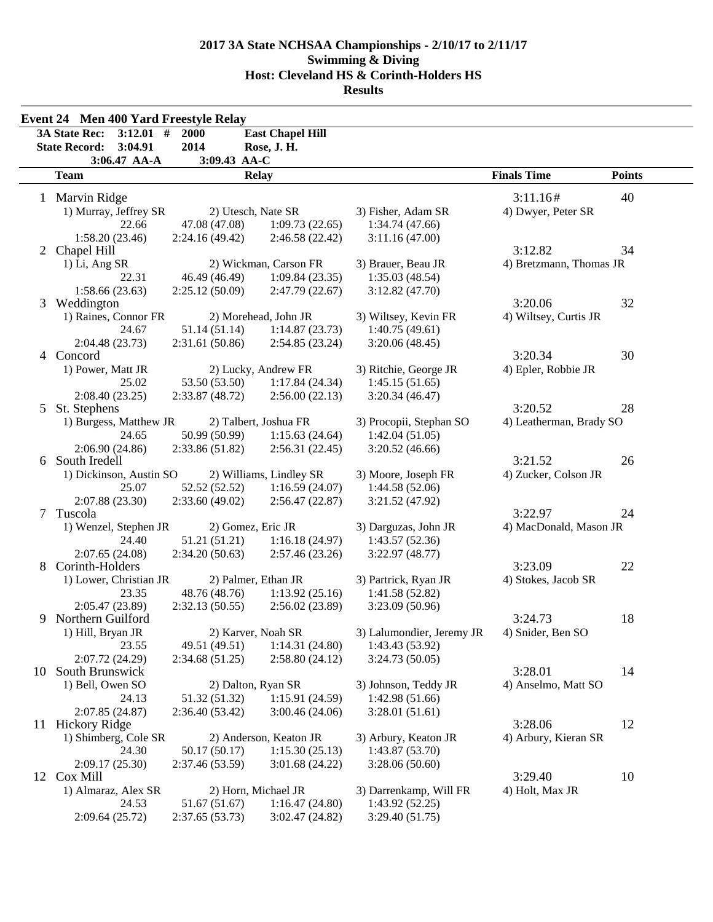| <b>Event 24 Men 400 Yard Freestyle Relay</b> |                                                 |                       |                         |                           |                         |               |  |
|----------------------------------------------|-------------------------------------------------|-----------------------|-------------------------|---------------------------|-------------------------|---------------|--|
|                                              | <b>3A State Rec:</b><br>$3:12.01$ #             | 2000                  | <b>East Chapel Hill</b> |                           |                         |               |  |
|                                              | <b>State Record:</b><br>3:04.91                 | 2014                  | Rose, J. H.             |                           |                         |               |  |
|                                              | 3:06.47 AA-A                                    | 3:09.43 AA-C          |                         |                           |                         |               |  |
|                                              | <b>Team</b>                                     |                       | <b>Relay</b>            |                           | <b>Finals Time</b>      | <b>Points</b> |  |
|                                              | 1 Marvin Ridge                                  |                       |                         |                           | 3:11.16#                | 40            |  |
|                                              | 1) Murray, Jeffrey SR                           | 2) Utesch, Nate SR    |                         | 3) Fisher, Adam SR        | 4) Dwyer, Peter SR      |               |  |
|                                              | 22.66                                           | 47.08 (47.08)         | 1:09.73(22.65)          | 1:34.74(47.66)            |                         |               |  |
|                                              | 1:58.20(23.46)                                  | 2:24.16(49.42)        | 2:46.58 (22.42)         | 3:11.16(47.00)            |                         |               |  |
|                                              | 2 Chapel Hill                                   |                       |                         |                           | 3:12.82                 | 34            |  |
|                                              | 1) Li, Ang SR                                   | 2) Wickman, Carson FR |                         | 3) Brauer, Beau JR        | 4) Bretzmann, Thomas JR |               |  |
|                                              | 22.31                                           | 46.49 (46.49)         | 1:09.84(23.35)          | 1:35.03(48.54)            |                         |               |  |
|                                              | 1:58.66(23.63)                                  | 2:25.12(50.09)        | 2:47.79(22.67)          | 3:12.82(47.70)            |                         |               |  |
| 3                                            | Weddington                                      |                       |                         |                           | 3:20.06                 | 32            |  |
|                                              | 1) Raines, Connor FR                            |                       | 2) Morehead, John JR    | 3) Wiltsey, Kevin FR      | 4) Wiltsey, Curtis JR   |               |  |
|                                              | 24.67                                           | 51.14 (51.14)         | 1:14.87(23.73)          | 1:40.75(49.61)            |                         |               |  |
|                                              | 2:04.48(23.73)                                  | 2:31.61 (50.86)       | 2:54.85(23.24)          | 3:20.06(48.45)            |                         |               |  |
|                                              | 4 Concord                                       |                       |                         |                           | 3:20.34                 | 30            |  |
|                                              | 1) Power, Matt JR                               |                       | 2) Lucky, Andrew FR     | 3) Ritchie, George JR     | 4) Epler, Robbie JR     |               |  |
|                                              | 25.02                                           | 53.50 (53.50)         | 1:17.84(24.34)          | 1:45.15(51.65)            |                         |               |  |
|                                              | 2:08.40(23.25)                                  | 2:33.87 (48.72)       | 2:56.00(22.13)          | 3:20.34(46.47)            |                         |               |  |
| 5                                            | St. Stephens                                    |                       |                         |                           | 3:20.52                 | 28            |  |
|                                              | 2) Talbert, Joshua FR<br>1) Burgess, Matthew JR |                       | 3) Procopii, Stephan SO | 4) Leatherman, Brady SO   |                         |               |  |
|                                              | 24.65                                           | 50.99 (50.99)         | 1:15.63(24.64)          | 1:42.04(51.05)            |                         |               |  |
|                                              | 2:06.90(24.86)                                  | 2:33.86 (51.82)       | 2:56.31(22.45)          | 3:20.52(46.66)            |                         |               |  |
| 6                                            | South Iredell                                   |                       |                         | 3:21.52                   | 26                      |               |  |
|                                              | 1) Dickinson, Austin SO                         |                       | 2) Williams, Lindley SR | 3) Moore, Joseph FR       | 4) Zucker, Colson JR    |               |  |
|                                              | 25.07                                           | 52.52 (52.52)         | 1:16.59(24.07)          | 1:44.58(52.06)            |                         |               |  |
|                                              | 2:07.88(23.30)                                  | 2:33.60(49.02)        | 2:56.47(22.87)          | 3:21.52 (47.92)           |                         |               |  |
| 7                                            | Tuscola                                         |                       |                         | 3:22.97                   | 24                      |               |  |
|                                              | 1) Wenzel, Stephen JR                           | 2) Gomez, Eric JR     |                         | 3) Darguzas, John JR      | 4) MacDonald, Mason JR  |               |  |
|                                              | 24.40                                           | 51.21 (51.21)         | 1:16.18(24.97)          | 1:43.57(52.36)            |                         |               |  |
|                                              | 2:07.65(24.08)                                  | 2:34.20(50.63)        | 2:57.46(23.26)          | 3:22.97(48.77)            |                         |               |  |
| 8                                            | Corinth-Holders                                 |                       |                         |                           | 3:23.09                 | 22            |  |
|                                              | 1) Lower, Christian JR                          | 2) Palmer, Ethan JR   |                         | 3) Partrick, Ryan JR      | 4) Stokes, Jacob SR     |               |  |
|                                              | 23.35                                           | 48.76 (48.76)         | 1:13.92(25.16)          | 1:41.58 (52.82)           |                         |               |  |
|                                              | 2:05.47(23.89)                                  | 2:32.13(50.55)        | 2:56.02(23.89)          | 3:23.09 (50.96)           | 3:24.73                 | 18            |  |
| 9                                            | Northern Guilford                               | 2) Karver, Noah SR    |                         |                           |                         |               |  |
|                                              | 1) Hill, Bryan JR                               |                       |                         | 3) Lalumondier, Jeremy JR | 4) Snider, Ben SO       |               |  |
|                                              | 23.55                                           | 49.51 (49.51)         | 1:14.31(24.80)          | 1:43.43 (53.92)           |                         |               |  |
| 10                                           | 2:07.72 (24.29)<br>South Brunswick              | 2:34.68(51.25)        | 2:58.80(24.12)          | 3:24.73(50.05)            | 3:28.01                 | 14            |  |
|                                              | 1) Bell, Owen SO                                | 2) Dalton, Ryan SR    |                         | 3) Johnson, Teddy JR      | 4) Anselmo, Matt SO     |               |  |
|                                              | 24.13                                           | 51.32 (51.32)         | 1:15.91(24.59)          | 1:42.98(51.66)            |                         |               |  |
|                                              | 2:07.85(24.87)                                  | 2:36.40(53.42)        | 3:00.46(24.06)          | 3:28.01(51.61)            |                         |               |  |
|                                              | 11 Hickory Ridge                                |                       |                         |                           | 3:28.06                 | 12            |  |
|                                              | 2) Anderson, Keaton JR<br>1) Shimberg, Cole SR  |                       | 3) Arbury, Keaton JR    | 4) Arbury, Kieran SR      |                         |               |  |
|                                              | 24.30                                           | 50.17 (50.17)         | 1:15.30(25.13)          | 1:43.87(53.70)            |                         |               |  |
|                                              | 2:09.17(25.30)                                  | 2:37.46 (53.59)       | 3:01.68(24.22)          | 3:28.06(50.60)            |                         |               |  |
|                                              | 12 Cox Mill                                     |                       |                         |                           | 3:29.40                 | 10            |  |
|                                              | 1) Almaraz, Alex SR                             | 2) Horn, Michael JR   |                         | 3) Darrenkamp, Will FR    | 4) Holt, Max JR         |               |  |
|                                              | 24.53                                           | 51.67 (51.67)         | 1:16.47(24.80)          | 1:43.92(52.25)            |                         |               |  |
|                                              | 2:09.64(25.72)                                  | 2:37.65(53.73)        | 3:02.47(24.82)          | 3:29.40 (51.75)           |                         |               |  |